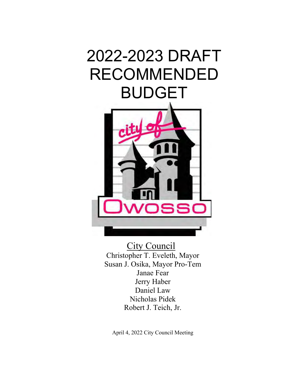# 2022-2023 DRAFT RECOMMENDED BUDGET



City Council Christopher T. Eveleth, Mayor Susan J. Osika, Mayor Pro-Tem Janae Fear Jerry Haber Daniel Law Nicholas Pidek Robert J. Teich, Jr.

April 4, 2022 City Council Meeting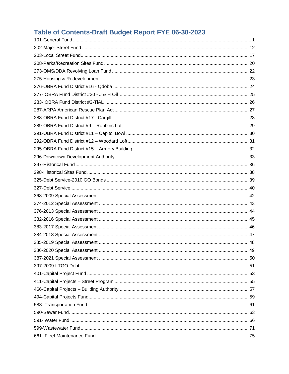# Table of Contents-Draft Budget Report FYE 06-30-2023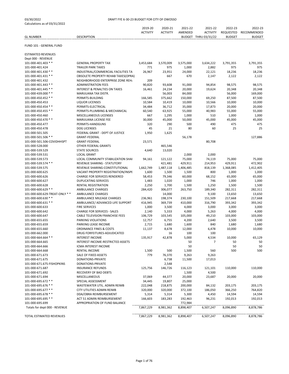| <b>GL NUMBER</b>                                    | <b>DESCRIPTION</b>                                   | 2019-20<br><b>ACTIVITY</b> | 2020-21<br><b>ACTIVITY</b> | 2021-22<br>AMENDED | 2021-22<br><b>ACTIVITY</b><br>BUDGET THRU 03/31/22 | 2022-23<br>REQUESTED<br><b>BUDGET</b> | 2022-23<br><b>RECOMMENDED</b><br><b>BUDGET</b> |
|-----------------------------------------------------|------------------------------------------------------|----------------------------|----------------------------|--------------------|----------------------------------------------------|---------------------------------------|------------------------------------------------|
| FUND 101 - GENERAL FUND                             |                                                      |                            |                            |                    |                                                    |                                       |                                                |
| <b>ESTIMATED REVENUES</b>                           |                                                      |                            |                            |                    |                                                    |                                       |                                                |
| Dept 000 - REVENUE                                  |                                                      |                            |                            |                    |                                                    |                                       |                                                |
| 101-000-401.403 **                                  | <b>GENERAL PROPERTY TAX</b>                          | 3,453,684                  | 3,570,009                  | 3,575,000          | 3,634,222                                          | 3,791,355                             | 3,791,355                                      |
| 101-000-401.424                                     | <b>TRAILER PARK TAXES</b>                            | 771                        | 975                        | 1,000              | 2,882                                              | 975                                   | 975                                            |
| 101-000-401.430 **                                  | INDUSTRIAL/COMMERCIAL FACILITIES TA                  | 26,967                     | 23,951                     | 24,000             | 22,121                                             | 18,236                                | 18,236                                         |
| 101-000-401.431 **                                  | OBSOLETE PROPERTY REHAB TAXES(OPRA)                  |                            | 667                        | 670                | 2,147                                              | 2,122                                 | 2,122                                          |
| 101-000-401.432                                     | NEIGHBORHOOD ENTERPRISE ZONE REH/                    | 209                        |                            |                    |                                                    |                                       |                                                |
| 101-000-401.443 **                                  | <b>ADMINISTRATION FEES</b>                           | 90,820                     | 93,608                     | 91,000             | 94,854                                             | 98,575                                | 98,575                                         |
| 101-000-401.445 **                                  | <b>INTEREST &amp; PENALTIES ON TAXES</b>             | 16,461                     | 24,234                     | 20,000             | 19,624                                             | 20,348                                | 20,348                                         |
| 101-000-439.000 **                                  | MARIJUANA TAX DISTR.                                 |                            | 56,003                     | 84,000             |                                                    | 56,000                                | 169,000                                        |
| 101-000-450.452 **                                  | PERMITS-BUILDING                                     | 166,585                    | 375,662                    | 150,000            | 69,250                                             | 87,500                                | 87,500                                         |
| 101-000-450.453                                     | <b>LIQUOR LICENSES</b>                               | 10,584                     | 10,419                     | 10,000             | 10,566                                             | 10,000                                | 10,000                                         |
| 101-000-450.454 **                                  | PERMITS-ELECTRICAL                                   | 34,484                     | 36,712                     | 35,000             | 17,873                                             | 20,000                                | 20,000                                         |
| 101-000-450.455 **                                  | PERMITS-PLUMBING & MECHANICAL                        | 60,540                     | 63,925                     | 55,000             | 40,983                                             | 55,000                                | 55,000                                         |
| 101-000-450.460                                     | MISCELLANEOUS LICENSES                               | 667                        | 1,295                      | 1,000              | 510                                                | 1,000                                 | 1,000                                          |
| 101-000-450.470 **                                  | MARIJUANA LICENSE FEE                                | 30,000                     | 45,000                     | 50,000             | 45,000                                             | 45,000                                | 45,000                                         |
| 101-000-450.477                                     | PERMITS-HANDGUNS                                     | 320                        | 290                        | 500                | 490                                                | 475                                   | 475                                            |
| 101-000-450.478                                     | <b>DOG LICENSES</b>                                  | 45                         | 21                         | 80                 | 60                                                 | 25                                    | 25                                             |
| 101-000-501.505                                     | FEDERAL GRANT - DEPT OF JUSTICE                      | 1,950                      | 1,625                      |                    |                                                    |                                       |                                                |
| 101-000-501.506 **                                  | <b>GRANT-FEDERAL</b>                                 |                            |                            | 56,178             |                                                    |                                       | 127,886                                        |
| 101-000-501.506-COVIDHHSPT                          | <b>GRANT-FEDERAL</b>                                 | 23,571                     |                            |                    | 80,708                                             |                                       |                                                |
| 101-000-528.000                                     | OTHER FEDERAL GRANTS                                 |                            | 465,546                    |                    |                                                    |                                       |                                                |
| 101-000-539.529                                     | <b>STATE SOURCES</b>                                 | 4,640                      | 13,020                     |                    |                                                    |                                       |                                                |
| 101-000-539.531                                     | <b>LOCAL GRANT</b>                                   |                            |                            | 2,000              | 2,000                                              |                                       |                                                |
| 101-000-539.573                                     | LOCAL COMMUNITY STABILIZATION SHAI                   | 94,161                     | 121,122                    | 75,000             | 74,119                                             | 75,000                                | 75,000                                         |
| 101-000-539.574 **                                  | REVENUE SHARING - STATUTORY                          |                            | 421,481                    | 429,911            | 214,953                                            | 429,911                               | 472,902                                        |
| 101-000-539.575                                     | REVENUE SHARING-CONSTITUTIONAL                       | 1,662,749                  | 1,487,118                  | 1,406,485          | 818,139                                            | 1,368,085                             | 1,412,405                                      |
| 101-000-600.625                                     | VACANT PROPERTY REGISTRATION/INSPE                   | 1,600                      | 1,500                      | 1,500              | 800                                                | 1,000                                 | 1,000                                          |
| 101-000-600.626                                     | <b>CHARGE FOR SERVICES RENDERED</b>                  | 58,453                     | 79,346                     | 60,000             | 68,152                                             | 65,000                                | 65,000                                         |
| 101-000-600.627                                     | <b>DUPLICATING SERVICES</b>                          | 1,483                      | 1,020                      | 1,000              | 746                                                | 1,000                                 | 1,000                                          |
| 101-000-600.628                                     | <b>RENTAL REGISTRATION</b>                           | 2,250                      | 1,700                      | 1,500              | 1,250                                              | 1,500                                 | 1,500                                          |
| 101-000-600.629 **<br>101-000-600.629-TREAT-ONLY ** | <b>AMBULANCE CHARGES</b><br><b>AMBULANCE CHARGES</b> | 284,420                    | 306,077                    | 263,750            | 189,340                                            | 282,311                               | 282,311<br>13,650                              |
| 101-000-600.630 **                                  | AMBULANCE MILEAGE CHARGES                            | 236,961                    | 14,000<br>198,374          | 230,100            | 9,100<br>151,509                                   | 13,650<br>217,668                     | 217,668                                        |
| 101-000-600.631 **                                  | AMBULANCE/ ADVANCED LIFE SUPPORT                     | 416,945                    | 369,739                    | 410,000            | 316,790                                            | 393,342                               | 393,342                                        |
| 101-000-600.633                                     | <b>FIRE SERVICES</b>                                 | 1,000                      | 3,500                      | 4,000              | 3,000                                              | 3,000                                 | 3,000                                          |
| 101-000-600.642                                     | <b>CHARGE FOR SERVICES - SALES</b>                   | 2,140                      | 5,333                      | 4,000              | 5,263                                              | 4,000                                 | 4,000                                          |
| 101-000-600.647                                     | <b>CABLE TELEVISION FRANCHISE FEES</b>               | 106,729                    | 103,545                    | 105,000            | 49,210                                             | 103,000                               | 103,000                                        |
| 101-000-655.655                                     | PARKING VIOLATIONS                                   | 12,757                     | 6,755                      | 4,200              | 2,640                                              | 3,500                                 | 3,500                                          |
| 101-000-655.659                                     | PARKING LEASE INCOME                                 | 2,715                      | 1,680                      | 1,600              | 840                                                | 1,680                                 | 1,680                                          |
| 101-000-655.660                                     | <b>ORDINANCE FINES &amp; COSTS</b>                   | 11,137                     | 8,678                      | 12,000             | 6,478                                              | 10,000                                | 10,000                                         |
| 101-000-662.000                                     | <b>DRUG FORFEITURES-ADJUDICATED</b>                  |                            | 16                         | 100                | 100                                                |                                       |                                                |
| $101-000-664.664**$                                 | <b>INTEREST INCOME</b>                               | 135,917                    | 42,878                     | 5,000              | 4,534                                              | 10,000                                | 65,129                                         |
| 101-000-664.665                                     | INTEREST INCOME-RESTRICTED ASSETS                    |                            |                            | 50                 | 7                                                  | 50                                    | 50                                             |
| 101-000-664.666                                     | <b>ICMA INTEREST INCOME</b>                          |                            |                            | 50                 |                                                    | 50                                    | 50                                             |
| 101-000-664.668                                     | RENTAL INCOME                                        | 1,500                      | 500                        | 1,500              | 560                                                | 500                                   | 500                                            |
| 101-000-671.673                                     | SALE OF FIXED ASSETS                                 | 779                        | 76,370                     | 9,263              | 9,263                                              |                                       |                                                |
| 101-000-671.675                                     | DONATIONS-PRIVATE                                    |                            | 6,738                      | 11,500             | 17,013                                             |                                       |                                                |
| 101-000-671.675-FISHOPKINS                          | DONATIONS-PRIVATE                                    |                            | 2,548                      |                    |                                                    |                                       |                                                |
| 101-000-671.687                                     | <b>INSURANCE REFUNDS</b>                             | 125,756                    | 146,726                    | 116,123            | 121,101                                            | 110,000                               | 110,000                                        |
| 101-000-671.692                                     | RECOVERY OF BAD DEBTS                                |                            |                            | 1,500              | 4,500                                              |                                       |                                                |
| 101-000-671.694                                     | MISCELLANEOUS                                        | 37,069                     | 44,377                     | 20,000             | 23,687                                             | 20,000                                | 20,000                                         |
| 101-000-695.672 **                                  | SPECIAL ASSESSMENT                                   | 34,445                     | 19,807                     | 25,000             |                                                    |                                       |                                                |
| 101-000-695.676 **                                  | WASTEWATER UTIL. ADMIN REIMB                         | 222,048                    | 218,875                    | 200,000            | 84,132                                             | 203,175                               | 203,175                                        |
| 101-000-695.677 **                                  | CITY UTILITIES ADMIN REIMB                           | 320,000                    | 320,000                    | 372,100            | 186,050                                            | 366,250                               | 764,820                                        |
| 101-000-695.678 **                                  | DDA/OBRA REIMBURSEMENT                               | 5,314                      | 5,314                      | 5,300              | 4,450                                              | 14,594                                | 14,594                                         |
| 101-000-695.695 **                                  | ACT 51 ADMIN REIMBURSEMENT                           | 166,603                    | 183,283                    | 192,463            | 96,231                                             | 192,013                               | 192,013                                        |
| 101-000-695.699                                     | APPROPRIATION OF FUND BALANCE                        |                            |                            | 772,984            |                                                    |                                       |                                                |
| Totals for dept 000 - REVENUE                       |                                                      | 7,867,229                  | 8,981,362                  | 8,898,407          | 6,507,247                                          | 8,096,890                             | 8,878,786                                      |
|                                                     |                                                      |                            |                            |                    |                                                    |                                       |                                                |
| TOTAL ESTIMATED REVENUES                            |                                                      | 7,867,229                  | 8,981,362                  | 8,898,407          | 6,507,247                                          | 8,096,890                             | 8,878,786                                      |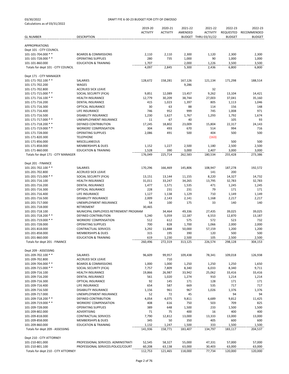|                                     |                                        | 2019-20         | 2020-21         | 2021-22 | 2021-22              | 2022-23       | 2022-23       |
|-------------------------------------|----------------------------------------|-----------------|-----------------|---------|----------------------|---------------|---------------|
|                                     |                                        | <b>ACTIVITY</b> | <b>ACTIVITY</b> | AMENDED | <b>ACTIVITY</b>      | REQUESTED     | RECOMMENDED   |
| <b>GL NUMBER</b>                    | <b>DESCRIPTION</b>                     |                 |                 |         | BUDGET THRU 03/31/22 | <b>BUDGET</b> | <b>BUDGET</b> |
|                                     |                                        |                 |                 |         |                      |               |               |
| <b>APPROPRIATIONS</b>               |                                        |                 |                 |         |                      |               |               |
| Dept 101 - CITY COUNCIL             |                                        |                 |                 |         |                      |               |               |
| 101-101-704.000 **                  | <b>BOARDS &amp; COMMISSIONS</b>        | 2,110           | 2,110           | 2,300   | 1,120                | 2,300         | 2,300         |
| 101-101-728.000 **                  | <b>OPERATING SUPPLIES</b>              | 280             | 735             | 1,000   | 90                   | 1,000         | 1,000         |
| 101-101-860.000                     | <b>EDUCATION &amp; TRAINING</b>        | 1,707           |                 | 2,000   | 1,226                | 3,500         | 3,500         |
| Totals for dept 101 - CITY COUNCIL  |                                        | 4,097           | 2,845           | 5,300   | 2,436                | 6,800         | 6,800         |
|                                     |                                        |                 |                 |         |                      |               |               |
| Dept 171 - CITY MANAGER             |                                        |                 |                 |         |                      |               |               |
| 101-171-702.100 **                  | SALARIES                               | 128,672         | 158,281         | 167,126 | 121,134              | 171,298       | 188,514       |
| 101-171-702.200                     | WAGES                                  |                 |                 | 9,286   |                      |               |               |
| 101-171-702.800                     | <b>ACCRUED SICK LEAVE</b>              |                 |                 |         | 32                   |               |               |
| 101-171-715.000 **                  | SOCIAL SECURITY (FICA)                 | 9,851           | 12,089          | 13,457  | 9,262                | 13,104        | 14,421        |
| 101-171-716.100 **                  | <b>HEALTH INSURANCE</b>                | 12,779          | 30,209          | 38,744  | 27,003               | 37,041        | 35,160        |
| 101-171-716.200                     | <b>DENTAL INSURANCE</b>                | 415             | 1,023           | 1,397   | 805                  | 1,113         | 1,046         |
| 101-171-716.300                     | OPTICAL INSURANCE                      | 30              | 63              | 88      | 114                  | 156           | 148           |
| 101-171-716.400                     | LIFE INSURANCE                         | 746             | 952             | 999     | 745                  | 1,008         | 971           |
| 101-171-716.500                     | <b>DISABILITY INSURANCE</b>            | 1,230           | 1,627           | 1,767   | 1,293                | 1,792         | 1,674         |
| 101-171-717.000 **                  | <b>UNEMPLOYMENT INSURANCE</b>          | 11              | 67              | 40      |                      | 105           | 93            |
| 101-171-718.200 **                  | <b>DEFINED CONTRIBUTION</b>            | 17,245          | 18,802          | 23,009  | 15,804               | 22,317        | 24,143        |
| 101-171-719.000 **                  | WORKERS' COMPENSATION                  | 304             | 493             | 670     | 514                  | 994           | 716           |
| 101-171-728.000                     | <b>OPERATING SUPPLIES</b>              | 2,086           | 491             | 500     | 404                  | 500           | 500           |
| 101-171-820.300                     | <b>TELEPHONE</b>                       |                 |                 |         | (163)                |               |               |
| 101-171-856.000                     | MISCELLANEOUS                          |                 |                 |         |                      | 500           | 500           |
| 101-171-858.000                     | <b>MEMBERSHIPS &amp; DUES</b>          | 1,152           | 1,227           | 2,500   | 1,180                | 2,500         | 2,500         |
| 101-171-860.000                     | <b>EDUCATION &amp; TRAINING</b>        | 1,528           | 390             | 3,000   | 2,407                | 3,000         | 3,000         |
| Totals for dept 171 - CITY MANAGER  |                                        | 176,049         | 225,714         | 262,583 | 180,534              | 255,428       | 273,386       |
|                                     |                                        |                 |                 |         |                      |               |               |
| Dept 201 - FINANCE                  |                                        |                 |                 |         |                      |               |               |
| 101-201-702.100 **                  | SALARIES                               | 170,296         | 166,469         | 145,806 | 108,947              | 187,278       | 192,572       |
| 101-201-702.800                     | <b>ACCRUED SICK LEAVE</b>              |                 |                 |         | 141                  | 200           |               |
| 101-201-715.000 **                  | SOCIAL SECURITY (FICA)                 | 13,151          | 13,144          | 11,155  | 8,220                | 14,327        | 14,732        |
| 101-201-716.100                     | <b>HEALTH INSURANCE</b>                | 31,011          | 33,247          | 34,265  | 13,795               | 32,783        | 32,783        |
| 101-201-716.200                     | DENTAL INSURANCE                       | 1,477           | 1,571           | 1,535   | 471                  | 1,245         | 1,245         |
| 101-201-716.300                     | OPTICAL INSURANCE                      | 228             | 231             | 231     | 79                   | 171           | 171           |
| 101-201-716.400                     | LIFE INSURANCE                         | 1,127           | 1,138           | 1,129   | 710                  | 1,149         | 1,149         |
| 101-201-716.500                     | <b>DISABILITY INSURANCE</b>            | 2,009           | 2,143           | 2,141   | 1,168                | 2,217         | 2,217         |
| 101-201-717.000                     | UNEMPLOYMENT INSURANCE                 | 54              | 100             | 175     | 33                   | 140           | 140           |
| 101-201-718.000                     | RETIREMENT                             | 30,465          |                 |         |                      |               |               |
| 101-201-718.100                     | MUNICIPAL EMPLOYEES RETIREMENT PROGRAM |                 | 34,464          | 49,336  | 27,435               | 39,025        | 39,025        |
| 101-201-718.200 **                  | DEFINED CONTRIBUTION                   | 5,240           | 5,059           | 12,187  | 6,553                | 12,870        | 13,187        |
| 101-201-719.000 **                  | <b>WORKERS' COMPENSATION</b>           | 512             | 612             | 575     | 572                  | 523           | 732           |
| 101-201-728.000                     | <b>OPERATING SUPPLIES</b>              | 700             | 828             | 1,700   | 1,066                | 2,000         | 2,000         |
| 101-201-818.000                     | CONTRACTUAL SERVICES                   | 3,292           | 11,888          | 50,000  | 57,159               | 1,200         | 1,200         |
| 101-201-858.000                     | <b>MEMBERSHIPS &amp; DUES</b>          | 315             | 195             | 390     | 120                  | 500           | 500           |
| 101-201-860.000                     | <b>EDUCATION &amp; TRAINING</b>        | 619             | 1,230           | 2,500   | 105                  | 2,500         | 2,500         |
| Totals for dept 201 - FINANCE       |                                        | 260,496         | 272,319         | 313,125 | 226,574              | 298,128       | 304,153       |
|                                     |                                        |                 |                 |         |                      |               |               |
| Dept 209 - ASSESSING                |                                        |                 |                 |         |                      |               |               |
| 101-209-702.100 **                  | SALARIES                               | 96,609          | 99,957          | 109,438 | 78,341               | 109,018       | 126,938       |
| 101-209-702.800                     | <b>ACCRUED SICK LEAVE</b>              |                 | 710             |         |                      |               |               |
| 101-209-704.000 **                  | <b>BOARDS &amp; COMMISSIONS</b>        | 1,000           | 1,000           | 1,250   | 1,250                | 1,250         | 1,650         |
| 101-209-715.000 **                  | SOCIAL SECURITY (FICA)                 | 7,757           | 7,809           | 8,340   | 6,033                | 8,340         | 9,711         |
| 101-209-716.100                     | <b>HEALTH INSURANCE</b>                | 19,866          | 26,987          | 33,942  | 25,062               | 33,416        | 33,416        |
| 101-209-716.200                     | DENTAL INSURANCE                       | 561             | 1,020           | 1,274   | 910                  | 1,214         | 1,214         |
| 101-209-716.300                     | OPTICAL INSURANCE                      | 92              | 145             | 171     | 128                  | 171           | 171           |
| 101-209-716.400                     | LIFE INSURANCE                         | 654             | 587             | 669     | 535                  | 717           | 717           |
| 101-209-716.500                     | <b>DISABILITY INSURANCE</b>            | 1,156           | 961             | 967     | 1,026                | 1,376         | 1,376         |
| 101-209-717.000                     | UNEMPLOYMENT INSURANCE                 | 52              | 72              | 45      |                      | 94            | 94            |
| 101-209-718.200 **                  | DEFINED CONTRIBUTION                   | 4,054           | 4,075           | 9,811   | 6,689                | 9,812         | 11,425        |
| 101-209-719.000 **                  | <b>WORKERS' COMPENSATION</b>           | 408             | 616             | 750     | 503                  | 709           | 825           |
| 101-209-728.000                     | <b>OPERATING SUPPLIES</b>              | 389             | 648             | 1,500   | 233                  | 1,500         | 1,500         |
| 101-209-802.000                     | ADVERTISING                            | 71              | 75              | 400     | 16                   | 400           | 400           |
| 101-209-818.000                     | <b>CONTRACTUAL SERVICES</b>            | 7,790           | 12,812          | 13,000  | 13,333               | 13,000        | 13,000        |
| 101-209-858.000                     | <b>MEMBERSHIPS &amp; DUES</b>          | 345             | 50              | 350     | 405                  | 600           | 600           |
| 101-209-860.000                     | <b>EDUCATION &amp; TRAINING</b>        | 1,132           | 1,247           | 1,500   | 333                  | 1,500         | 1,500         |
| Totals for dept 209 - ASSESSING     |                                        | 141,936         | 158,771         | 183,407 | 134,797              | 183,117       | 204,537       |
|                                     |                                        |                 |                 |         |                      |               |               |
| Dept 210 - CITY ATTORNEY            |                                        |                 |                 |         |                      |               |               |
| 101-210-801.000                     | PROFESSIONAL SERVICES: ADMINISTRATI    | 52,545          | 58,327          | 55,000  | 47,331               | 57,000        | 57,000        |
| 101-210-801.100                     | PROFESSIONAL SERVICES: POLICE/COURT    | 60,208          | 63,138          | 63,000  | 30,403               | 63,000        | 63,000        |
| Totals for dept 210 - CITY ATTORNEY |                                        | 112,753         | 121,465         | 118,000 | 77,734               | 120,000       | 120,000       |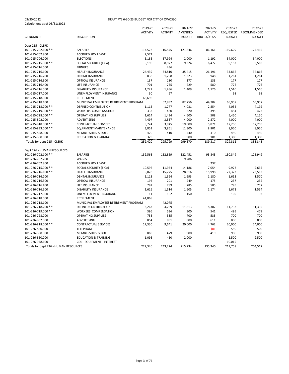|                                       |                                        | 2019-20         | 2020-21         | 2021-22 | 2021-22              | 2022-23       | 2022-23       |
|---------------------------------------|----------------------------------------|-----------------|-----------------|---------|----------------------|---------------|---------------|
|                                       |                                        | <b>ACTIVITY</b> | <b>ACTIVITY</b> | AMENDED | <b>ACTIVITY</b>      | REQUESTED     | RECOMMENDED   |
| <b>GL NUMBER</b>                      | <b>DESCRIPTION</b>                     |                 |                 |         | BUDGET THRU 03/31/22 | <b>BUDGET</b> | <b>BUDGET</b> |
|                                       |                                        |                 |                 |         |                      |               |               |
| Dept 215 - CLERK                      |                                        |                 |                 |         |                      |               |               |
| 101-215-702.100 **                    | <b>SALARIES</b>                        | 114,522         | 116,575         | 121,846 | 86,161               | 119,629       | 124,415       |
| 101-215-702.800                       | <b>ACCRUED SICK LEAVE</b>              | 7,571           |                 |         |                      |               |               |
| 101-215-706.000                       | <b>ELECTIONS</b>                       | 6,186           | 57,994          | 2,000   | 1,192                | 54,000        | 54,000        |
| 101-215-715.000 **                    | SOCIAL SECURITY (FICA)                 | 9,196           | 8,977           | 9,324   | 6,472                | 9,152         | 9,518         |
| 101-215-716.000                       | <b>FRINGES</b>                         |                 | 436             |         |                      |               |               |
| 101-215-716.100                       | <b>HEALTH INSURANCE</b>                | 24,439          | 34,810          | 35,415  | 26,191               | 34,866        | 34,866        |
| 101-215-716.200                       | <b>DENTAL INSURANCE</b>                | 838             | 1,298           | 1,323   | 948                  | 1,261         | 1,261         |
| 101-215-716.300                       | OPTICAL INSURANCE                      | 137             | 180             | 177     | 133                  | 177           | 177           |
| 101-215-716.400                       | LIFE INSURANCE                         | 701             | 755             | 729     | 580                  | 776           | 776           |
| 101-215-716.500                       | <b>DISABILITY INSURANCE</b>            | 1,222           | 1,436           | 1,409   | 1,126                | 1,510         | 1,510         |
| 101-215-717.000                       | UNEMPLOYMENT INSURANCE                 | 30              | 67              |         |                      | 98            | 98            |
| 101-215-718.000                       | RETIREMENT                             | 66,696          |                 |         |                      |               |               |
| 101-215-718.100                       | MUNICIPAL EMPLOYEES RETIREMENT PROGRAM |                 | 57,837          | 82,756  | 44,702               | 65,957        | 65,957        |
| 101-215-718.200 **                    | DEFINED CONTRIBUTION                   | 1,115           | 1,777           | 4,031   | 2,854                | 4,032         | 4,192         |
| 101-215-719.000 **                    | <b>WORKERS' COMPENSATION</b>           | 332             | 460             | 320     | 395                  | 454           | 473           |
| 101-215-728.000 **                    | <b>OPERATING SUPPLIES</b>              | 1,614           | 1,434           | 4,600   | 508                  | 5,450         | 4,150         |
| 101-215-802.000                       | ADVERTISING                            | 4,497           | 3,557           | 4,000   | 2,872                | 4,000         | 4,000         |
| 101-215-818.000 **                    | <b>CONTRACTUAL SERVICES</b>            | 8,724           | 3,945           | 19,000  | 5,871                | 17,250        | 17,250        |
| 101-215-833.000 **                    | <b>EQUIPMENT MAINTENANCE</b>           | 3,851           | 3,851           | 11,300  | 8,801                | 8,950         | 8,950         |
| 101-215-858.000                       | <b>MEMBERSHIPS &amp; DUES</b>          | 420             | 410             | 440     | 410                  | 450           | 450           |
| 101-215-860.000                       | <b>EDUCATION &amp; TRAINING</b>        | 329             |                 | 900     | 101                  | 1,300         | 1,300         |
| Totals for dept 215 - CLERK           |                                        | 252,420         | 295,799         | 299,570 | 189,317              | 329,312       | 333,343       |
|                                       |                                        |                 |                 |         |                      |               |               |
| Dept 226 - HUMAN RESOURCES            |                                        |                 |                 |         |                      |               |               |
| 101-226-702.100 **                    | SALARIES                               | 132,563         | 152,869         | 122,451 | 93,843               | 130,349       | 125,949       |
| 101-226-702.200                       | WAGES                                  |                 |                 | 9,286   |                      |               |               |
| 101-226-702.800                       | <b>ACCRUED SICK LEAVE</b>              |                 |                 |         | 237                  |               |               |
| 101-226-715.000 **                    | SOCIAL SECURITY (FICA)                 | 10,596          | 11,964          | 14,186  | 7,054                | 9,972         | 9,635         |
| 101-226-716.100 **                    | <b>HEALTH INSURANCE</b>                | 9,028           | 15,775          | 28,816  | 15,998               | 27,323        | 23,513        |
| 101-226-716.200                       | <b>DENTAL INSURANCE</b>                | 1,113           | 1,394           | 1,693   | 1,180                | 1,613         | 1,570         |
| 101-226-716.300                       | OPTICAL INSURANCE                      | 196             | 201             | 249     | 175                  | 237           | 232           |
| 101-226-716.400                       | LIFE INSURANCE                         | 792             | 789             | 785     | 585                  | 795           | 757           |
| 101-226-716.500                       | <b>DISABILITY INSURANCE</b>            | 1,616           | 1,514           | 1,605   | 1,174                | 1,672         | 1,554         |
| 101-226-717.000                       | UNEMPLOYMENT INSURANCE                 | 11              | 102             | 150     |                      | 105           | 93            |
| 101-226-718.000                       | RETIREMENT                             | 41,868          |                 |         |                      |               |               |
| 101-226-718.100                       | MUNICIPAL EMPLOYEES RETIREMENT PROGRAM |                 | 42,075          |         |                      |               |               |
| 101-226-718.200 **                    | DEFINED CONTRIBUTION                   | 3,263           | 4,259           | 11,813  | 8,307                | 11,732        | 11,335        |
| 101-226-719.000 **                    | <b>WORKERS' COMPENSATION</b>           | 396             | 536             | 300     | 541                  | 495           | 479           |
| 101-226-728.000                       | <b>OPERATING SUPPLIES</b>              | 755             | 335             | 700     | 535                  | 700           | 700           |
| 101-226-802.000                       | <b>ADVERTISING</b>                     | 854             | 831             | 800     | 611                  | 800           | 800           |
| 101-226-818.000 **                    | <b>CONTRACTUAL SERVICES</b>            | 17,330          | 9,641           | 20,000  | 4,762                | 20,000        | 24,000        |
| 101-226-820.300                       | <b>TELEPHONE</b>                       |                 |                 |         | (81)                 | 550           | 500           |
| 101-226-858.000                       | <b>MEMBERSHIPS &amp; DUES</b>          | 869             | 479             | 900     | 419                  | 900           | 900           |
| 101-226-860.000                       | <b>EDUCATION &amp; TRAINING</b>        | 1,096           | 460             | 2,000   |                      | 2,500         | 2,500         |
| 101-226-978.100                       | <b>COL - EQUIPMENT - INTEREST</b>      |                 |                 |         |                      | 10,015        |               |
| Totals for dept 226 - HUMAN RESOURCES |                                        | 222,346         | 243,224         | 215,734 | 135,340              | 219,758       | 204,517       |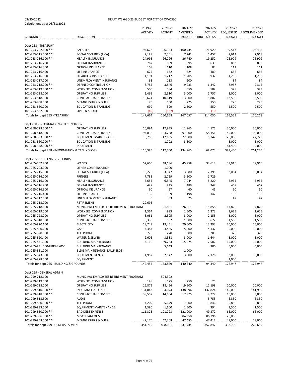|                                                |                                        | 2019-20         | 2020-21         | 2021-22        | 2021-22              | 2022-23       | 2022-23       |
|------------------------------------------------|----------------------------------------|-----------------|-----------------|----------------|----------------------|---------------|---------------|
|                                                |                                        | <b>ACTIVITY</b> | <b>ACTIVITY</b> | AMENDED        | <b>ACTIVITY</b>      | REQUESTED     | RECOMMENDED   |
| <b>GL NUMBER</b>                               | <b>DESCRIPTION</b>                     |                 |                 |                | BUDGET THRU 03/31/22 | <b>BUDGET</b> | <b>BUDGET</b> |
|                                                |                                        |                 |                 |                |                      |               |               |
| Dept 253 - TREASURY                            |                                        |                 |                 |                |                      |               |               |
| 101-253-702.100 **                             | SALARIES                               | 94,628          | 96,154          | 100,735        | 71,920               | 99,517        | 103,498       |
| 101-253-715.000 **                             | SOCIAL SECURITY (FICA)                 | 7,188           | 7,301           | 7,742          | 5,457                | 7,613         | 7,918         |
| 101-253-716.100 **                             | <b>HEALTH INSURANCE</b>                | 24,995          | 26,296          | 26,740         | 19,252               | 26,909        | 26,909        |
| 101-253-716.200                                | DENTAL INSURANCE                       | 767             | 859             | 895            | 639                  | 853           | 853           |
| 101-253-716.300                                | OPTICAL INSURANCE                      | 108             | 110             | 108            | 83                   | 111           | 111           |
| 101-253-716.400                                | LIFE INSURANCE                         | 625             | 632             | 624            | 489                  | 656           | 656           |
| 101-253-716.500                                | <b>DISABILITY INSURANCE</b>            | 1,191           | 1,212           | 1,205          | 937                  | 1,256         | 1,256         |
| 101-253-717.000                                | <b>UNEMPLOYMENT INSURANCE</b>          | 63              | 133             | 200            |                      | 84            | 84            |
| 101-253-718.200 **                             | DEFINED CONTRIBUTION                   | 3,785           | 3,846           | 9,033          | 6,342                | 8,957         | 9,315         |
| 101-253-719.000 **                             | <b>WORKERS' COMPENSATION</b>           | 500             | 584             | 550            | 582                  | 378           | 393           |
| 101-253-728.000                                | <b>OPERATING SUPPLIES</b>              | 2,461           | 2,510           | 3,000          | 1,757                | 3,000         | 3,000         |
| 101-253-818.000                                | <b>CONTRACTUAL SERVICES</b>            | 10,624          | 10,619          | 13,500         | 5,882                | 13,500        | 13,500        |
| 101-253-858.000                                | <b>MEMBERSHIPS &amp; DUES</b>          | 75              | 150             | 225            | 150                  | 225           | 225           |
| 101-253-860.000                                | <b>EDUCATION &amp; TRAINING</b>        | 699             | 399             | 2,500          | 550                  | 2,500         | 2,500         |
| 101-253-862.000                                | <b>OVER &amp; SHORT</b>                | (45)            | (137)           |                | (10)                 |               |               |
| Totals for dept 253 - TREASURY                 |                                        | 147,664         | 150,668         | 167,057        | 114,030              | 165,559       | 170,218       |
|                                                |                                        |                 |                 |                |                      |               |               |
| Dept 258 - INFORMATION & TECHNOLOGY            |                                        |                 |                 |                |                      |               |               |
| 101-258-728.000 **                             | <b>OPERATING SUPPLIES</b>              | 10,094          | 17,935          | 11,965         | 4,175                | 30,000        | 30,000        |
| 101-258-818.000                                | <b>CONTRACTUAL SERVICES</b>            | 94,036          | 84,768          | 97,000         | 58,151               | 145,000       | 100,000       |
| 101-258-833.000 **                             | <b>EQUIPMENT MAINTENANCE</b>           | 6,255           | 12,655          | 22,500         | 5,747                | 28,000        | 27,225        |
| 101-258-860.000 **                             | <b>EDUCATION &amp; TRAINING</b>        |                 | 1,702           | 3,500          |                      | 5,000         | 5,000         |
| 101-258-978.000 **                             | <b>EQUIPMENT</b>                       |                 |                 |                |                      | 181,400       | 99,000        |
| Totals for dept 258 - INFORMATION & TECHNOLOGY |                                        | 110,385         | 117,060         | 134,965        | 68,073               | 389,400       | 261,225       |
|                                                |                                        |                 |                 |                |                      |               |               |
| Dept 265 - BUILDING & GROUNDS                  |                                        |                 |                 |                |                      |               |               |
| 101-265-702.200                                | WAGES                                  | 52,605          | 48,186          | 45,958         | 34,614               | 39,916        | 39,916        |
| 101-265-703.000                                | OTHER COMPENSATION                     |                 | 1,000           |                |                      |               |               |
| 101-265-715.000                                | SOCIAL SECURITY (FICA)                 |                 | 3,347           |                | 2,395                | 3,054         | 3,054         |
| 101-265-716.000                                | <b>FRINGES</b>                         | 3,225           | 2,729           | 3,580          |                      |               |               |
| 101-265-716.100                                | <b>HEALTH INSURANCE</b>                | 7,785           |                 | 3,500<br>7,044 | 1,729                |               | 6,935         |
| 101-265-716.200                                |                                        | 6,655<br>427    | 6,545<br>445    |                | 5,220                | 6,935         |               |
|                                                | DENTAL INSURANCE                       |                 |                 | 489            | 347                  | 467           | 467           |
| 101-265-716.300                                | OPTICAL INSURANCE                      | 60              | 57              | 60             | 45                   | 60            | 60            |
| 101-265-716.400                                | LIFE INSURANCE                         | 139             | 189             | 198            | 147                  | 198           | 198           |
| 101-265-717.000                                | UNEMPLOYMENT INSURANCE                 | 5               | 33              | 25             |                      | 47            | 47            |
| 101-265-718.000                                | RETIREMENT                             | 29,695          |                 |                |                      |               |               |
| 101-265-718.100                                | MUNICIPAL EMPLOYEES RETIREMENT PROGRAM |                 | 21,831          | 26,811         | 15,858               | 17,820        | 17,820        |
| 101-265-719.000                                | <b>WORKERS' COMPENSATION</b>           | 1,364           | 993             | 1,500          | 1,273                | 1,625         | 1,625         |
| 101-265-728.000                                | <b>OPERATING SUPPLIES</b>              | 3,081           | 2,505           | 3,000          | 2,155                | 3,000         | 3,000         |
| 101-265-818.000                                | <b>CONTRACTUAL SERVICES</b>            | 5,335           | 502             | 1,000          | 672                  | 1,500         | 1,500         |
| 101-265-820.100                                | <b>ELECTRICITY</b>                     | 18,748          | 19,451          | 20,000         | 13,293               | 20,000        | 20,000        |
| 101-265-820.200                                | GAS                                    | 4,387           | 4,435           | 5,000          | 4,137                | 5,000         | 5,000         |
| 101-265-820.300                                | <b>TELEPHONE</b>                       | 270             | 270             | 300            | 203                  | 325           | 325           |
| 101-265-820.400                                | WATER & SEWER                          | 2,606           | 3,388           | 3,000          | 1,644                | 3,000         | 3,000         |
| 101-265-831.000                                | <b>BUILDING MAINTENANCE</b>            | 4,110           | 39,783          | 15,075         | 7,582                | 15,000        | 15,000        |
| 101-265-831.000-LIBRARY000                     | <b>BUILDING MAINTENANCE</b>            |                 | 5,643           |                | 900                  | 5,000         | 5,000         |
| 101-265-831.200                                | BLDG MAINTENANCE-BALLFIELDS            |                 |                 | 1,000          |                      |               |               |
| 101-265-843.000                                | <b>EQUIPMENT RENTAL</b>                | 1,957           | 2,547           | 3,000          | 2,126                | 3,000         | 3,000         |
| 101-265-978.000                                | <b>EQUIPMENT</b>                       |                 |                 |                |                      | 1,000         |               |
| Totals for dept 265 - BUILDING & GROUNDS       |                                        | 142,454         | 163,879         | 140,540        | 94,340               | 126,947       | 125,947       |
|                                                |                                        |                 |                 |                |                      |               |               |
| Dept 299 - GENERAL ADMIN                       |                                        |                 |                 |                |                      |               |               |
| 101-299-718.100                                | MUNICIPAL EMPLOYEES RETIREMENT PROGRAM |                 | 504,302         |                |                      |               |               |
| 101-299-719.000                                | <b>WORKERS' COMPENSATION</b>           | 148             | 175             | 250            | 25                   |               |               |
| 101-299-728.000                                | <b>OPERATING SUPPLIES</b>              | 16,879          | 18,466          | 19,500         | 12,198               | 20,000        | 20,000        |
| 101-299-810.000 **                             | <b>INSURANCE &amp; BONDS</b>           | 131,043         | 134,074         | 138,096        | 137,824              | 145,000       | 141,959       |
| 101-299-818.000 **                             | CONTRACTUAL SERVICES                   | 39,557          | 14,604          | 17,975         | 9,227                | 15,000        | 3,000         |
| 101-299-818.500                                | <b>AUDIT</b>                           |                 |                 |                | 5,753                | 6,350         | 6,350         |
| 101-299-820.300 **                             | <b>TELEPHONE</b>                       | 4,209           | 5,679           | 7,000          | 3,846                | 5,850         | 5,850         |
| 101-299-833.000                                | <b>EQUIPMENT MAINTENANCE</b>           | 1,380           | 1,600           | 1,500          | 394                  | 1,500         | 1,500         |
| 101-299-850.000 **                             | <b>BAD DEBT EXPENSE</b>                | 111,323         | 101,793         | 121,000        | 49,372               | 66,000        | 66,000        |
| 101-299-856.000 **                             | MISCELLANEOUS                          |                 |                 | 84,958         | 86,796               | 25,000        |               |
| 101-299-858.000 **                             | <b>MEMBERSHIPS &amp; DUES</b>          | 47,176          | 47,308          | 47,455         | 47,412               | 48,000        | 28,000        |
| Totals for dept 299 - GENERAL ADMIN            |                                        | 351,715         | 828,001         | 437,734        | 352,847              | 332,700       | 272,659       |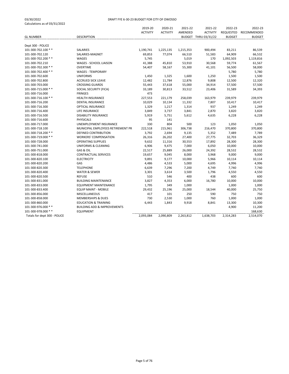|                              |                                        | 2019-20         | 2020-21         | 2021-22   | 2021-22              | 2022-23          | 2022-23       |
|------------------------------|----------------------------------------|-----------------|-----------------|-----------|----------------------|------------------|---------------|
|                              |                                        | <b>ACTIVITY</b> | <b>ACTIVITY</b> | AMENDED   | <b>ACTIVITY</b>      | <b>REQUESTED</b> | RECOMMENDED   |
| <b>GL NUMBER</b>             | <b>DESCRIPTION</b>                     |                 |                 |           | BUDGET THRU 03/31/22 | <b>BUDGET</b>    | <b>BUDGET</b> |
|                              |                                        |                 |                 |           |                      |                  |               |
| Dept 300 - POLICE            |                                        |                 |                 |           |                      |                  |               |
| 101-300-702.100 **           | SALARIES                               | 1,190,741       | 1,225,135       | 1,215,353 | 900,494              | 83,211           | 86,539        |
| 101-300-702.120              | SALARIES-MAGNET                        | 69,853          | 77,074          | 66,510    | 51,583               | 64,909           | 66,532        |
| 101-300-702.200 **           | <b>WAGES</b>                           | 5,745           |                 | 5,019     | 170                  | 1,092,503        | 1,119,816     |
| 101-300-702.210              | WAGES - SCHOOL LIAISON                 | 41,388          | 45,810          | 53,910    | 30,568               | 59,774           | 61,567        |
| 101-300-702.300 **           | OVERTIME                               | 54,407          | 58,167          | 55,300    | 41,101               | 56,500           | 58,000        |
| 101-300-702.400 **           | <b>WAGES - TEMPORARY</b>               |                 |                 |           |                      | 5,780            | 5,780         |
| 101-300-702.600              | <b>UNIFORMS</b>                        | 1,450           | 1,325           | 1,600     | 1,250                | 1,500            | 1,500         |
| 101-300-702.800              | <b>ACCRUED SICK LEAVE</b>              | 12,482          | 11,784          | 12,876    | 9,808                | 12,500           | 12,320        |
| 101-300-703.000              | <b>CROSSING GUARDS</b>                 | 55,443          | 37,618          | 55,000    | 34,914               | 57,500           | 57,500        |
| 101-300-715.000 **           | SOCIAL SECURITY (FICA)                 | 33,189          | 30,813          | 33,512    | 23,406               | 31,589           | 34,393        |
| 101-300-716.000              | <b>FRINGES</b>                         | 473             |                 |           |                      |                  |               |
| 101-300-716.100 **           | <b>HEALTH INSURANCE</b>                | 227,553         | 221,179         | 258,039   | 163,979              | 239,979          | 239,979       |
| 101-300-716.200              | <b>DENTAL INSURANCE</b>                | 10,029          | 10,134          | 11,332    | 7,807                | 10,417           | 10,417        |
| 101-300-716.300              | OPTICAL INSURANCE                      | 1,329           | 1,217           | 1,314     | 937                  | 1,249            | 1,249         |
| 101-300-716.400              | LIFE INSURANCE                         | 3,849           | 3,737           | 3,841     | 2,870                | 3,820            | 3,820         |
| 101-300-716.500              | <b>DISABILITY INSURANCE</b>            | 5,919           | 5,751           | 5,612     | 4,635                | 6,228            | 6,228         |
| 101-300-716.600              | <b>PHYSICALS</b>                       | 95              | 141             |           |                      |                  |               |
| 101-300-717.000              | <b>UNEMPLOYMENT INSURANCE</b>          | 330             | 804             | 500       | 123                  | 1,050            | 1,050         |
| 101-300-718.100              | MUNICIPAL EMPLOYEES RETIREMENT PR      | 222,518         | 215,961         | 306,738   | 216,470              | 370,800          | 370,800       |
| 101-300-718.200 **           | DEFINED CONTRIBUTION                   | 3,792           | 2,694           | 9,135     | 5,352                | 7,489            | 7,789         |
| 101-300-719.000 **           | <b>WORKERS' COMPENSATION</b>           | 26,316          | 26,202          | 27,400    | 27,775               | 32,703           | 36,329        |
| 101-300-728.000              | <b>OPERATING SUPPLIES</b>              | 9,632           | 11,316          | 30,553    | 17,892               | 28,300           | 28,300        |
| 101-300-741.000              | <b>UNIFORMS &amp; CLEANING</b>         | 6,906           | 9,475           | 7,000     | 6,050                | 10,000           | 10,000        |
| 101-300-751.000              | GAS & OIL                              | 22,517          | 25,889          | 26,000    | 24,392               | 28,532           | 28,532        |
| 101-300-818.000              | CONTRACTUAL SERVICES                   | 19,657          | 9,045           | 8,000     | 3,968                | 9,000            | 9,000         |
| 101-300-820.100              | <b>ELECTRICITY</b>                     | 9,891           | 9,177           | 10,000    | 5,966                | 10,114           | 10,114        |
| 101-300-820.200              | GAS                                    | 4,486           | 4,533           | 5,000     | 4,695                | 4,996            | 4,996         |
| 101-300-820.300              | <b>TELEPHONE</b>                       | 6,639           | 7,296           | 7,200     | 4,749                | 7,740            | 7,740         |
| 101-300-820.400              | <b>WATER &amp; SEWER</b>               | 3,301           | 3,614           | 3,500     | 1,796                | 4,550            | 4,550         |
| 101-300-820.500              | <b>REFUSE</b>                          | 510             | 546             | 400       | 438                  | 600              | 600           |
| 101-300-831.000              | <b>BUILDING MAINTENANCE</b>            | 3,827           | 4,353           | 6,000     | 16,780               | 10,000           | 10,000        |
| 101-300-833.000              | <b>EQUIPMENT MAINTENANCE</b>           | 1,795           | 349             | 1,000     |                      | 1,000            | 1,000         |
| 101-300-833.400              | <b>EQUIP MAINT - MOBILE</b>            | 29,432          | 25,196          | 25,000    | 18,544               | 40,000           | 25,750        |
| 101-300-856.000              | MISCELLANEOUS                          | 417             | 101             | 250       | 590                  | 750              | 750           |
| 101-300-858.000              | <b>MEMBERSHIPS &amp; DUES</b>          | 730             | 2,530           | 1,000     | 760                  | 1,000            | 1,000         |
| 101-300-860.000              | <b>EDUCATION &amp; TRAINING</b>        | 6,443           | 1,843           | 9,918     | 8,841                | 13,300           | 10,300        |
| 101-300-976.000 **           | <b>BUILDING ADD &amp; IMPROVEMENTS</b> |                 |                 |           |                      | 4,900            | 11,200        |
| 101-300-978.000 **           | <b>EQUIPMENT</b>                       |                 |                 |           |                      |                  | 168,630       |
| Totals for dept 300 - POLICE |                                        | 2,093,084       | 2,090,809       | 2,263,812 | 1,638,703            | 2,314,283        | 2,514,070     |
|                              |                                        |                 |                 |           |                      |                  |               |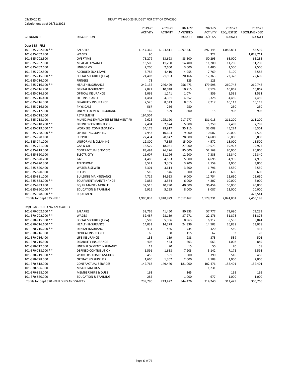|                                           |                                   | 2019-20         | 2020-21         | 2021-22   | 2021-22              | 2022-23       | 2022-23       |
|-------------------------------------------|-----------------------------------|-----------------|-----------------|-----------|----------------------|---------------|---------------|
|                                           |                                   | <b>ACTIVITY</b> | <b>ACTIVITY</b> | AMENDED   | <b>ACTIVITY</b>      | REQUESTED     | RECOMMENDED   |
| <b>GL NUMBER</b>                          | <b>DESCRIPTION</b>                |                 |                 |           | BUDGET THRU 03/31/22 | <b>BUDGET</b> | <b>BUDGET</b> |
|                                           |                                   |                 |                 |           |                      |               |               |
| Dept 335 - FIRE                           |                                   |                 |                 |           |                      |               |               |
| 101-335-702.100 **                        | SALARIES                          | 1,147,365       | 1,124,811       | 1,097,337 | 892,145              | 1,086,831     | 86,539        |
| 101-335-702.200                           | WAGES                             | 90              |                 |           | 322                  |               | 1,028,711     |
| 101-335-702.300                           | <b>OVERTIME</b>                   | 75,279          | 63,693          | 83,500    | 50,295               | 65,000        | 65,285        |
| 101-335-702.500                           | <b>MEAL ALLOWANCE</b>             | 13,500          | 11,200          | 14,400    | 11,200               | 11,200        | 11,200        |
| 101-335-702.600                           | <b>UNIFORMS</b>                   | 2,200           | 2,600           | 3,600     | 2,400                | 2,500         | 2,500         |
| 101-335-702.800                           | <b>ACCRUED SICK LEAVE</b>         | 3,782           | 4,410           | 4,955     | 7,769                | 6,100         | 6,588         |
| 101-335-715.000 **                        | SOCIAL SECURITY (FICA)            | 21,403          | 21,903          | 20,166    | 17,363               | 22,328        | 22,605        |
| 101-335-716.000                           | <b>FRINGES</b>                    | 73              |                 | 125       | 123                  |               |               |
| 101-335-716.100 **                        | <b>HEALTH INSURANCE</b>           | 249,136         | 246,429         | 256,473   | 179,598              | 260,748       | 260,748       |
| 101-335-716.200                           | DENTAL INSURANCE                  | 7,822           | 10,048          | 10,215    | 7,524                | 10,867        | 10,867        |
| 101-335-716.300                           | OPTICAL INSURANCE                 | 1,061           | 1,141           | 1,074     | 859                  | 1,531         | 1,531         |
| 101-335-716.400                           | LIFE INSURANCE                    | 4,484           | 4,351           | 4,352     | 3,328                | 4,450         | 4,450         |
| 101-335-716.500                           | <b>DISABILITY INSURANCE</b>       | 7,526           | 8,543           | 8,615     | 7,217                | 10,113        | 10,113        |
| 101-335-716.600                           | <b>PHYSICALS</b>                  | 567             | 266             | 250       |                      | 250           | 250           |
| 101-335-717.000                           | UNEMPLOYMENT INSURANCE            | 169             | 599             | 800       | 15                   | 908           | 908           |
| 101-335-718.000                           | RETIREMENT                        | 194,504         |                 |           |                      |               |               |
| 101-335-718.100                           | MUNICIPAL EMPLOYEES RETIREMENT PR | 9,626           | 195,120         | 217,277   | 131,018              | 211,200       | 211,200       |
| 101-335-718.200 **                        | <b>DEFINED CONTRIBUTION</b>       | 2,404           | 2,674           | 5,808     | 5,259                | 7,489         | 7,789         |
| 101-335-719.000 **                        | <b>WORKERS' COMPENSATION</b>      | 34,175          | 29,917          | 35,115    | 33,088               | 45,224        | 46,301        |
| 101-335-728.000 **                        | <b>OPERATING SUPPLIES</b>         | 7,953           | 10,624          | 9,000     | 10,687               | 20,000        | 17,500        |
| 101-335-728.100                           | <b>SUPPLIES</b>                   | 22,434          | 20,642          | 28,000    | 14,680               | 30,000        | 30,000        |
| 101-335-741.000                           | UNIFORMS & CLEANING               | 12,800          | 7,865           | 15,000    | 4,572                | 18,000        | 15,500        |
| 101-335-751.000                           | GAS & OIL                         | 18,529          | 18,081          | 27,000    | 19,573               | 19,927        | 19,927        |
| 101-335-818.000                           | <b>CONTRACTUAL SERVICES</b>       | 83,493          | 76,276          | 85,000    | 52,168               | 80,000        | 80,000        |
| 101-335-820.100                           | <b>ELECTRICITY</b>                | 11,607          | 11,196          | 12,200    | 7,338                | 12,340        | 12,340        |
| 101-335-820.200                           | GAS                               | 4,486           | 4,533           | 5,000     | 4,695                | 4,995         | 4,995         |
| 101-335-820.300                           | <b>TELEPHONE</b>                  | 3,522           | 3,305           | 3,200     | 2,159                | 3,000         | 3,000         |
| 101-335-820.400                           | WATER & SEWER                     | 3,301           | 3,614           | 3,500     | 1,796                | 4,550         | 4,550         |
| 101-335-820.500                           | <b>REFUSE</b>                     | 510             | 546             | 500       | 438                  | 600           | 600           |
| 101-335-831.000                           | <b>BUILDING MAINTENANCE</b>       | 4,719           | 14,923          | 6,000     | 12,754               | 12,650        | 12,650        |
| 101-335-833.000 **                        | <b>EQUIPMENT MAINTENANCE</b>      | 2,882           | 3,534           | 6,000     | 4,307                | 10,000        | 8,000         |
| 101-335-833.400                           | <b>EQUIP MAINT - MOBILE</b>       | 32,515          | 40,790          | 40,000    | 36,454               | 50,000        | 45,000        |
| 101-335-860.000 **                        | <b>EDUCATION &amp; TRAINING</b>   | 6,916           | 5,295           | 8,000     | 8,087                | 12,000        | 10,000        |
| 101-335-978.000 **                        | <b>EQUIPMENT</b>                  |                 |                 |           |                      |               | 423,541       |
| Totals for dept 335 - FIRE                |                                   | 1,990,833       | 1,948,929       | 2,012,462 | 1,529,231            | 2,024,801     | 2,465,188     |
|                                           |                                   |                 |                 |           |                      |               |               |
| Dept 370 - BUILDING AND SAFETY            |                                   |                 |                 |           |                      |               |               |
| 101-370-702.100 **                        | SALARIES                          | 39,765          | 41,460          | 80,333    | 57,777               | 79,680        | 73,233        |
| 101-370-702.200 **                        | <b>WAGES</b>                      | 32,487          | 28,159          | 37,271    | 22,176               | 31,878        | 31,878        |
| 101-370-715.000 **                        | SOCIAL SECURITY (FICA)            | 5,508           | 5,306           | 8,963     | 6,112                | 8,535         | 8,041         |
| 101-370-716.100 **                        | HEALTH INSURANCE                  | 14,033          | 14,278          | 24,336    | 14,503               | 26,838        | 23,028        |
| 101-370-716.200 **                        | DENTAL INSURANCE                  | 431             | 466             | 734       | 420                  | 540           | 417           |
| 101-370-716.300                           | OPTICAL INSURANCE                 | 60              | 60              | 115       | 62                   | 93            | 78            |
| 101-370-716.400                           | LIFE INSURANCE                    | 156             | 159             | 238       | 373                  | 539           | 501           |
| 101-370-716.500                           | <b>DISABILITY INSURANCE</b>       | 408             | 453             | 603       | 663                  | 1,008         | 889           |
| 101-370-717.000                           | UNEMPLOYMENT INSURANCE            | 13              | 90              | 15        | 50                   | 70            | 58            |
| 101-370-718.200 **                        | DEFINED CONTRIBUTION              | 1,591           | 1,658           | 7,203     | 5,142                | 7,172         | 6,591         |
| 101-370-719.000 **                        | <b>WORKERS' COMPENSATION</b>      | 456             | 591             | 500       | 390                  | 510           | 486           |
| 101-370-728.000                           | <b>OPERATING SUPPLIES</b>         | 1,666           | 1,307           | 2,000     | 2,188                | 2,000         | 2,000         |
| 101-370-818.000                           | CONTRACTUAL SERVICES              | 142,768         | 149,440         | 181,000   | 102,476              | 152,401       | 152,401       |
| 101-370-856.000                           | MISCELLANEOUS                     |                 |                 |           | 1,231                |               |               |
| 101-370-858.000                           | <b>MEMBERSHIPS &amp; DUES</b>     | 163             |                 | 165       |                      | 165           | 165           |
| 101-370-860.000                           | <b>EDUCATION &amp; TRAINING</b>   | 285             |                 | 1,000     | 677                  | 1,000         | 1,000         |
| Totals for dept 370 - BUILDING AND SAFETY |                                   | 239,790         | 243,427         | 344,476   | 214,240              | 312,429       | 300,766       |
|                                           |                                   |                 |                 |           |                      |               |               |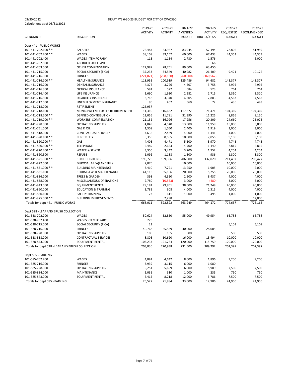|                                                 |                                                 | 2019-20<br><b>ACTIVITY</b> | 2020-21<br><b>ACTIVITY</b> | 2021-22<br>AMENDED | 2021-22<br><b>ACTIVITY</b> | 2022-23<br>REQUESTED | 2022-23<br>RECOMMENDED |
|-------------------------------------------------|-------------------------------------------------|----------------------------|----------------------------|--------------------|----------------------------|----------------------|------------------------|
| <b>GL NUMBER</b>                                | <b>DESCRIPTION</b>                              |                            |                            |                    | BUDGET THRU 03/31/22       | <b>BUDGET</b>        | <b>BUDGET</b>          |
| Dept 441 - PUBLIC WORKS                         |                                                 |                            |                            |                    |                            |                      |                        |
| 101-441-702.100 **                              | SALARIES                                        | 76,487                     | 83,987                     | 83,945             | 57,494                     | 78,806               | 81,959                 |
| 101-441-702.200 **                              | WAGES                                           | 38,108                     | 39,157                     | 60,000             | 67,433                     | 44,353               | 44,353                 |
| 101-441-702.400                                 | <b>WAGES - TEMPORARY</b>                        | 113                        | 1,154                      | 2,730              | 1,576                      |                      | 6,000                  |
| 101-441-702.800                                 | <b>ACCRUED SICK LEAVE</b>                       |                            |                            |                    | 66                         |                      |                        |
| 101-441-703.000                                 | OTHER COMPENSATION                              | 122,987                    | 78,751                     | 89,000             | 63,450                     |                      |                        |
| 101-441-715.000                                 | SOCIAL SECURITY (FICA)                          | 37,233                     | 34,549                     | 40,982             | 26,409                     | 9,421                | 10,122                 |
| 101-441-716.000                                 | <b>FRINGES</b>                                  | (221, 021)                 | (298, 130)                 | (260,000)          | (160, 562)                 |                      |                        |
| 101-441-716.100 **                              | HEALTH INSURANCE                                | 118,955                    | 100,919                    | 125,486            | 94,682                     | 143,377              | 143,377                |
| 101-441-716.200                                 | <b>DENTAL INSURANCE</b>                         | 4,376                      | 3,726                      | 4,507              | 3,758                      | 4,995                | 4,995                  |
| 101-441-716.300                                 | <b>OPTICAL INSURANCE</b>                        | 591                        | 527                        | 684                | 523                        | 764                  | 764                    |
| 101-441-716.400                                 | LIFE INSURANCE                                  | 1,690                      | 1,930                      | 2,282              | 1,715                      | 2,310                | 2,310                  |
| 101-441-716.500                                 | <b>DISABILITY INSURANCE</b>                     | 3,718                      | 3,340                      | 4,305              | 2,883                      | 4,563                | 4,563                  |
| 101-441-717.000                                 | UNEMPLOYMENT INSURANCE                          | 96                         | 467                        | 560                | 72                         | 436                  | 483                    |
| 101-441-718.000                                 | RETIREMENT                                      | 126,937                    |                            |                    |                            |                      |                        |
| 101-441-718.100                                 | MUNICIPAL EMPLOYEES RETIREMENT PR               | 11,310                     | 116,632                    | 117,672            | 71,471                     | 104,369              | 104,369                |
| 101-441-718.200 **                              | DEFINED CONTRIBUTION                            | 12,056                     | 11,781                     | 31,390             | 11,225                     | 8,866                | 9,150                  |
| 101-441-719.000 **                              | <b>WORKERS' COMPENSATION</b>                    | 21,152                     | 16,096                     | 17,256             | 20,309                     | 24,660               | 25,073                 |
| 101-441-728.000                                 | <b>OPERATING SUPPLIES</b>                       | 4,049                      | 4,540                      | 13,500             | 11,959                     | 15,000               | 5,000                  |
| 101-441-751.000                                 | GAS & OIL                                       | 1,308                      | 1,050                      | 2,400              | 1,919                      | 3,000                | 3,000                  |
| 101-441-818.000                                 | <b>CONTRACTUAL SERVICES</b>                     | 4,636                      | 2,439                      | 4,000              | 1,441                      | 4,000                | 4,000                  |
| 101-441-820.100 **                              | <b>ELECTRICITY</b>                              | 8,355                      | 8,585                      | 10,000             | 7,055                      | 9,108                | 9,108                  |
| 101-441-820.200 **                              | GAS                                             | 4,403                      | 4,471                      | 5,100              | 3,970                      | 4,743                | 4,743                  |
| 101-441-820.300 **                              | <b>TELEPHONE</b>                                | 2,489                      | 2,653                      | 4,700              | 1,440                      | 2,815                | 2,815                  |
| 101-441-820.400 **                              | <b>WATER &amp; SEWER</b>                        | 3,350                      | 3,442                      | 3,700              | 1,752                      | 4,254                | 4,254                  |
| 101-441-820.500                                 | <b>REFUSE</b>                                   | 1,092                      | 1,188                      | 1,300              | 936                        | 1,300                | 1,300                  |
| 101-441-821.000 **                              | STREET LIGHTING                                 | 195,726                    | 199,356                    | 206,000            | 132,020                    | 211,497              | 208,427                |
| 101-441-822.000                                 | DISPOSAL AREA(LANDFILL)                         | 7,076                      |                            | 10,000             |                            | 10,000               | 10,000                 |
| 101-441-831.000 **                              | <b>BUILDING MAINTENANCE</b>                     | 3,410                      | 7,721                      | 13,250             | 1,905                      | 10,000               | 2,000                  |
| 101-441-831.100                                 | STORM SEWER MAINTENANCE                         | 41,116                     | 65,106                     | 20,000             | 5,255                      | 20,000               | 20,000                 |
| 101-441-836.200                                 | <b>TREES &amp; GARDEN</b>                       | 398                        | 4,350                      | 2,500              | 8,437                      | 4,000                | 4,000                  |
| 101-441-838.000                                 | MISCELLANEOUS OPERATIONS                        | 2,780                      | (10, 563)                  | 3,000              | (480)                      | 3,000                | 3,000                  |
| 101-441-843.000                                 | <b>EQUIPMENT RENTAL</b>                         | 29,181                     | 29,851                     | 38,000             | 21,249                     | 40,000               | 40,000                 |
| 101-441-860.000                                 | <b>EDUCATION &amp; TRAINING</b>                 | 3,781                      | 908                        | 4,000              | 2,315                      | 4,000                | 4,000                  |
| 101-441-860.100                                 | <b>SAFETY TRAINING</b>                          | 73                         | 611                        | 1,000              | 495                        | 1,000                | 1,000                  |
| 101-441-975.000 **                              | <b>BUILDING IMPROVEMENTS</b>                    |                            | 2,298                      |                    |                            |                      | 12,000                 |
| Totals for dept 441 - PUBLIC WORKS              |                                                 | 668,011                    | 522,892                    | 663,249            | 464,172                    | 774,637              | 776,165                |
|                                                 |                                                 |                            |                            |                    |                            |                      |                        |
| Dept 528 - LEAF AND BRUSH COLLECTION            |                                                 |                            |                            |                    |                            |                      |                        |
| 101-528-702.200                                 | WAGES                                           | 50,624<br>275              | 52,860                     | 55,000             | 49,954                     | 66,788               | 66,788                 |
| 101-528-702.400<br>101-528-715.000              | <b>WAGES - TEMPORARY</b>                        | 21                         |                            |                    |                            |                      |                        |
| 101-528-716.000                                 | SOCIAL SECURITY (FICA)<br><b>FRINGES</b>        | 40,768                     | 35,539                     |                    | 28,085                     | 5,109                | 5,109                  |
| 101-528-728.000                                 | <b>OPERATING SUPPLIES</b>                       | 108                        | 135                        | 40,000<br>500      |                            | 500                  | 500                    |
|                                                 |                                                 | 8,803                      |                            |                    |                            |                      |                        |
| 101-528-818.000<br>101-528-843.000              | CONTRACTUAL SERVICES<br><b>EQUIPMENT RENTAL</b> | 103,237                    | 10,620<br>121,784          | 16,000<br>120,000  | 15,494<br>115,759          | 10,000<br>120,000    | 10,000<br>120,000      |
| Totals for dept 528 - LEAF AND BRUSH COLLECTION |                                                 | 203,836                    | 220,938                    | 231,500            | 209,292                    | 202,397              | 202,397                |
|                                                 |                                                 |                            |                            |                    |                            |                      |                        |
| Dept 585 - PARKING                              |                                                 |                            |                            |                    |                            |                      |                        |
| 101-585-702.200                                 | WAGES                                           | 4,891                      | 4,642                      | 8,000              | 1,896                      | 9,200                | 9,200                  |
| 101-585-716.000                                 | <b>FRINGES</b>                                  | 3,939                      | 3,115                      | 6,000              | 1,080                      |                      |                        |
| 101-585-728.000                                 | <b>OPERATING SUPPLIES</b>                       | 9,251                      | 5,699                      | 6,000              | 5,989                      | 7,500                | 7,500                  |
| 101-585-834.000                                 | MAINTENANCE                                     | 1,031                      | 310                        | 1,000              | 235                        | 750                  | 750                    |
| 101-585-843.000                                 | <b>EQUIPMENT RENTAL</b>                         | 6,415                      | 8,218                      | 12,000             | 3,786                      | 7,500                | 7,500                  |
| Totals for dept 585 - PARKING                   |                                                 | 25,527                     | 21,984                     | 33,000             | 12,986                     | 24,950               | 24,950                 |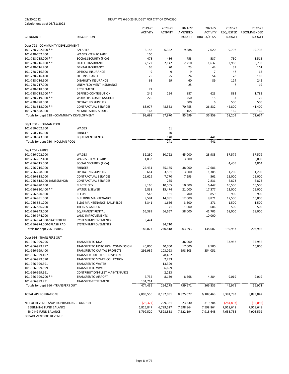#### 03/30/2022 DRAFT FYE 6-30-23 BUDGET FOR CITY OF OWOSSO

|                                             |                                                     | 2019-20         | 2020-21         | 2021-22         | 2021-22                                 | 2022-23                           | 2022-23                             |
|---------------------------------------------|-----------------------------------------------------|-----------------|-----------------|-----------------|-----------------------------------------|-----------------------------------|-------------------------------------|
| <b>GL NUMBER</b>                            | <b>DESCRIPTION</b>                                  | <b>ACTIVITY</b> | <b>ACTIVITY</b> | AMENDED         | <b>ACTIVITY</b><br>BUDGET THRU 03/31/22 | <b>REQUESTED</b><br><b>BUDGET</b> | <b>RECOMMENDED</b><br><b>BUDGET</b> |
|                                             |                                                     |                 |                 |                 |                                         |                                   |                                     |
| Dept 728 - COMMUNITY DEVELOPMENT            |                                                     |                 |                 |                 |                                         |                                   |                                     |
| 101-728-702.100 **                          | <b>SALARIES</b>                                     | 6,158           | 6,352           | 9,888           | 7,020                                   | 9,792                             | 19,798                              |
| 101-728-702.400                             | <b>WAGES - TEMPORARY</b>                            | 100             |                 |                 |                                         |                                   |                                     |
| 101-728-715.000 **                          | SOCIAL SECURITY (FICA)                              | 478             | 486             | 753             | 537                                     | 750                               | 1,515                               |
| 101-728-716.100 **<br>101-728-716.200       | <b>HEALTH INSURANCE</b><br>DENTAL INSURANCE         | 2,122<br>65     | 2,142<br>70     | 2,210<br>73     | 1,632<br>44                             | 2,988<br>39                       | 6,798<br>161                        |
| 101-728-716.300                             | OPTICAL INSURANCE                                   | 9               | 9               | 9               | 7                                       | 47                                | 63                                  |
| 101-728-716.400                             | LIFE INSURANCE                                      | 25              | 25              | 24              | 54                                      | 78                                | 116                                 |
| 101-728-716.500                             | <b>DISABILITY INSURANCE</b>                         | 63              | 69              | 60              | 89                                      | 124                               | 242                                 |
| 101-728-717.000                             | UNEMPLOYMENT INSURANCE                              |                 |                 | 25              |                                         | 7                                 | 19                                  |
| 101-728-718.000                             | <b>RETIREMENT</b>                                   | 72              |                 |                 |                                         |                                   |                                     |
| 101-728-718.200 **                          | DEFINED CONTRIBUTION                                | 246             | 254             | 887             | 623                                     | 882                               | 1,782                               |
| 101-728-719.000 **                          | <b>WORKERS' COMPENSATION</b>                        | 220             |                 | 250             | 15                                      | 37                                | 75                                  |
| 101-728-728.000                             | <b>OPERATING SUPPLIES</b>                           |                 |                 | 500             | 6                                       | 500                               | 500                                 |
| 101-728-818.000 **                          | <b>CONTRACTUAL SERVICES</b>                         | 83,977          | 48,563          | 70,755          | 26,832                                  | 42,800                            | 41,400                              |
| 101-728-858.000                             | <b>MEMBERSHIPS &amp; DUES</b>                       | 163             |                 | 165             |                                         | 165                               | 165                                 |
| Totals for dept 728 - COMMUNITY DEVELOPMENT |                                                     | 93,698          | 57,970          | 85,599          | 36,859                                  | 58,209                            | 72,634                              |
| Dept 750 - HOLMAN POOL                      |                                                     |                 |                 |                 |                                         |                                   |                                     |
| 101-750-702.200                             | WAGES                                               |                 | 61              |                 |                                         |                                   |                                     |
| 101-750-716.000                             | <b>FRINGES</b>                                      |                 | 40              |                 |                                         |                                   |                                     |
| 101-750-843.000                             | <b>EQUIPMENT RENTAL</b>                             |                 | 140             |                 | 441                                     |                                   |                                     |
| Totals for dept 750 - HOLMAN POOL           |                                                     |                 | 241             |                 | 441                                     |                                   |                                     |
| Dept 756 - PARKS                            |                                                     |                 |                 |                 |                                         |                                   |                                     |
| 101-756-702.200                             | WAGES                                               | 32,230          | 50,722          | 45,000          | 28,983                                  | 57,579                            | 57,579                              |
| 101-756-702.400                             | <b>WAGES - TEMPORARY</b>                            | 1,833           |                 | 3,300           |                                         |                                   | 6,000                               |
| 101-756-715.000                             | SOCIAL SECURITY (FICA)                              |                 |                 |                 |                                         | 4,405                             | 4,864                               |
| 101-756-716.000                             | <b>FRINGES</b>                                      | 27,431          | 35,185          | 38,000          | 17,686                                  |                                   |                                     |
| 101-756-728.000                             | <b>OPERATING SUPPLIES</b>                           | 614             | 3,561           | 3,000           | 1,385                                   | 1,200                             | 1,200                               |
| 101-756-818.000                             | <b>CONTRACTUAL SERVICES</b>                         | 26,629          | 7,770           | 7,293           | 561                                     | 15,000                            | 15,000                              |
| 101-756-818.000-JAMESMINOR                  | <b>CONTRACTUAL SERVICES</b>                         |                 | 255             |                 | 2,831                                   | 6,873                             | 6,873                               |
| 101-756-820.100                             | <b>ELECTRICITY</b>                                  | 8,166           | 10,505          | 10,500          | 6,447                                   | 10,500                            | 10,500                              |
| 101-756-820.400 **                          | <b>WATER &amp; SEWER</b>                            | 6,838           | 15,474          | 21,000          | 17,377                                  | 22,000                            | 25,000                              |
| 101-756-820.500                             | <b>REFUSE</b>                                       | 548             | 161             | 700             | 859                                     | 900                               | 900                                 |
| 101-756-831.000                             | <b>BUILDING MAINTENANCE</b>                         | 9,584           | 14,081          | 12,000          | 9,871                                   | 17,500                            | 16,000                              |
| 101-756-831.200                             | BLDG MAINTENANCE-BALLFIELDS                         | 3,341           | 1,666           | 3,500           | 371                                     | 1,500                             | 1,500                               |
| 101-756-836.200                             | <b>TREES &amp; GARDEN</b>                           |                 | 71<br>66,657    | 1,000<br>58,000 | 606<br>41,705                           | 500<br>58,000                     | 500<br>58,000                       |
| 101-756-843.000<br>101-756-974.000          | <b>EQUIPMENT RENTAL</b><br><b>LAND IMPROVEMENTS</b> | 55,389          |                 |                 | 10,000                                  |                                   |                                     |
| 101-756-974.000-SKATEPRK18                  | <b>SYSTEM IMPROVEMENTS</b>                          | 9,424           |                 |                 |                                         |                                   |                                     |
| 101-756-974.000-SPLASH PAD                  | <b>SYSTEM IMPROVEMENTS</b>                          |                 | 34,710          |                 |                                         |                                   |                                     |
| Totals for dept 756 - PARKS                 |                                                     | 182,027         | 240,818         | 203,293         | 138,682                                 | 195,957                           | 203,916                             |
|                                             |                                                     |                 |                 |                 |                                         |                                   |                                     |
| Dept 966 - TRANSFERS OUT<br>101-966-999.296 | TRANSFER TO DDA                                     |                 |                 | 36,000          |                                         | 37,952                            | 37,952                              |
| 101-966-999.297                             | TRANSFER TO HISTORICAL COMMISSION                   | 40,000          | 40,000          | 17,000          | 8,500                                   |                                   | 10,000                              |
| 101-966-999.400                             | TRANSFER TO CAPITAL PROJECTS                        | 291,989         | 103,093         | 698,103         | 354,051                                 |                                   |                                     |
| 101-966-999.497                             | TRANSFER OUT TO SUBDIVISION                         |                 | 78,482          |                 |                                         |                                   |                                     |
| 101-966-999.590                             | TRANSFER TO SEWER COLLECTION                        |                 | 2,233           |                 |                                         |                                   |                                     |
| 101-966-999.591                             | <b>TRANSFER TO WATER</b>                            |                 | 13,399          |                 |                                         |                                   |                                     |
| 101-966-999.599                             | <b>TRANSFER TO WWTP</b>                             |                 | 6,699           |                 |                                         |                                   |                                     |
| 101-966-999.661                             | <b>CONTRIBUTION-FLEET MAINTENANCE</b>               |                 | 2,233           |                 |                                         |                                   |                                     |
| 101-966-999.700 **                          | TRANSFER TO AIRPORT                                 | 7,732           | 8,139           | 8,568           | 4,284                                   | 9,019                             | 9,019                               |
| 101-966-999.731                             | TRANSFER-RETIREMENT                                 | 134,714         |                 |                 |                                         |                                   |                                     |
| Totals for dept 966 - TRANSFERS OUT         |                                                     | 474,435         | 254,278         | 759,671         | 366,835                                 | 46,971                            | 56,971                              |
| TOTAL APPROPRIATIONS                        |                                                     | 7,893,556       | 8,182,031       | 8,875,077       | 6,187,463                               | 8,381,783                         | 8,893,842                           |
| NET OF REVENUES/APPROPRIATIONS - FUND 101   |                                                     | (26, 327)       | 799,331         | 23,330          | 319,784                                 | (284, 893)                        | (15,056)                            |
| BEGINNING FUND BALANCE                      |                                                     | 6,825,847       | 6,799,527       | 7,598,864       | 7,598,864                               | 7,918,648                         | 7,918,648                           |
| <b>ENDING FUND BALANCE</b>                  |                                                     | 6,799,520       | 7,598,858       | 7,622,194       | 7,918,648                               | 7,633,755                         | 7,903,592                           |

DEPARTMENT 000 REVENUE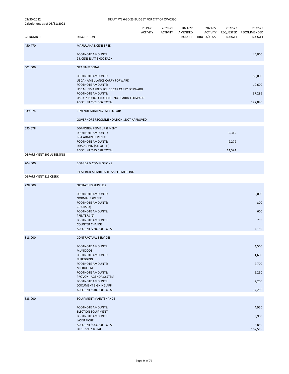| Calculations as 01 03/31/2022<br><b>GL NUMBER</b> | <b>DESCRIPTION</b>                                                    | 2019-20<br><b>ACTIVITY</b> | 2020-21<br><b>ACTIVITY</b> | 2021-22<br>AMENDED | 2021-22<br><b>ACTIVITY</b><br>BUDGET THRU 03/31/22 | 2022-23<br><b>BUDGET</b> | 2022-23<br>REQUESTED RECOMMENDED<br><b>BUDGET</b> |
|---------------------------------------------------|-----------------------------------------------------------------------|----------------------------|----------------------------|--------------------|----------------------------------------------------|--------------------------|---------------------------------------------------|
|                                                   |                                                                       |                            |                            |                    |                                                    |                          |                                                   |
| 450.470                                           | MARIJUANA LICENSE FEE<br><b>FOOTNOTE AMOUNTS:</b>                     |                            |                            |                    |                                                    |                          | 45,000                                            |
|                                                   | 9 LICENSES AT 5,000 EACH                                              |                            |                            |                    |                                                    |                          |                                                   |
| 501.506                                           | <b>GRANT-FEDERAL</b>                                                  |                            |                            |                    |                                                    |                          |                                                   |
|                                                   | <b>FOOTNOTE AMOUNTS:</b><br>USDA - AMBULANCE CARRY FORWARD            |                            |                            |                    |                                                    |                          | 80,000                                            |
|                                                   | <b>FOOTNOTE AMOUNTS:</b>                                              |                            |                            |                    |                                                    |                          | 10,600                                            |
|                                                   | USDA-UNMARKED POLICE CAR CARRY FORWARD<br><b>FOOTNOTE AMOUNTS:</b>    |                            |                            |                    |                                                    |                          | 37,286                                            |
|                                                   | USDA-2 POLICE CRUISERS - NOT CARRY FORWARD<br>ACCOUNT '501.506' TOTAL |                            |                            |                    |                                                    |                          | 127,886                                           |
| 539.574                                           | REVENUE SHARING - STATUTORY                                           |                            |                            |                    |                                                    |                          |                                                   |
|                                                   | GOVERNORS RECOMMENDATION NOT APPROVED                                 |                            |                            |                    |                                                    |                          |                                                   |
| 695.678                                           | DDA/OBRA REIMBURSEMENT<br><b>FOOTNOTE AMOUNTS:</b>                    |                            |                            |                    |                                                    | 5,315                    |                                                   |
|                                                   | <b>BRA ADMIN REVENUE</b>                                              |                            |                            |                    |                                                    |                          |                                                   |
|                                                   | <b>FOOTNOTE AMOUNTS:</b><br>DDA ADMIN (5% OF TIF)                     |                            |                            |                    |                                                    | 9,279                    |                                                   |
| DEPARTMENT 209 ASSESSING                          | ACCOUNT '695.678' TOTAL                                               |                            |                            |                    |                                                    | 14,594                   |                                                   |
| 704.000                                           | <b>BOARDS &amp; COMMISSIONS</b>                                       |                            |                            |                    |                                                    |                          |                                                   |
|                                                   | RAISE BOR MEMBERS TO 55 PER MEETING                                   |                            |                            |                    |                                                    |                          |                                                   |
| DEPARTMENT 215 CLERK                              |                                                                       |                            |                            |                    |                                                    |                          |                                                   |
| 728.000                                           | <b>OPERATING SUPPLIES</b>                                             |                            |                            |                    |                                                    |                          |                                                   |
|                                                   | <b>FOOTNOTE AMOUNTS:</b><br><b>NORMAL EXPENSE</b>                     |                            |                            |                    |                                                    |                          | 2,000                                             |
|                                                   | <b>FOOTNOTE AMOUNTS:</b>                                              |                            |                            |                    |                                                    |                          | 800                                               |
|                                                   | CHAIRS (3)<br><b>FOOTNOTE AMOUNTS:</b>                                |                            |                            |                    |                                                    |                          | 600                                               |
|                                                   | PRINTERS (2)<br><b>FOOTNOTE AMOUNTS:</b>                              |                            |                            |                    |                                                    |                          | 750                                               |
|                                                   | <b>COUNTER CHANGE</b><br>ACCOUNT '728.000' TOTAL                      |                            |                            |                    |                                                    |                          | 4,150                                             |
| 818.000                                           | CONTRACTUAL SERVICES                                                  |                            |                            |                    |                                                    |                          |                                                   |
|                                                   | <b>FOOTNOTE AMOUNTS:</b>                                              |                            |                            |                    |                                                    |                          |                                                   |
|                                                   | <b>MUNICODE</b>                                                       |                            |                            |                    |                                                    |                          | 4,500                                             |
|                                                   | <b>FOOTNOTE AMOUNTS:</b><br>SHREDDING                                 |                            |                            |                    |                                                    |                          | 1,600                                             |
|                                                   | <b>FOOTNOTE AMOUNTS:</b><br><b>MICROFILM</b>                          |                            |                            |                    |                                                    |                          | 2,700                                             |
|                                                   | <b>FOOTNOTE AMOUNTS:</b><br>PROVOX - AGENDA SYSTEM                    |                            |                            |                    |                                                    |                          | 6,250                                             |
|                                                   | <b>FOOTNOTE AMOUNTS:</b><br>DOCUMENT SIGNING APP                      |                            |                            |                    |                                                    |                          | 2,200                                             |
|                                                   | ACCOUNT '818.000' TOTAL                                               |                            |                            |                    |                                                    |                          | 17,250                                            |
| 833.000                                           | EQUIPMENT MAINTENANCE                                                 |                            |                            |                    |                                                    |                          |                                                   |
|                                                   | <b>FOOTNOTE AMOUNTS:</b>                                              |                            |                            |                    |                                                    |                          | 4,950                                             |
|                                                   | <b>ELECTION EQUIPMENT</b><br><b>FOOTNOTE AMOUNTS:</b>                 |                            |                            |                    |                                                    |                          | 3,900                                             |
|                                                   | <b>LASER FICHE</b><br>ACCOUNT '833.000' TOTAL                         |                            |                            |                    |                                                    |                          | 8,850                                             |
|                                                   | DEPT. '215' TOTAL                                                     |                            |                            |                    |                                                    |                          | 167,515                                           |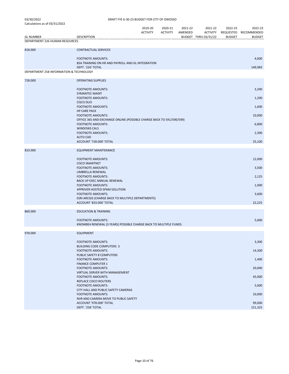| 03/30/2022                   |  |
|------------------------------|--|
| Calculations as of 03/31/202 |  |

| Calculations as of 03/31/2022           |                                                                                                  | 2019-20<br><b>ACTIVITY</b> | 2020-21<br><b>ACTIVITY</b> | 2021-22<br>AMENDED | 2021-22<br><b>ACTIVITY</b> | 2022-23       | 2022-23<br>REQUESTED RECOMMENDED |
|-----------------------------------------|--------------------------------------------------------------------------------------------------|----------------------------|----------------------------|--------------------|----------------------------|---------------|----------------------------------|
| <b>GL NUMBER</b>                        | <b>DESCRIPTION</b>                                                                               |                            |                            |                    | BUDGET THRU 03/31/22       | <b>BUDGET</b> | <b>BUDGET</b>                    |
| DEPARTMENT 226 HUMAN RESOURCES          |                                                                                                  |                            |                            |                    |                            |               |                                  |
| 818.000                                 | <b>CONTRACTUAL SERVICES</b>                                                                      |                            |                            |                    |                            |               |                                  |
|                                         | <b>FOOTNOTE AMOUNTS:</b>                                                                         |                            |                            |                    |                            |               | 4,000                            |
|                                         | BSA TRAINING ON HR AND PAYROLL AND GL INTEGRATION<br>DEPT. '226' TOTAL                           |                            |                            |                    |                            |               | 149,983                          |
| DEPARTMENT 258 INFORMATION & TECHNOLOGY |                                                                                                  |                            |                            |                    |                            |               |                                  |
| 728.000                                 | <b>OPERATING SUPPLIES</b>                                                                        |                            |                            |                    |                            |               |                                  |
|                                         | <b>FOOTNOTE AMOUNTS:</b>                                                                         |                            |                            |                    |                            |               | 3,200                            |
|                                         | <b>SYMANTEC MAINT</b><br><b>FOOTNOTE AMOUNTS:</b>                                                |                            | 1,200                      |                    |                            |               |                                  |
|                                         | <b>CISCO DUO</b><br><b>FOOTNOTE AMOUNTS:</b>                                                     |                            | 1,600                      |                    |                            |               |                                  |
|                                         | <b>HP CARE PACK</b>                                                                              |                            |                            |                    |                            |               |                                  |
|                                         | <b>FOOTNOTE AMOUNTS:</b><br>OFFICE 365 AND EXCHANGE ONLINE (POSSIBLE CHARGE BACK TO 591/590/599) |                            | 10,000                     |                    |                            |               |                                  |
|                                         | <b>FOOTNOTE AMOUNTS:</b><br><b>WINDOWS CALS</b>                                                  |                            | 6,800                      |                    |                            |               |                                  |
|                                         | <b>FOOTNOTE AMOUNTS:</b><br><b>AUTO CAD</b>                                                      |                            |                            |                    |                            |               | 2,300                            |
|                                         | ACCOUNT '728.000' TOTAL                                                                          |                            |                            |                    |                            |               | 25,100                           |
| 833.000                                 | <b>EQUIPMENT MAINTENANCE</b>                                                                     |                            |                            |                    |                            |               |                                  |
|                                         | <b>FOOTNOTE AMOUNTS:</b>                                                                         |                            |                            |                    |                            |               | 12,000                           |
|                                         | <b>CISCO SMARTNET</b><br><b>FOOTNOTE AMOUNTS:</b>                                                |                            |                            |                    |                            |               | 3,500                            |
|                                         | UMBRELLA RENEWAL                                                                                 |                            |                            |                    |                            |               |                                  |
|                                         | <b>FOOTNOTE AMOUNTS:</b><br>BACK UP EXEC ANNUAL RENEWAL                                          |                            |                            |                    |                            |               | 2,125                            |
|                                         | <b>FOOTNOTE AMOUNTS:</b><br>APPRIVER HOSTED SPAM SOLUTION                                        |                            |                            |                    |                            |               | 1,000                            |
|                                         | <b>FOOTNOTE AMOUNTS:</b>                                                                         |                            |                            |                    |                            |               | 3,600                            |
|                                         | ESRI ARCGIS (CHARGE BACK TO MULTIPLE DEPARTMENTS)<br>ACCOUNT '833.000' TOTAL                     |                            | 22,225                     |                    |                            |               |                                  |
| 860.000                                 | <b>EDUCATION &amp; TRAINING</b>                                                                  |                            |                            |                    |                            |               |                                  |
|                                         | <b>FOOTNOTE AMOUNTS:</b>                                                                         |                            |                            |                    |                            |               | 5,000                            |
|                                         | KNOWBE4 RENEWAL (3 YEARS) POSSIBLE CHARGE BACK TO MULTIPLE FUNDS                                 |                            |                            |                    |                            |               |                                  |
| 978.000                                 | <b>EQUIPMENT</b>                                                                                 |                            |                            |                    |                            |               |                                  |
|                                         | <b>FOOTNOTE AMOUNTS:</b>                                                                         |                            |                            |                    |                            |               | 3,300                            |
|                                         | <b>BUILDING CODE COMPUTERS 3</b><br><b>FOOTNOTE AMOUNTS:</b>                                     |                            |                            |                    |                            |               | 14,300                           |
|                                         | PUBLIC SAFETY 8 COMPUTERS<br><b>FOOTNOTE AMOUNTS:</b>                                            |                            |                            |                    |                            |               | 1,400                            |
|                                         | <b>FINANCE COMPUTER 1</b>                                                                        |                            |                            |                    |                            |               |                                  |
|                                         | <b>FOOTNOTE AMOUNTS:</b><br>VIRTUAL SERVER WITH MANAGEMENT                                       |                            |                            |                    |                            |               | 20,000                           |
|                                         | <b>FOOTNOTE AMOUNTS:</b><br>REPLACE CISCO ROUTERS                                                |                            |                            |                    |                            |               | 45,000                           |
|                                         | <b>FOOTNOTE AMOUNTS:</b><br>CITY HALL AND PUBLIC SAFETY CAMERAS                                  |                            |                            |                    |                            |               | 5,000                            |
|                                         | <b>FOOTNOTE AMOUNTS:</b>                                                                         |                            |                            |                    |                            |               | 10,000                           |
|                                         | NVR AND CAMERA MOVE TO PUBLIC SAFETY<br>ACCOUNT '978.000' TOTAL                                  |                            |                            |                    |                            |               | 99,000                           |
|                                         | DEPT. '258' TOTAL                                                                                |                            |                            |                    |                            |               | 151,325                          |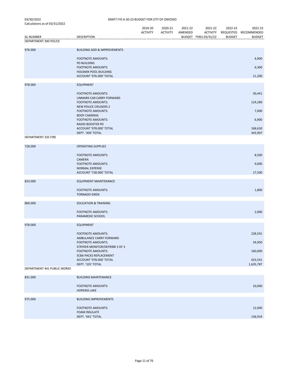|                                           |                                                            | 2019-20<br><b>ACTIVITY</b> | 2020-21<br><b>ACTIVITY</b> | 2021-22<br>AMENDED | 2021-22<br><b>ACTIVITY</b> | 2022-23<br><b>BUDGET</b> | 2022-23<br>REQUESTED RECOMMENDED<br><b>BUDGET</b> |
|-------------------------------------------|------------------------------------------------------------|----------------------------|----------------------------|--------------------|----------------------------|--------------------------|---------------------------------------------------|
| <b>GL NUMBER</b><br>DEPARTMENT 300 POLICE | <b>DESCRIPTION</b>                                         |                            |                            |                    | BUDGET THRU 03/31/22       |                          |                                                   |
| 976.000                                   | <b>BUILDING ADD &amp; IMPROVEMENTS</b>                     |                            |                            |                    |                            |                          |                                                   |
|                                           | <b>FOOTNOTE AMOUNTS:</b>                                   |                            |                            |                    |                            |                          | 4,900                                             |
|                                           | <b>PD BUILDING</b><br><b>FOOTNOTE AMOUNTS:</b>             |                            |                            |                    |                            |                          | 6,300                                             |
|                                           | <b>HOLMAN POOL BUILDING</b><br>ACCOUNT '976.000' TOTAL     |                            |                            |                    |                            |                          | 11,200                                            |
| 978.000                                   | <b>EQUIPMENT</b>                                           |                            |                            |                    |                            |                          |                                                   |
|                                           | <b>FOOTNOTE AMOUNTS:</b><br>UNMARK CAR CARRY FORWARD       |                            |                            |                    |                            |                          | 30,441                                            |
|                                           | <b>FOOTNOTE AMOUNTS:</b><br><b>NEW POLICE CRUISERS 2</b>   |                            |                            |                    |                            |                          | 124,289                                           |
|                                           | <b>FOOTNOTE AMOUNTS:</b><br><b>BODY CAMERAS</b>            |                            |                            |                    |                            |                          | 7,000                                             |
|                                           | <b>FOOTNOTE AMOUNTS:</b><br><b>RADIO BOOSTER PD</b>        |                            |                            |                    |                            |                          | 6,900                                             |
|                                           | ACCOUNT '978.000' TOTAL<br>DEPT. '300' TOTAL               |                            |                            |                    |                            |                          | 168,630<br>343,907                                |
| DEPARTMENT 335 FIRE                       |                                                            |                            |                            |                    |                            |                          |                                                   |
| 728.000                                   | <b>OPERATING SUPPLIES</b>                                  |                            |                            |                    |                            |                          |                                                   |
|                                           | <b>FOOTNOTE AMOUNTS:</b><br><b>CAMERA</b>                  |                            |                            |                    |                            |                          | 8,500                                             |
|                                           | <b>FOOTNOTE AMOUNTS:</b><br><b>NORMAL EXPENSE</b>          |                            |                            |                    |                            |                          | 9,000                                             |
|                                           | ACCOUNT '728.000' TOTAL                                    |                            |                            |                    |                            |                          | 17,500                                            |
| 833.000                                   | <b>EQUIPMENT MAINTENANCE</b>                               |                            |                            |                    |                            |                          |                                                   |
|                                           | <b>FOOTNOTE AMOUNTS:</b><br><b>TORNADO SIREN</b>           |                            |                            |                    |                            |                          | 1,800                                             |
| 860.000                                   | <b>EDUCATION &amp; TRAINING</b>                            |                            |                            |                    |                            |                          |                                                   |
|                                           | <b>FOOTNOTE AMOUNTS:</b><br>PARAMEDIC SCHOOL               |                            |                            |                    |                            |                          | 2,000                                             |
| 978.000                                   | <b>EQUIPMENT</b>                                           |                            |                            |                    |                            |                          |                                                   |
|                                           | <b>FOOTNOTE AMOUNTS:</b><br>AMBULANCE CARRY FORWARD        |                            |                            |                    |                            |                          | 228,591                                           |
|                                           | <b>FOOTNOTE AMOUNTS:</b><br>STRYKER MONITOR/DEFRIBR 3 OF 3 |                            |                            |                    |                            |                          | 34,950                                            |
|                                           | <b>FOOTNOTE AMOUNTS:</b><br><b>SCBA PACKS REPLACEMENT</b>  |                            |                            |                    |                            |                          | 160,000                                           |
|                                           | ACCOUNT '978.000' TOTAL<br>DEPT. '335' TOTAL               |                            |                            |                    |                            |                          | 423,541<br>1,635,787                              |
| DEPARTMENT 441 PUBLIC WORKS               |                                                            |                            |                            |                    |                            |                          |                                                   |
| 831.000                                   | <b>BUILDING MAINTENANCE</b>                                |                            |                            |                    |                            |                          |                                                   |
|                                           | <b>FOOTNOTE AMOUNTS:</b><br><b>HOPKINS LAKE</b>            |                            |                            |                    |                            |                          | 10,000                                            |
| 975.000                                   | <b>BUILDING IMPROVEMENTS</b>                               |                            |                            |                    |                            |                          |                                                   |
|                                           | <b>FOOTNOTE AMOUNTS:</b><br><b>FOAM INSULATE</b>           |                            |                            |                    |                            |                          | 12,000                                            |
|                                           | DEPT. '441' TOTAL                                          |                            |                            |                    |                            |                          | 136,924                                           |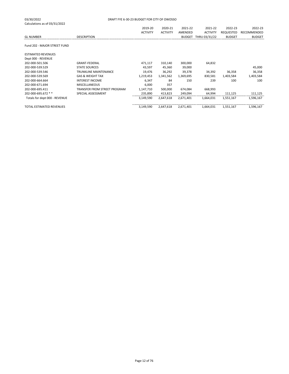| DRAFT FYE 6-30-23 BUDGET FOR CITY OF OWOSSO |                 |                 |           |                 |               |               |  |  |  |
|---------------------------------------------|-----------------|-----------------|-----------|-----------------|---------------|---------------|--|--|--|
|                                             |                 |                 |           |                 |               |               |  |  |  |
|                                             | 2019-20         | 2020-21         | 2021-22   | 2021-22         | 2022-23       | 2022-23       |  |  |  |
|                                             | <b>ACTIVITY</b> | <b>ACTIVITY</b> | AMENDED   | <b>ACTIVITY</b> | REQUESTED     | RECOMMENDED   |  |  |  |
| <b>DESCRIPTION</b>                          |                 |                 |           | THRU 03/31/22   | <b>BUDGET</b> | <b>BUDGET</b> |  |  |  |
|                                             |                 |                 |           |                 |               |               |  |  |  |
|                                             |                 |                 |           |                 |               |               |  |  |  |
|                                             |                 |                 |           |                 |               |               |  |  |  |
| <b>GRANT-FEDERAL</b>                        | 471,117         | 310,140         | 300,000   | 64,832          |               |               |  |  |  |
| <b>STATE SOURCES</b>                        | 43,597          | 45,360          | 39,000    |                 |               | 45,000        |  |  |  |
| <b>TRUNKLINE MAINTENANCE</b>                | 19,476          | 36,292          | 39,378    | 34,392          | 36,358        | 36,358        |  |  |  |
| <b>GAS &amp; WEIGHT TAX</b>                 | 1,219,453       | 1,341,562       | 1,369,695 | 830,581         | 1,403,584     | 1,403,584     |  |  |  |
| <b>INTEREST INCOME</b>                      | 6,347           | 84              | 150       | 239             | 100           | 100           |  |  |  |
| <b>MISCELLANEOUS</b>                        | 6,000           | 357             |           |                 |               |               |  |  |  |
| TRANSFER FROM STREET PROGRAM                | 1,147,710       | 500,000         | 674,084   | 668,993         |               |               |  |  |  |
| SPECIAL ASSESSMENT                          | 235,890         | 413,823         | 249,094   | 64,994          | 111,125       | 111,125       |  |  |  |
|                                             | 3,149,590       | 2,647,618       | 2,671,401 | 1,664,031       | 1,551,167     | 1,596,167     |  |  |  |
|                                             | 3,149,590       | 2,647,618       | 2,671,401 | 1,664,031       | 1,551,167     | 1,596,167     |  |  |  |
|                                             |                 |                 |           |                 | <b>BUDGET</b> |               |  |  |  |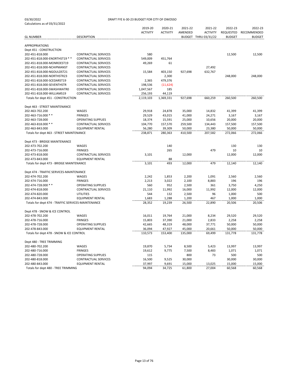|                                                    |                             | 2019-20         | 2020-21         | 2021-22      | 2021-22              | 2022-23       | 2022-23       |
|----------------------------------------------------|-----------------------------|-----------------|-----------------|--------------|----------------------|---------------|---------------|
|                                                    |                             | <b>ACTIVITY</b> | <b>ACTIVITY</b> | AMENDED      | <b>ACTIVITY</b>      | REQUESTED     | RECOMMENDED   |
| <b>GL NUMBER</b>                                   | <b>DESCRIPTION</b>          |                 |                 |              | BUDGET THRU 03/31/22 | <b>BUDGET</b> | <b>BUDGET</b> |
| <b>APPROPRIATIONS</b>                              |                             |                 |                 |              |                      |               |               |
| Dept 451 - CONSTRUCTION                            |                             |                 |                 |              |                      |               |               |
| 202-451-818.000                                    | <b>CONTRACTUAL SERVICES</b> | 580             |                 |              |                      | 12,500        | 12,500        |
| 202-451-818.000-ENORTHST19 **                      | <b>CONTRACTUAL SERVICES</b> | 549,009         | 451,764         |              |                      |               |               |
| 202-451-818.000-MONROEST19                         | <b>CONTRACTUAL SERVICES</b> | 49,269          | 61              |              |                      |               |               |
| 202-451-818.000-NCHIPMANST                         | <b>CONTRACTUAL SERVICES</b> |                 |                 |              | 27,492               |               |               |
| 202-451-818.000-NGOULDST21                         | <b>CONTRACTUAL SERVICES</b> | 15,584          | 403,150         | 927,698      | 632,767              |               |               |
| 202-451-818.000-NORTHSTR23                         | <b>CONTRACTUAL SERVICES</b> |                 | 2,300           |              |                      | 248,000       | 248,000       |
| 202-451-818.000-SCEDARST19                         | <b>CONTRACTUAL SERVICES</b> | 2,365           | 479,376         |              |                      |               |               |
| 202-451-818.000-SEVENTHSTR                         | <b>CONTRACTUAL SERVICES</b> | 198,536         | (11, 624)       |              |                      |               |               |
| 202-451-818.000-SWASHWATR0                         | <b>CONTRACTUAL SERVICES</b> | 1,047,567       | 185             |              |                      |               |               |
| 202-451-818.000-WILLIAMS19                         | <b>CONTRACTUAL SERVICES</b> | 256,193         | 44,119          |              |                      |               |               |
| Totals for dept 451 - CONSTRUCTION                 |                             | 2,119,103       | 1,369,331       | 927,698      | 660,259              | 260,500       | 260,500       |
|                                                    |                             |                 |                 |              |                      |               |               |
| Dept 463 - STREET MAINTENANCE                      |                             |                 |                 |              |                      |               |               |
| 202-463-702.200                                    | WAGES                       | 29,918          | 24,878          | 35,000       | 14,832               | 41,399        | 41,399        |
| 202-463-716.000 **                                 | <b>FRINGES</b>              | 29,529          | 43,015          | 41,000       | 24,271               | 3,167         | 3,167         |
| 202-463-728.000                                    | <b>OPERATING SUPPLIES</b>   | 18,374          | 15,591          | 25,000       | 10,656               | 20,000        | 20,000        |
| 202-463-818.000 **                                 | <b>CONTRACTUAL SERVICES</b> | 104,770         | 157,570         | 259,500      | 134,443              | 157,500       | 157,500       |
| 202-463-843.000                                    | <b>EQUIPMENT RENTAL</b>     | 56,280          | 39,309          | 50,000       | 23,380               | 50,000        | 50,000        |
| Totals for dept 463 - STREET MAINTENANCE           |                             | 238,871         | 280,363         | 410,500      | 207,582              | 272,066       | 272,066       |
| Dept 473 - BRIDGE MAINTENANCE                      |                             |                 |                 |              |                      |               |               |
| 202-473-702.200                                    | WAGES                       |                 | 140             |              |                      | 130           | 130           |
| 202-473-716.000                                    | <b>FRINGES</b>              |                 | 265             |              | 479                  | 10            | 10            |
| 202-473-818.000                                    | <b>CONTRACTUAL SERVICES</b> | 3,101           |                 | 12,000       |                      | 12,000        | 12,000        |
| 202-473-843.000                                    | <b>EQUIPMENT RENTAL</b>     |                 | 88              |              |                      |               |               |
| Totals for dept 473 - BRIDGE MAINTENANCE           |                             | 3,101           | 493             | 12,000       | 479                  | 12,140        | 12,140        |
| Dept 474 - TRAFFIC SERVICES-MAINTENANCE            |                             |                 |                 |              |                      |               |               |
| 202-474-702.200                                    | <b>WAGES</b>                | 2,242           | 1,853           | 2,200        | 1,091                | 2,560         | 2,560         |
| 202-474-716.000                                    | <b>FRINGES</b>              | 2,213           | 3,022           | 2,100        | 8,883                | 196           | 196           |
| 202-474-728.000 **                                 | <b>OPERATING SUPPLIES</b>   | 560             | 952             | 2,500        | 361                  | 3,750         | 4,250         |
| 202-474-818.000                                    | <b>CONTRACTUAL SERVICES</b> | 21,110          | 11,992          | 16,000       | 11,992               | 12,000        | 12,000        |
| 202-474-820.000                                    | <b>UTILITIES</b>            | 544             | 132             | 2,500        | 96                   | 1,000         | 500           |
| 202-474-843.000                                    | <b>EQUIPMENT RENTAL</b>     | 1,683           | 1,288           | 1,200        | 467                  | 1,000         | 1,000         |
| Totals for dept 474 - TRAFFIC SERVICES-MAINTENANCE |                             | 28,352          | 19,239          | 26,500       | 22,890               | 20,506        | 20,506        |
| Dept 478 - SNOW & ICE CONTROL                      |                             |                 |                 |              |                      |               |               |
| 202-478-702.200                                    | WAGES                       | 16,011          | 19,764          | 21,000       | 8,234                | 29,520        | 29,520        |
| 202-478-716.000                                    | <b>FRINGES</b>              | 15,803          | 37,390          | 21,000       | 2,833                | 2,258         | 2,258         |
| 202-478-728.000                                    | <b>OPERATING SUPPLIES</b>   | 42,665          | 48,319          | 48,000       | 37,771               | 50,000        | 50,000        |
| 202-478-843.000                                    | <b>EQUIPMENT RENTAL</b>     | 36,094          | 47,927          | 45,000       | 20,661               | 50,000        | 50,000        |
| Totals for dept 478 - SNOW & ICE CONTROL           |                             | 110,573         | 153,400         | 135,000      | 69,499               | 131,778       | 131,778       |
|                                                    |                             |                 |                 |              |                      |               |               |
| Dept 480 - TREE TRIMMING                           |                             |                 |                 |              |                      |               |               |
| 202-480-702.200<br>202-480-716.000                 | WAGES<br><b>FRINGES</b>     | 19,870          | 5,734           | 8,500        | 5,423                | 13,997        | 13,997        |
| 202-480-728.000                                    | <b>OPERATING SUPPLIES</b>   | 19,612<br>115   | 9,775           | 7,500<br>800 | 8,483<br>73          | 1,071<br>500  | 1,071<br>500  |
| 202-480-818.000                                    | <b>CONTRACTUAL SERVICES</b> | 16,500          | 9,525           | 30,000       |                      | 30,000        | 30,000        |
| 202-480-843.000                                    | <b>EQUIPMENT RENTAL</b>     | 37,997          | 9,691           | 15,000       | 13,025               | 15,000        | 15,000        |
| Totals for dept 480 - TREE TRIMMING                |                             | 94,094          | 34,725          | 61,800       | 27,004               | 60,568        | 60,568        |
|                                                    |                             |                 |                 |              |                      |               |               |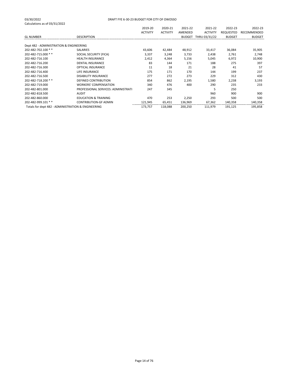|                                                    |                                     | 2019-20         | 2020-21         | 2021-22       | 2021-22         | 2022-23       | 2022-23       |
|----------------------------------------------------|-------------------------------------|-----------------|-----------------|---------------|-----------------|---------------|---------------|
|                                                    |                                     | <b>ACTIVITY</b> | <b>ACTIVITY</b> | AMENDED       | <b>ACTIVITY</b> | REQUESTED     | RECOMMENDED   |
| <b>GL NUMBER</b>                                   | <b>DESCRIPTION</b>                  |                 |                 | <b>BUDGET</b> | THRU 03/31/22   | <b>BUDGET</b> | <b>BUDGET</b> |
|                                                    |                                     |                 |                 |               |                 |               |               |
| Dept 482 - ADMINISTRATION & ENGINEERING            |                                     |                 |                 |               |                 |               |               |
| 202-482-702.100 **                                 | <b>SALARIES</b>                     | 43,606          | 42,484          | 48,912        | 33,417          | 36,084        | 35,905        |
| 202-482-715.000 **                                 | SOCIAL SECURITY (FICA)              | 3,337           | 3,248           | 3,733         | 2,438           | 2,761         | 2,748         |
| 202-482-716.100                                    | <b>HEALTH INSURANCE</b>             | 2,412           | 4,364           | 5,156         | 5,045           | 6,972         | 10,900        |
| 202-482-716.200                                    | <b>DENTAL INSURANCE</b>             | 83              | 144             | 171           | 188             | 275           | 397           |
| 202-482-716.300                                    | OPTICAL INSURANCE                   | 11              | 18              | 21            | 28              | 41            | 57            |
| 202-482-716.400                                    | LIFE INSURANCE                      | 175             | 171             | 170           | 144             | 199           | 237           |
| 202-482-716.500                                    | <b>DISABILITY INSURANCE</b>         | 277             | 272             | 273           | 229             | 312           | 430           |
| 202-482-718.200 **                                 | <b>DEFINED CONTRIBUTION</b>         | 854             | 862             | 2,195         | 1,580           | 2,238         | 3,193         |
| 202-482-719.000                                    | <b>WORKERS' COMPENSATION</b>        | 340             | 476             | 400           | 290             | 235           | 233           |
| 202-482-801.000                                    | PROFESSIONAL SERVICES: ADMINISTRATI | 247             | 345             |               |                 | 250           |               |
| 202-482-818.500                                    | <b>AUDIT</b>                        |                 |                 |               | 960             | 900           | 900           |
| 202-482-860.000                                    | <b>EDUCATION &amp; TRAINING</b>     | 470             | 253             | 2,250         | 293             | 500           | 500           |
| 202-482-999.101 **                                 | <b>CONTRIBUTION-GF ADMIN</b>        | 121,945         | 65,451          | 136,969       | 67,362          | 140,358       | 140,358       |
| Totals for dept 482 - ADMINISTRATION & ENGINEERING |                                     | 173,757         | 118,088         | 200,250       | 111,979         | 191,125       | 195,858       |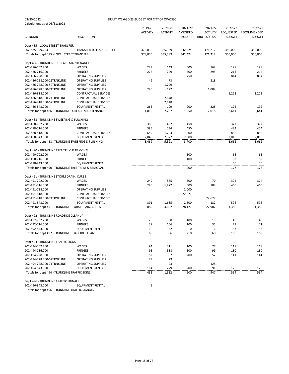#### 03/30/2022 DRAFT FYE 6-30-23 BUDGET FOR CITY OF OWOSSO

| <b>GL NUMBER</b>                                     | <b>DESCRIPTION</b>              | 2019-20<br><b>ACTIVITY</b> | 2020-21<br><b>ACTIVITY</b> | 2021-22<br>AMENDED | 2021-22<br><b>ACTIVITY</b><br>BUDGET THRU 03/31/22 | 2022-23<br><b>REQUESTED</b><br><b>BUDGET</b> | 2022-23<br>RECOMMENDED<br><b>BUDGET</b> |
|------------------------------------------------------|---------------------------------|----------------------------|----------------------------|--------------------|----------------------------------------------------|----------------------------------------------|-----------------------------------------|
|                                                      |                                 |                            |                            |                    |                                                    |                                              |                                         |
| Dept 485 - LOCAL STREET TRANSFER                     |                                 |                            |                            |                    |                                                    |                                              |                                         |
| 202-485-999.203                                      | <b>TRANSFER TO LOCAL STREET</b> | 378,030                    | 335,389                    | 342,424            | 171,212                                            | 350,000                                      | 350,000                                 |
| Totals for dept 485 - LOCAL STREET TRANSFER          |                                 | 378,030                    | 335,389                    | 342,424            | 171,212                                            | 350,000                                      | 350,000                                 |
| Dept 486 - TRUNKLINE SURFACE MAINTENANCE             |                                 |                            |                            |                    |                                                    |                                              |                                         |
| 202-486-702.200                                      | WAGES                           | 229                        | 149                        | 500                | 168                                                | 198                                          | 198                                     |
| 202-486-716.000                                      | <b>FRINGES</b>                  | 226                        | 229                        | 500                | 295                                                | 214                                          | 214                                     |
| 202-486-728.000                                      | <b>OPERATING SUPPLIES</b>       |                            |                            | 750                |                                                    | 814                                          | 814                                     |
| 202-486-728.000-21TRNKLINE                           | <b>OPERATING SUPPLIES</b>       | 49                         | 73                         |                    | 318                                                |                                              |                                         |
| 202-486-728.000-52TRNKLINE                           | OPERATING SUPPLIES              |                            | 1,729                      |                    |                                                    |                                              |                                         |
| 202-486-728.000-71TRNKLINE                           | <b>OPERATING SUPPLIES</b>       | 245                        | 122                        |                    | 1,009                                              |                                              |                                         |
| 202-486-818.000                                      | <b>CONTRACTUAL SERVICES</b>     |                            |                            |                    |                                                    | 1,223                                        | 1,223                                   |
| 202-486-818.000-21TRNKLINE                           | <b>CONTRACTUAL SERVICES</b>     |                            | 2,648                      |                    |                                                    |                                              |                                         |
| 202-486-818.000-52TRNKLINE                           | <b>CONTRACTUAL SERVICES</b>     |                            | 2,648                      |                    |                                                    |                                              |                                         |
| 202-486-843.000                                      | <b>EQUIPMENT RENTAL</b>         | 266                        | 109                        | 200                | 228                                                | 192                                          | 192                                     |
| Totals for dept 486 - TRUNKLINE SURFACE MAINTENANCE  |                                 | 1,015                      | 7,707                      | 1,950              | 2,018                                              | 2,641                                        | 2,641                                   |
| Dept 488 - TRUNKLINE SWEEPING & FLUSHING             |                                 |                            |                            |                    |                                                    |                                              |                                         |
| 202-488-702.200                                      | WAGES                           | 390                        | 492                        | 450                |                                                    | 372                                          | 372                                     |
| 202-488-716.000                                      | <b>FRINGES</b>                  | 385                        | 734                        | 450                |                                                    | 424                                          | 424                                     |
| 202-488-818.000                                      | <b>CONTRACTUAL SERVICES</b>     | 649                        | 1,723                      | 800                |                                                    | 856                                          | 856                                     |
| 202-488-843.000                                      | <b>EQUIPMENT RENTAL</b>         | 2,045                      | 2,372                      | 2,000              |                                                    | 2,010                                        | 2,010                                   |
| Totals for dept 488 - TRUNKLINE SWEEPING & FLUSHING  |                                 | 3,469                      | 5,321                      | 3,700              |                                                    | 3,662                                        | 3,662                                   |
| Dept 490 - TRUNKLINE TREE TRIIM & REMOVAL            |                                 |                            |                            |                    |                                                    |                                              |                                         |
| 202-490-702.200                                      | WAGES                           |                            |                            | 100                |                                                    | 65                                           | 65                                      |
| 202-490-716.000                                      | <b>FRINGES</b>                  |                            |                            | 100                |                                                    | 62                                           | 62                                      |
| 202-490-843.000                                      | <b>EQUIPMENT RENTAL</b>         |                            |                            |                    |                                                    | 50                                           | 50                                      |
| Totals for dept 490 - TRUNKLINE TREE TRIIM & REMOVAL |                                 |                            |                            | 200                |                                                    | 177                                          | 177                                     |
| Dept 491 - TRUNKLINE STORM DRAIN, CURBS              |                                 |                            |                            |                    |                                                    |                                              |                                         |
| 202-491-702.200                                      | WAGES                           | 249                        | 865                        | 500                | 70                                                 | 324                                          | 324                                     |
| 202-491-716.000                                      | <b>FRINGES</b>                  | 245                        | 1,472                      | 500                | 108                                                | 460                                          | 460                                     |
| 202-491-728.000                                      | OPERATING SUPPLIES              |                            |                            | 2,000              |                                                    |                                              |                                         |
| 202-491-818.000                                      | CONTRACTUAL SERVICES            |                            |                            | 22,627             |                                                    |                                              |                                         |
| 202-491-818.000-71TRNKLINE                           | CONTRACTUAL SERVICES            |                            |                            |                    | 22,627                                             |                                              |                                         |
| 202-491-843.000                                      | <b>EQUIPMENT RENTAL</b>         | 391                        | 1,685                      | 2,500              | 182                                                | 596                                          | 596                                     |
| Totals for dept 491 - TRUNKLINE STORM DRAIN, CURBS   |                                 | 885                        | 4,022                      | 28,127             | 22,987                                             | 1,380                                        | 1,380                                   |
| Dept 492 - TRUNKLINE ROADSIDE CLEANUP                |                                 |                            |                            |                    |                                                    |                                              |                                         |
| 202-492-702.200                                      | WAGES                           | 28                         | 88                         | 100                | 19                                                 | 45                                           | 45                                      |
| 202-492-716.000                                      | <b>FRINGES</b>                  | 27                         | 166                        | 100                | 35                                                 | 71                                           | 71                                      |
| 202-492-843.000                                      | <b>EQUIPMENT RENTAL</b>         | 10                         | 142                        | 10                 | 6                                                  | 53                                           | 53                                      |
| Totals for dept 492 - TRUNKLINE ROADSIDE CLEANUP     |                                 | 65                         | 396                        | 210                | 60                                                 | 169                                          | 169                                     |
| Dept 494 - TRUNKLINE TRAFFIC SIGNS                   |                                 |                            |                            |                    |                                                    |                                              |                                         |
| 202-494-702.200                                      | WAGES                           | 94                         | 311                        | 100                | 77                                                 | 118                                          | 118                                     |
| 202-494-716.000                                      | <b>FRINGES</b>                  | 93                         | 588                        | 100                | 99                                                 | 180                                          | 180                                     |
| 202-494-728.000                                      | OPERATING SUPPLIES              | 52                         | 52                         | 200                | 52                                                 | 141                                          | 141                                     |
| 202-494-728.000-52TRNKLINE                           | <b>OPERATING SUPPLIES</b>       | 79                         | 79                         |                    |                                                    |                                              |                                         |
| 202-494-728.000-71TRNKLINE                           | <b>OPERATING SUPPLIES</b>       |                            | 23                         |                    | 128                                                |                                              |                                         |
| 202-494-843.000                                      | <b>EQUIPMENT RENTAL</b>         | 114                        | 279                        | 200                | 91                                                 | 125                                          | 125                                     |
| Totals for dept 494 - TRUNKLINE TRAFFIC SIGNS        |                                 | 432                        | 1,332                      | 600                | 447                                                | 564                                          | 564                                     |
| Dept 496 - TRUNKLINE TRAFFIC SIGNALS                 |                                 |                            |                            |                    |                                                    |                                              |                                         |
| 202-496-843.000                                      | <b>EQUIPMENT RENTAL</b>         | 5                          |                            |                    |                                                    |                                              |                                         |

Totals for dept 496 - TRUNKLINE TRAFFIC SIGNALS 5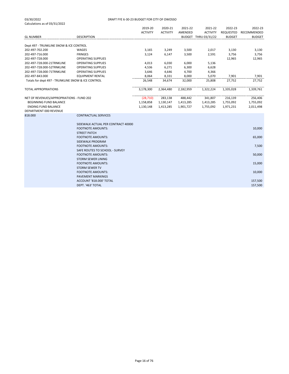|                                                                                                                             |                                                                                       | 2019-20                             | 2020-21                           | 2021-22                           | 2021-22                           | 2022-23                           | 2022-23                           |
|-----------------------------------------------------------------------------------------------------------------------------|---------------------------------------------------------------------------------------|-------------------------------------|-----------------------------------|-----------------------------------|-----------------------------------|-----------------------------------|-----------------------------------|
|                                                                                                                             |                                                                                       | <b>ACTIVITY</b>                     | <b>ACTIVITY</b>                   | AMENDED                           | <b>ACTIVITY</b>                   | REQUESTED                         | RECOMMENDED                       |
| <b>GL NUMBER</b>                                                                                                            | <b>DESCRIPTION</b>                                                                    |                                     |                                   |                                   | BUDGET THRU 03/31/22              | <b>BUDGET</b>                     | <b>BUDGET</b>                     |
| Dept 497 - TRUNKLINE SNOW & ICE CONTROL                                                                                     |                                                                                       |                                     |                                   |                                   |                                   |                                   |                                   |
| 202-497-702.200                                                                                                             | WAGES                                                                                 | 3,165                               | 3,249                             | 3,500                             | 2,017                             | 3,130                             | 3,130                             |
| 202-497-716.000                                                                                                             | <b>FRINGES</b>                                                                        | 3,124                               | 6,147                             | 3,500                             | 2,591                             | 3,756                             | 3,756                             |
| 202-497-728.000                                                                                                             | <b>OPERATING SUPPLIES</b>                                                             |                                     |                                   |                                   |                                   | 12,965                            | 12,965                            |
| 202-497-728.000-21TRNKLINE                                                                                                  | <b>OPERATING SUPPLIES</b>                                                             | 4,013                               | 6,030                             | 6,000                             | 5,136                             |                                   |                                   |
| 202-497-728.000-52TRNKLINE                                                                                                  | <b>OPERATING SUPPLIES</b>                                                             | 4,536                               | 6,271                             | 6,300                             | 6,628                             |                                   |                                   |
| 202-497-728.000-71TRNKLINE                                                                                                  | <b>OPERATING SUPPLIES</b>                                                             | 3,646                               | 4,646                             | 4,700                             | 4,366                             |                                   |                                   |
| 202-497-843.000                                                                                                             | <b>EQUIPMENT RENTAL</b>                                                               | 8,064                               | 8,331                             | 8,000                             | 5,070                             | 7,901                             | 7,901                             |
| Totals for dept 497 - TRUNKLINE SNOW & ICE CONTROL                                                                          |                                                                                       | 26,548                              | 34,674                            | 32,000                            | 25,808                            | 27.752                            | 27,752                            |
|                                                                                                                             |                                                                                       |                                     |                                   |                                   |                                   |                                   |                                   |
| <b>TOTAL APPROPRIATIONS</b>                                                                                                 |                                                                                       | 3,178,300                           | 2,364,480                         | 2,182,959                         | 1,322,224                         | 1,335,028                         | 1,339,761                         |
| NET OF REVENUES/APPROPRIATIONS - FUND 202<br>BEGINNING FUND BALANCE<br><b>ENDING FUND BALANCE</b><br>DEPARTMENT 000 REVENUE |                                                                                       | (28, 710)<br>1,158,858<br>1,130,148 | 283,138<br>1,130,147<br>1,413,285 | 488,442<br>1,413,285<br>1,901,727 | 341,807<br>1,413,285<br>1,755,092 | 216,139<br>1,755,092<br>1,971,231 | 256,406<br>1,755,092<br>2,011,498 |
| 818.000                                                                                                                     | <b>CONTRACTUAL SERVICES</b>                                                           |                                     |                                   |                                   |                                   |                                   |                                   |
|                                                                                                                             | SIDEWALK ACTUAL PER CONTRACT 40000<br><b>FOOTNOTE AMOUNTS:</b><br><b>STREET PATCH</b> |                                     |                                   |                                   |                                   |                                   | 10,000                            |
|                                                                                                                             | <b>FOOTNOTE AMOUNTS:</b><br>SIDEWALK PROGRAM                                          |                                     |                                   |                                   |                                   |                                   | 65,000                            |
|                                                                                                                             | <b>FOOTNOTE AMOUNTS:</b><br>SAFE ROUTES TO SCHOOL - SURVEY                            |                                     |                                   |                                   |                                   |                                   | 7,500                             |
|                                                                                                                             | <b>FOOTNOTE AMOUNTS:</b><br><b>STORM SEWER LINING</b>                                 |                                     |                                   |                                   |                                   |                                   | 50,000                            |
|                                                                                                                             | <b>FOOTNOTE AMOUNTS:</b><br><b>STORM SEWER TV</b>                                     |                                     |                                   |                                   |                                   |                                   | 15,000                            |
|                                                                                                                             | <b>FOOTNOTE AMOUNTS:</b><br><b>PAVEMENT MARKINGS</b>                                  |                                     |                                   |                                   |                                   |                                   | 10,000                            |
|                                                                                                                             | ACCOUNT '818,000' TOTAL<br>DEPT. '463' TOTAL                                          |                                     |                                   |                                   |                                   |                                   | 157,500<br>157,500                |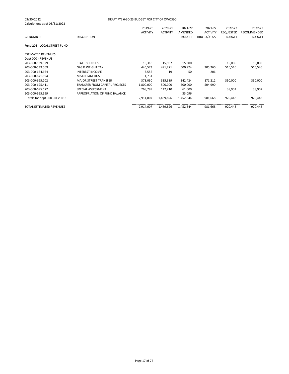| 03/30/2022<br>Calculations as of 03/31/2022 | DRAFT FYE 6-30-23 BUDGET FOR CITY OF OWOSSO |                 |                 |           |                      |                  |               |
|---------------------------------------------|---------------------------------------------|-----------------|-----------------|-----------|----------------------|------------------|---------------|
|                                             |                                             | 2019-20         | 2020-21         | 2021-22   | 2021-22              | 2022-23          | 2022-23       |
|                                             |                                             | <b>ACTIVITY</b> | <b>ACTIVITY</b> | AMENDED   | <b>ACTIVITY</b>      | <b>REQUESTED</b> | RECOMMENDED   |
| <b>GL NUMBER</b>                            | <b>DESCRIPTION</b>                          |                 |                 |           | BUDGET THRU 03/31/22 | <b>BUDGET</b>    | <b>BUDGET</b> |
| Fund 203 - LOCAL STREET FUND                |                                             |                 |                 |           |                      |                  |               |
| <b>ESTIMATED REVENUES</b>                   |                                             |                 |                 |           |                      |                  |               |
| Dept 000 - REVENUE                          |                                             |                 |                 |           |                      |                  |               |
| 203-000-539.529                             | <b>STATE SOURCES</b>                        | 15,318          | 15,937          | 15,300    |                      | 15,000           | 15,000        |
| 203-000-539.569                             | <b>GAS &amp; WEIGHT TAX</b>                 | 446,573         | 491,271         | 500,974   | 305,260              | 516,546          | 516,546       |
| 203-000-664.664                             | <b>INTEREST INCOME</b>                      | 3,556           | 19              | 50        | 206                  |                  |               |
| 203-000-671.694                             | <b>MISCELLANEOUS</b>                        | 1,731           |                 |           |                      |                  |               |
| 203-000-695.202                             | <b>MAJOR STREET TRANSFER</b>                | 378,030         | 335,389         | 342,424   | 171,212              | 350,000          | 350,000       |
| 203-000-695.411                             | <b>TRANSFER FROM CAPITAL PROJECTS</b>       | 1,800,000       | 500,000         | 500,000   | 504,990              |                  |               |
| 203-000-695.672                             | SPECIAL ASSESSMENT                          | 268,799         | 147,210         | 61,000    |                      | 38,902           | 38,902        |
| 203-000-695.699                             | APPROPRIATION OF FUND BALANCE               |                 |                 | 33,096    |                      |                  |               |
| Totals for dept 000 - REVENUE               |                                             | 2,914,007       | 1,489,826       | 1,452,844 | 981,668              | 920,448          | 920,448       |
| <b>TOTAL ESTIMATED REVENUES</b>             |                                             | 2,914,007       | 1,489,826       | 1,452,844 | 981,668              | 920,448          | 920,448       |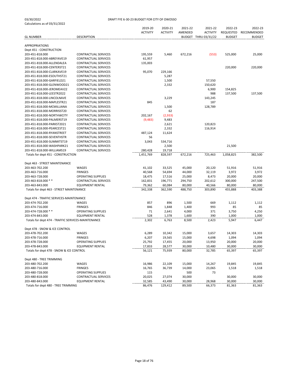|                                                                       |                             | 2019-20<br><b>ACTIVITY</b> | 2020-21<br><b>ACTIVITY</b> | 2021-22<br>AMENDED | 2021-22<br><b>ACTIVITY</b> | 2022-23<br>REQUESTED | 2022-23<br>RECOMMENDED |
|-----------------------------------------------------------------------|-----------------------------|----------------------------|----------------------------|--------------------|----------------------------|----------------------|------------------------|
| <b>GL NUMBER</b>                                                      | <b>DESCRIPTION</b>          |                            |                            |                    | BUDGET THRU 03/31/22       | <b>BUDGET</b>        | <b>BUDGET</b>          |
| <b>APPROPRIATIONS</b>                                                 |                             |                            |                            |                    |                            |                      |                        |
| Dept 451 - CONSTRUCTION                                               |                             |                            |                            |                    |                            |                      |                        |
| 203-451-818.000                                                       | CONTRACTUAL SERVICES        | 195,559                    | 5,460                      | 672,216            | (553)                      | 525,000              | 25,000                 |
| 203-451-818.000-ABREYAVE19                                            | CONTRACTUAL SERVICES        | 61,957                     |                            |                    |                            |                      |                        |
| 203-451-818.000-ALLENDALEA                                            | CONTRACTUAL SERVICES        | 135,003                    |                            |                    |                            |                      |                        |
| 203-451-818.000-CENTERST21                                            | CONTRACTUAL SERVICES        |                            |                            |                    |                            | 220,000              | 220,000                |
| 203-451-818.000-CLARKAVE19                                            | CONTRACTUAL SERVICES        | 95,070                     | 229,166                    |                    |                            |                      |                        |
| 203-451-818.000-ESOUTHST21                                            | CONTRACTUAL SERVICES        |                            | 5,287                      |                    |                            |                      |                        |
| 203-451-818.000-GARFIELD21                                            | <b>CONTRACTUAL SERVICES</b> |                            | 1,500                      |                    | 57,550                     |                      |                        |
| 203-451-818.000-GLENWOOD21                                            | CONTRACTUAL SERVICES        |                            | 2,332                      |                    | 150,620                    |                      |                        |
| 203-451-818.000-JEROMEAV22                                            | CONTRACTUAL SERVICES        |                            |                            |                    | 6,900                      | 154,825              |                        |
| 203-451-818.000-LEESTR2022                                            | CONTRACTUAL SERVICES        |                            |                            |                    | 988                        | 137,500              | 137,500                |
| 203-451-818.000-LINCOLNAVE                                            | CONTRACTUAL SERVICES        |                            | 3,229                      |                    | 143,245                    |                      |                        |
| 203-451-818.000-MAPLESTR21                                            | CONTRACTUAL SERVICES        | 845                        |                            |                    | 187                        |                      |                        |
| 203-451-818.000-MCMILLIANA                                            | CONTRACTUAL SERVICES        |                            | 1,500                      |                    | 128,789                    |                      |                        |
| 203-451-818.000-MORRISST20                                            | CONTRACTUAL SERVICES        |                            | 62                         |                    |                            |                      |                        |
| 203-451-818.000-NORTHWCITY                                            | <b>CONTRACTUAL SERVICES</b> | 202,167                    | (2,933)                    |                    |                            |                      |                        |
| 203-451-818.000-PALMERST19                                            | <b>CONTRACTUAL SERVICES</b> | (9,483)                    | 9,483                      |                    |                            |                      |                        |
| 203-451-818.000-PARKST2021                                            | <b>CONTRACTUAL SERVICES</b> |                            | 2,621                      |                    | 120,823                    |                      |                        |
| 203-451-818.000-PEARCEST21                                            | CONTRACTUAL SERVICES        |                            | 2,332                      |                    | 116,914                    |                      |                        |
| 203-451-818.000-RYANSTREET                                            | CONTRACTUAL SERVICES        | 487,124                    | 11,624                     |                    |                            |                      |                        |
| 203-451-818.000-SEVENTHSTR                                            | CONTRACTUAL SERVICES        | 56                         |                            |                    |                            |                      |                        |
| 203-451-818.000-SUMMITST19                                            | CONTRACTUAL SERVICES        | 3,043                      | 534,716                    |                    |                            |                      |                        |
| 203-451-818.000-WASHPARK21                                            | CONTRACTUAL SERVICES        |                            | 2,500                      |                    |                            | 21,500               |                        |
| 203-451-818.000-WILLIAMS19                                            | CONTRACTUAL SERVICES        | 280,428<br>1,451,769       | 19,718                     | 672,216            | 725,463                    |                      |                        |
| Totals for dept 451 - CONSTRUCTION                                    |                             |                            | 828,597                    |                    |                            | 1,058,825            | 382,500                |
| Dept 463 - STREET MAINTENANCE                                         |                             |                            |                            |                    |                            |                      |                        |
| 203-463-702.200                                                       | WAGES                       | 41,102                     | 33,525                     | 45,000             | 20,120                     | 51,916               | 51,916                 |
| 203-463-716.000                                                       | <b>FRINGES</b>              | 40,568                     | 54,694                     | 44,000             | 32,119                     | 3,972                | 3,972                  |
| 203-463-728.000                                                       | <b>OPERATING SUPPLIES</b>   | 18,475                     | 17,516                     | 25,000             | 8,473                      | 20,000               | 20,000                 |
| 203-463-818.000 * *                                                   | CONTRACTUAL SERVICES        | 162,831                    | 196,771                    | 294,750            | 202,612                    | 300,000              | 247,500                |
| 203-463-843.000                                                       | EQUIPMENT RENTAL            | 79,362                     | 60,084                     | 80,000             | 40,566                     | 80,000               | 80,000                 |
| Totals for dept 463 - STREET MAINTENANCE                              |                             | 342,338                    | 362,590                    | 488,750            | 303,890                    | 455,888              | 403,388                |
|                                                                       |                             |                            |                            |                    |                            |                      |                        |
| Dept 474 - TRAFFIC SERVICES-MAINTENANCE                               |                             |                            |                            |                    |                            |                      |                        |
| 203-474-702.200                                                       | WAGES                       | 857                        | 896                        | 1,500              | 669                        | 1,112                | 1,112                  |
| 203-474-716.000                                                       | <b>FRINGES</b>              | 846                        | 1,848                      | 1,400              | 993                        | 85                   | 85                     |
| 203-474-728.000 **                                                    | <b>OPERATING SUPPLIES</b>   | 71                         | 2,641                      | 4,000              | 371                        | 3,750                | 4,250                  |
| 203-474-843.000<br>Totals for dept 474 - TRAFFIC SERVICES-MAINTENANCE | <b>EQUIPMENT RENTAL</b>     | 528                        | 1,378                      | 1,600              | 390                        | 1,000                | 1,000                  |
|                                                                       |                             | 2,302                      | 6,763                      | 8,500              | 2,423                      | 5,947                | 6,447                  |
| Dept 478 - SNOW & ICE CONTROL                                         |                             |                            |                            |                    |                            |                      |                        |
| 203-478-702.200                                                       | WAGES                       | 6,289                      | 10,342                     | 15,000             | 3,657                      | 14,303               | 14,303                 |
| 203-478-716.000                                                       | <b>FRINGES</b>              | 6,207                      | 19,565                     | 15,000             | 4,698                      | 1,094                | 1,094                  |
| 203-478-728.000                                                       | <b>OPERATING SUPPLIES</b>   | 25,792                     | 17,455                     | 20,000             | 13,950                     | 20,000               | 20,000                 |
| 203-478-843.000                                                       | <b>EQUIPMENT RENTAL</b>     | 17,833                     | 28,577                     | 30,000             | 10,480                     | 30,000               | 30,000                 |
| Totals for dept 478 - SNOW & ICE CONTROL                              |                             | 56,121                     | 75,939                     | 80,000             | 32,785                     | 65,397               | 65,397                 |
|                                                                       |                             |                            |                            |                    |                            |                      |                        |
| Dept 480 - TREE TRIMMING                                              |                             |                            |                            |                    |                            |                      |                        |
| 203-480-702.200                                                       | WAGES                       | 16,986                     | 22,109                     | 15,000             | 14,267                     | 19,845               | 19,845                 |
| 203-480-716.000                                                       | FRINGES                     | 16,765                     | 36,739                     | 14,000             | 23,065                     | 1,518                | 1,518                  |
| 203-480-728.000                                                       | <b>OPERATING SUPPLIES</b>   | 115                        |                            | 500                | 73                         |                      |                        |
| 203-480-818.000                                                       | CONTRACTUAL SERVICES        | 20,025                     | 27,074                     | 30,000             |                            | 30,000               | 30,000                 |
| 203-480-843.000                                                       | <b>EQUIPMENT RENTAL</b>     | 32,585                     | 43,490                     | 30,000             | 28,968                     | 30,000               | 30,000                 |
| Totals for dept 480 - TREE TRIMMING                                   |                             | 86,476                     | 129,412                    | 89,500             | 66,373                     | 81,363               | 81,363                 |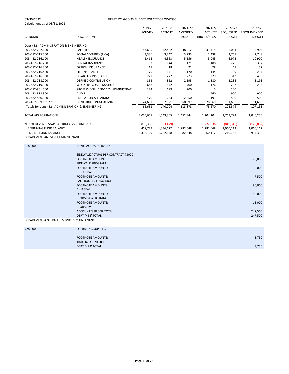#### 03/30/2022 DRAFT FYE 6-30-23 BUDGET FOR CITY OF OWOSSO

|                                                    |                                     | 2019-20         | 2020-21         | 2021-22   | 2021-22              | 2022-23          | 2022-23       |
|----------------------------------------------------|-------------------------------------|-----------------|-----------------|-----------|----------------------|------------------|---------------|
|                                                    |                                     | <b>ACTIVITY</b> | <b>ACTIVITY</b> | AMENDED   | <b>ACTIVITY</b>      | <b>REQUESTED</b> | RECOMMENDED   |
| <b>GL NUMBER</b>                                   | <b>DESCRIPTION</b>                  |                 |                 |           | BUDGET THRU 03/31/22 | <b>BUDGET</b>    | <b>BUDGET</b> |
|                                                    |                                     |                 |                 |           |                      |                  |               |
| Dept 482 - ADMINISTRATION & ENGINEERING            |                                     |                 |                 |           |                      |                  |               |
| 203-482-702.100                                    | <b>SALARIES</b>                     | 43,605          | 42,482          | 48,912    | 33,415               | 36,084           | 35,905        |
| 203-482-715.000                                    | SOCIAL SECURITY (FICA)              | 3,336           | 3,247           | 3,733     | 2,438                | 2,761            | 2,748         |
| 203-482-716.100                                    | <b>HEALTH INSURANCE</b>             | 2,412           | 4,363           | 5,156     | 5,045                | 6,972            | 10,900        |
| 203-482-716.200                                    | <b>DENTAL INSURANCE</b>             | 83              | 144             | 171       | 188                  | 275              | 397           |
| 203-482-716.300                                    | <b>OPTICAL INSURANCE</b>            | 11              | 18              | 21        | 28                   | 41               | 57            |
| 203-482-716.400                                    | LIFE INSURANCE                      | 175             | 171             | 170       | 144                  | 199              | 237           |
| 203-482-716.500                                    | <b>DISABILITY INSURANCE</b>         | 277             | 272             | 273       | 229                  | 312              | 430           |
| 203-482-718.200                                    | DEFINED CONTRIBUTION                | 853             | 862             | 2,195     | 1,580                | 2,238            | 3,193         |
| 203-482-719.000                                    | <b>WORKERS' COMPENSATION</b>        | 648             | 172             | 700       | 176                  | 237              | 233           |
| 203-482-801.000                                    | PROFESSIONAL SERVICES: ADMINISTRATI | 124             | 199             | 200       | 5                    | 200              |               |
| 203-482-818.500                                    | <b>AUDIT</b>                        |                 |                 |           | 960                  | 900              | 900           |
| 203-482-860.000                                    | <b>EDUCATION &amp; TRAINING</b>     | 470             | 253             | 2,250     | 193                  | 500              | 500           |
| 203-482-999.101 **                                 | <b>CONTRIBUTION-GF ADMIN</b>        | 44,657          | 87,821          | 50,097    | 28,869               | 51,655           | 51,655        |
| Totals for dept 482 - ADMINISTRATION & ENGINEERING |                                     | 96,651          | 140,004         | 113,878   | 73,270               | 102,374          | 107,155       |
|                                                    |                                     |                 |                 |           |                      |                  |               |
| <b>TOTAL APPROPRIATIONS</b>                        |                                     | 2,035,657       | 1,543,305       | 1,452,844 | 1,204,204            | 1,769,794        | 1,046,250     |
|                                                    |                                     |                 |                 |           |                      |                  |               |
| NET OF REVENUES/APPROPRIATIONS - FUND 203          |                                     | 878,350         | (53, 479)       |           | (222, 536)           | (849, 346)       | (125, 802)    |
| <b>BEGINNING FUND BALANCE</b>                      |                                     | 457,779         | 1,336,127       | 1,282,648 | 1,282,648            | 1,060,112        | 1,060,112     |
| <b>ENDING FUND BALANCE</b>                         |                                     | 1,336,129       | 1,282,648       | 1,282,648 | 1,060,112            | 210,766          | 934,310       |
| DEPARTMENT 463 STREET MAINTENANCE                  |                                     |                 |                 |           |                      |                  |               |
|                                                    |                                     |                 |                 |           |                      |                  |               |
| 818,000                                            | <b>CONTRACTUAL SERVICES</b>         |                 |                 |           |                      |                  |               |
|                                                    |                                     |                 |                 |           |                      |                  |               |
|                                                    | SIDEWALK ACTUAL PER CONTRACT 73000  |                 |                 |           |                      |                  |               |
|                                                    | <b>FOOTNOTE AMOUNTS:</b>            |                 |                 |           |                      |                  | 75,000        |

SIDEWALK PROGRAM

SAFE ROUTES TO SCHOOL

STORM SEWER LINING

DEPT. '463' TOTAL

STREET PATCH

CHIP SEAL

STORM TV

DEPARTMENT 474 TRAFFIC SERVICES-MAINTENANCE

| 728.000 | <b>OPERATING SUPPLIES</b> |       |
|---------|---------------------------|-------|
|         |                           |       |
|         | FOOTNOTE AMOUNTS:         | 3,750 |
|         | <b>TRAFFIC COUNTER 4</b>  |       |
|         | DEPT. '474' TOTAL         | 3,750 |
|         |                           |       |

FOOTNOTE AMOUNTS: 20,000 to the control of the control of the control of the control of the control of the control of the control of the control of the control of the control of the control of the control of the control of

FOOTNOTE AMOUNTS: 7,500

FOOTNOTE AMOUNTS: 90,000

FOOTNOTE AMOUNTS: 50,000

FOOTNOTE AMOUNTS: 15,000

ACCOUNT '818.000' TOTAL 247,500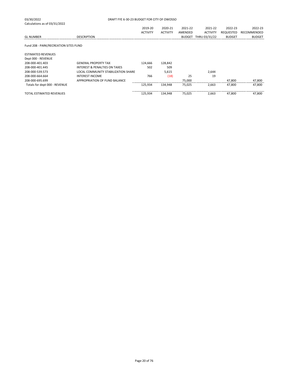| 03/30/2022                            | DRAFT FYE 6-30-23 BUDGET FOR CITY OF OWOSSO |                 |                 |               |                 |               |               |
|---------------------------------------|---------------------------------------------|-----------------|-----------------|---------------|-----------------|---------------|---------------|
| Calculations as of 03/31/2022         |                                             |                 |                 |               |                 |               |               |
|                                       |                                             | 2019-20         | 2020-21         | 2021-22       | 2021-22         | 2022-23       | 2022-23       |
|                                       |                                             | <b>ACTIVITY</b> | <b>ACTIVITY</b> | AMENDED       | <b>ACTIVITY</b> | REQUESTED     | RECOMMENDED   |
| <b>GL NUMBER</b>                      | <b>DESCRIPTION</b>                          |                 |                 | <b>BUDGET</b> | THRU 03/31/22   | <b>BUDGET</b> | <b>BUDGET</b> |
| Fund 208 - PARK/RECREATION SITES FUND |                                             |                 |                 |               |                 |               |               |
| <b>ESTIMATED REVENUES</b>             |                                             |                 |                 |               |                 |               |               |
| Dept 000 - REVENUE                    |                                             |                 |                 |               |                 |               |               |
| 208-000-401.403                       | <b>GENERAL PROPERTY TAX</b>                 | 124,666         | 128,842         |               |                 |               |               |
| 208-000-401.445                       | <b>INTEREST &amp; PENALTIES ON TAXES</b>    | 502             | 509             |               |                 |               |               |
| 208-000-539.573                       | LOCAL COMMUNITY STABILIZATION SHARE         |                 | 5,615           |               | 2,644           |               |               |
| 208-000-664.664                       | <b>INTEREST INCOME</b>                      | 766             | (18)            | 25            | 19              |               |               |
| 208-000-695.699                       | APPROPRIATION OF FUND BALANCE               |                 |                 | 75,000        |                 | 47,800        | 47,800        |
| Totals for dept 000 - REVENUE         |                                             | 125,934         | 134,948         | 75,025        | 2.663           | 47.800        | 47,800        |
| TOTAL ESTIMATED REVENUES              |                                             | 125.934         | 134.948         | 75.025        | 2.663           | 47.800        | 47.800        |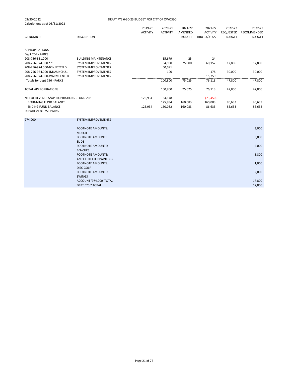|                                           |                                            | 2019-20         | 2020-21         | 2021-22 | 2021-22              | 2022-23       | 2022-23       |
|-------------------------------------------|--------------------------------------------|-----------------|-----------------|---------|----------------------|---------------|---------------|
|                                           |                                            | <b>ACTIVITY</b> | <b>ACTIVITY</b> | AMENDED | <b>ACTIVITY</b>      | REQUESTED     | RECOMMENDED   |
| <b>GL NUMBER</b>                          | <b>DESCRIPTION</b>                         |                 |                 |         | BUDGET THRU 03/31/22 | <b>BUDGET</b> | <b>BUDGET</b> |
|                                           |                                            |                 |                 |         |                      |               |               |
| <b>APPROPRIATIONS</b>                     |                                            |                 |                 |         |                      |               |               |
| Dept 756 - PARKS                          |                                            |                 |                 |         |                      |               |               |
| 208-756-831.000                           | <b>BUILDING MAINTENANCE</b>                |                 | 15,679          | 25      | 24                   |               |               |
| 208-756-974.000 **                        | SYSTEM IMPROVEMENTS                        |                 | 34,930          | 75,000  | 60,152               | 17,800        | 17,800        |
| 208-756-974.000-BENNETTFLD                | SYSTEM IMPROVEMENTS                        |                 | 50,091          |         |                      |               |               |
| 208-756-974.000-JMLAUNCH21                | SYSTEM IMPROVEMENTS                        |                 | 100             |         | 178                  | 30,000        | 30,000        |
| 208-756-974.000-WARMCENTER                | SYSTEM IMPROVEMENTS                        |                 |                 |         | 15,759               |               |               |
| Totals for dept 756 - PARKS               |                                            |                 | 100,800         | 75,025  | 76,113               | 47,800        | 47,800        |
| <b>TOTAL APPROPRIATIONS</b>               |                                            |                 | 100,800         | 75,025  | 76,113               | 47,800        | 47,800        |
|                                           |                                            |                 |                 |         |                      |               |               |
| NET OF REVENUES/APPROPRIATIONS - FUND 208 |                                            | 125,934         | 34,148          |         | (73, 450)            |               |               |
| BEGINNING FUND BALANCE                    |                                            |                 | 125,934         | 160,083 | 160,083              | 86,633        | 86,633        |
| <b>ENDING FUND BALANCE</b>                |                                            | 125,934         | 160,082         | 160,083 | 86,633               | 86,633        | 86,633        |
| <b>DEPARTMENT 756 PARKS</b>               |                                            |                 |                 |         |                      |               |               |
|                                           |                                            |                 |                 |         |                      |               |               |
| 974.000                                   | <b>SYSTEM IMPROVEMENTS</b>                 |                 |                 |         |                      |               |               |
|                                           | <b>FOOTNOTE AMOUNTS:</b>                   |                 |                 |         |                      |               | 3,000         |
|                                           | <b>MULCH</b>                               |                 |                 |         |                      |               |               |
|                                           | <b>FOOTNOTE AMOUNTS:</b>                   |                 |                 |         |                      |               | 3,000         |
|                                           | <b>SLIDE</b>                               |                 |                 |         |                      |               |               |
|                                           | <b>FOOTNOTE AMOUNTS:</b><br><b>BENCHES</b> |                 |                 |         |                      |               | 5,000         |
|                                           | <b>FOOTNOTE AMOUNTS:</b>                   |                 |                 |         |                      |               |               |
|                                           | AMPHITHEATER PAINTING                      |                 |                 |         |                      |               | 3,800         |
|                                           | <b>FOOTNOTE AMOUNTS:</b>                   |                 |                 |         |                      |               |               |
|                                           | <b>DISC GOLF</b>                           |                 |                 |         |                      |               | 1,000         |
|                                           | <b>FOOTNOTE AMOUNTS:</b>                   |                 |                 |         |                      |               | 2,000         |
|                                           | <b>SWINGS</b>                              |                 |                 |         |                      |               |               |
|                                           | ACCOUNT '974.000' TOTAL                    |                 |                 |         |                      |               | 17,800        |
|                                           | DEPT. '756' TOTAL                          |                 |                 |         |                      |               | 17,800        |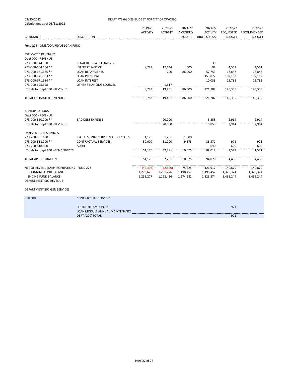| 03/30/2022                                | DRAFT FYE 6-30-23 BUDGET FOR CITY OF OWOSSO                |                 |                 |           |                      |               |               |
|-------------------------------------------|------------------------------------------------------------|-----------------|-----------------|-----------|----------------------|---------------|---------------|
| Calculations as of 03/31/2022             |                                                            |                 |                 |           |                      |               |               |
|                                           |                                                            | 2019-20         | 2020-21         | 2021-22   | 2021-22              | 2022-23       | 2022-23       |
|                                           |                                                            | <b>ACTIVITY</b> | <b>ACTIVITY</b> | AMENDED   | <b>ACTIVITY</b>      | REQUESTED     | RECOMMENDED   |
| <b>GL NUMBER</b>                          | <b>DESCRIPTION</b>                                         |                 |                 |           | BUDGET THRU 03/31/22 | <b>BUDGET</b> | <b>BUDGET</b> |
| Fund 273 - OMS/DDA REVLG LOAN FUND        |                                                            |                 |                 |           |                      |               |               |
| <b>ESTIMATED REVENUES</b>                 |                                                            |                 |                 |           |                      |               |               |
| Dept 000 - REVENUE                        |                                                            |                 |                 |           |                      |               |               |
| 273-000-644.000                           | PENALTIES - LATE CHARGES                                   |                 |                 |           | 30                   |               |               |
| 273-000-664.664 **                        | <b>INTEREST INCOME</b>                                     | 8,783           | 17,644          | 500       | 99                   | 4,561         | 4,561         |
| 273-000-671.675 **                        | <b>LOAN REPAYMENTS</b>                                     |                 | 200             | 86,000    | 57,753               | 17,847        | 17,847        |
| 273-000-671.683 **                        | <b>LOAN PRINCIPAL</b>                                      |                 |                 |           | 153,872              | 107,162       | 107,162       |
| 273-000-671.684 **                        | <b>LOAN INTEREST</b>                                       |                 |                 |           | 10,033               | 15,785        | 15,785        |
| 273-000-695.698                           | OTHER FINANCING SOURCES                                    |                 | 1,617           |           |                      |               |               |
| Totals for dept 000 - REVENUE             |                                                            | 8,783           | 19,461          | 86,500    | 221,787              | 145,355       | 145,355       |
| TOTAL ESTIMATED REVENUES                  |                                                            | 8,783           | 19,461          | 86,500    | 221,787              | 145,355       | 145,355       |
| <b>APPROPRIATIONS</b>                     |                                                            |                 |                 |           |                      |               |               |
| Dept 000 - REVENUE                        |                                                            |                 |                 |           |                      |               |               |
| 273-000-850.000 **                        | <b>BAD DEBT EXPENSE</b>                                    |                 | 20,000          |           | 5,858                | 2,914         | 2,914         |
| Totals for dept 000 - REVENUE             |                                                            |                 | 20,000          |           | 5,858                | 2,914         | 2,914         |
| Dept 200 - GEN SERVICES                   |                                                            |                 |                 |           |                      |               |               |
| 273-200-801.100                           | PROFESSIONAL SERVICES: AUDIT COSTS                         | 1,176           | 1,281           | 1,500     |                      |               |               |
| 273-200-818.000 **                        | <b>CONTRACTUAL SERVICES</b>                                | 50,000          | 31,000          | 9,175     | 88,372               | 971           | 971           |
| 273-200-818.500                           | <b>AUDIT</b>                                               |                 |                 |           | 640                  | 600           | 600           |
| Totals for dept 200 - GEN SERVICES        |                                                            | 51,176          | 32,281          | 10,675    | 89,012               | 1,571         | 1,571         |
| <b>TOTAL APPROPRIATIONS</b>               |                                                            | 51,176          | 52,281          | 10,675    | 94,870               | 4,485         | 4,485         |
| NET OF REVENUES/APPROPRIATIONS - FUND 273 |                                                            | (42, 393)       | (32, 820)       | 75,825    | 126,917              | 140,870       | 140,870       |
| BEGINNING FUND BALANCE                    |                                                            | 1,273,670       | 1,231,276       | 1,198,457 | 1,198,457            | 1,325,374     | 1,325,374     |
| <b>ENDING FUND BALANCE</b>                |                                                            | 1,231,277       | 1,198,456       | 1,274,282 | 1,325,374            | 1,466,244     | 1,466,244     |
| DEPARTMENT 000 REVENUE                    |                                                            |                 |                 |           |                      |               |               |
| <b>DEPARTMENT 200 GEN SERVICES</b>        |                                                            |                 |                 |           |                      |               |               |
| 818.000                                   | <b>CONTRACTUAL SERVICES</b>                                |                 |                 |           |                      |               |               |
|                                           | <b>FOOTNOTE AMOUNTS:</b><br>LOAN MODULE ANNUAL MAINTENANCE |                 |                 |           |                      | 971           |               |
|                                           | DEPT. '200' TOTAL                                          |                 |                 |           |                      | 971           |               |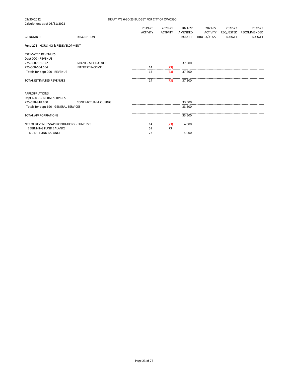| 03/30/2022                                | DRAFT FYE 6-30-23 BUDGET FOR CITY OF OWOSSO |                 |                 |         |                      |               |               |  |  |
|-------------------------------------------|---------------------------------------------|-----------------|-----------------|---------|----------------------|---------------|---------------|--|--|
| Calculations as of 03/31/2022             |                                             |                 |                 |         |                      |               |               |  |  |
|                                           |                                             | 2019-20         | 2020-21         | 2021-22 | 2021-22              | 2022-23       | 2022-23       |  |  |
|                                           |                                             | <b>ACTIVITY</b> | <b>ACTIVITY</b> | AMENDED | <b>ACTIVITY</b>      | REQUESTED     | RECOMMENDED   |  |  |
| <b>GL NUMBER</b>                          | <b>DESCRIPTION</b>                          |                 |                 |         | BUDGET THRU 03/31/22 | <b>BUDGET</b> | <b>BUDGET</b> |  |  |
| Fund 275 - HOUSING & REDEVELOPMENT        |                                             |                 |                 |         |                      |               |               |  |  |
| <b>ESTIMATED REVENUES</b>                 |                                             |                 |                 |         |                      |               |               |  |  |
| Dept 000 - REVENUE                        |                                             |                 |                 |         |                      |               |               |  |  |
| 275-000-501.522                           | <b>GRANT - MSHDA: NEP</b>                   |                 |                 | 37,500  |                      |               |               |  |  |
| 275-000-664.664                           | <b>INTEREST INCOME</b>                      | 14              | (73)            |         |                      |               |               |  |  |
| Totals for dept 000 - REVENUE             |                                             | 14              | (73)            | 37,500  |                      |               |               |  |  |
| TOTAL ESTIMATED REVENUES                  |                                             | 14              | (73)            | 37,500  |                      |               |               |  |  |
| <b>APPROPRIATIONS</b>                     |                                             |                 |                 |         |                      |               |               |  |  |
| Dept 690 - GENERAL SERVICES               |                                             |                 |                 |         |                      |               |               |  |  |
| 275-690-818.100                           | CONTRACTUAL-HOUSING                         |                 |                 | 33,500  |                      |               |               |  |  |
| Totals for dept 690 - GENERAL SERVICES    |                                             |                 |                 | 33,500  |                      |               |               |  |  |
| <b>TOTAL APPROPRIATIONS</b>               |                                             |                 |                 | 33,500  |                      |               |               |  |  |
| NET OF REVENUES/APPROPRIATIONS - FUND 275 |                                             | 14              | (73)            | 4,000   |                      |               |               |  |  |
| <b>BEGINNING FUND BALANCE</b>             |                                             | 59              | 73              |         |                      |               |               |  |  |
| <b>ENDING FUND BALANCE</b>                |                                             | 73              |                 | 4,000   |                      |               |               |  |  |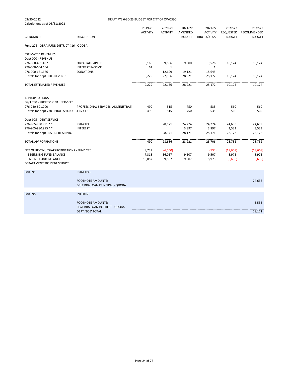| 03/30/2022                                  | DRAFT FYE 6-30-23 BUDGET FOR CITY OF OWOSSO |                 |                 |         |                                         |                            |                              |  |  |
|---------------------------------------------|---------------------------------------------|-----------------|-----------------|---------|-----------------------------------------|----------------------------|------------------------------|--|--|
| Calculations as of 03/31/2022               |                                             |                 |                 |         |                                         |                            |                              |  |  |
|                                             |                                             | 2019-20         | 2020-21         | 2021-22 | 2021-22                                 | 2022-23                    | 2022-23                      |  |  |
| <b>GL NUMBER</b>                            | <b>DESCRIPTION</b>                          | <b>ACTIVITY</b> | <b>ACTIVITY</b> | AMENDED | <b>ACTIVITY</b><br>BUDGET THRU 03/31/22 | REQUESTED<br><b>BUDGET</b> | RECOMMENDED<br><b>BUDGET</b> |  |  |
|                                             |                                             |                 |                 |         |                                         |                            |                              |  |  |
| Fund 276 - OBRA FUND DISTRICT #16 - QDOBA   |                                             |                 |                 |         |                                         |                            |                              |  |  |
| <b>ESTIMATED REVENUES</b>                   |                                             |                 |                 |         |                                         |                            |                              |  |  |
| Dept 000 - REVENUE                          |                                             |                 |                 |         |                                         |                            |                              |  |  |
| 276-000-401.407                             | <b>OBRA:TAX CAPTURE</b>                     | 9,168           | 9,506           | 9,800   | 9,526                                   | 10,124                     | 10,124                       |  |  |
| 276-000-664.664                             | <b>INTEREST INCOME</b>                      | 61              | $\mathbf{1}$    |         | $\mathbf{1}$                            |                            |                              |  |  |
| 276-000-671.676                             | <b>DONATIONS</b>                            |                 | 12,629          | 19,121  | 18,645                                  |                            |                              |  |  |
| Totals for dept 000 - REVENUE               |                                             | 9,229           | 22,136          | 28,921  | 28,172                                  | 10,124                     | 10,124                       |  |  |
| TOTAL ESTIMATED REVENUES                    |                                             | 9,229           | 22,136          | 28,921  | 28,172                                  | 10,124                     | 10,124                       |  |  |
| <b>APPROPRIATIONS</b>                       |                                             |                 |                 |         |                                         |                            |                              |  |  |
| Dept 730 - PROFESSIONAL SERVICES            |                                             |                 |                 |         |                                         |                            |                              |  |  |
| 276-730-801.000                             | PROFESSIONAL SERVICES: ADMINISTRATI         | 490             | 515             | 750     | 535                                     | 560                        | 560                          |  |  |
| Totals for dept 730 - PROFESSIONAL SERVICES |                                             | 490             | 515             | 750     | 535                                     | 560                        | 560                          |  |  |
| Dept 905 - DEBT SERVICE                     |                                             |                 |                 |         |                                         |                            |                              |  |  |
| 276-905-980.991 **                          | PRINCIPAL                                   |                 | 28,171          | 24,274  | 24,274                                  | 24,639                     | 24,639                       |  |  |
| 276-905-980.995 **                          | <b>INTEREST</b>                             |                 |                 | 3,897   | 3,897                                   | 3,533                      | 3,533                        |  |  |
| Totals for dept 905 - DEBT SERVICE          |                                             |                 | 28,171          | 28,171  | 28,171                                  | 28,172                     | 28,172                       |  |  |
| <b>TOTAL APPROPRIATIONS</b>                 |                                             | 490             | 28,686          | 28,921  | 28,706                                  | 28,732                     | 28,732                       |  |  |
|                                             |                                             |                 |                 |         |                                         |                            |                              |  |  |
| NET OF REVENUES/APPROPRIATIONS - FUND 276   |                                             | 8,739           | (6, 550)        |         | (534)                                   | (18, 608)                  | (18,608)                     |  |  |
| BEGINNING FUND BALANCE                      |                                             | 7,318           | 16,057          | 9,507   | 9,507                                   | 8,973                      | 8,973                        |  |  |
| <b>ENDING FUND BALANCE</b>                  |                                             | 16,057          | 9,507           | 9,507   | 8,973                                   | (9,635)                    | (9,635)                      |  |  |
| DEPARTMENT 905 DEBT SERVICE                 |                                             |                 |                 |         |                                         |                            |                              |  |  |
| 980.991                                     | <b>PRINCIPAL</b>                            |                 |                 |         |                                         |                            |                              |  |  |
|                                             |                                             |                 |                 |         |                                         |                            |                              |  |  |
|                                             | <b>FOOTNOTE AMOUNTS:</b>                    |                 |                 |         |                                         |                            | 24,638                       |  |  |
|                                             | EGLE BRA LOAN PRINCIPAL - QDOBA             |                 |                 |         |                                         |                            |                              |  |  |
| 980.995                                     | <b>INTEREST</b>                             |                 |                 |         |                                         |                            |                              |  |  |
|                                             | <b>FOOTNOTE AMOUNTS:</b>                    |                 |                 |         |                                         |                            | 3,533                        |  |  |
|                                             | ELGE BRA LOAN INTEREST - QDOBA              |                 |                 |         |                                         |                            |                              |  |  |
|                                             | DEPT. '905' TOTAL                           |                 |                 |         |                                         |                            | 28,171                       |  |  |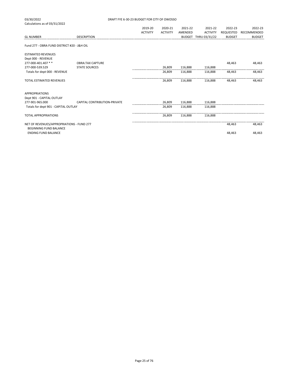| 03/30/2022                                  | DRAFT FYE 6-30-23 BUDGET FOR CITY OF OWOSSO |                 |                 |         |                      |               |               |  |  |
|---------------------------------------------|---------------------------------------------|-----------------|-----------------|---------|----------------------|---------------|---------------|--|--|
| Calculations as of 03/31/2022               |                                             |                 |                 |         |                      |               |               |  |  |
|                                             |                                             | 2019-20         | 2020-21         | 2021-22 | 2021-22              | 2022-23       | 2022-23       |  |  |
|                                             |                                             | <b>ACTIVITY</b> | <b>ACTIVITY</b> | AMENDED | <b>ACTIVITY</b>      | REQUESTED     | RECOMMENDED   |  |  |
| <b>GL NUMBER</b>                            | <b>DESCRIPTION</b>                          |                 |                 |         | BUDGET THRU 03/31/22 | <b>BUDGET</b> | <b>BUDGET</b> |  |  |
| Fund 277 - OBRA FUND DISTRICT #20 - J&H OIL |                                             |                 |                 |         |                      |               |               |  |  |
| <b>ESTIMATED REVENUES</b>                   |                                             |                 |                 |         |                      |               |               |  |  |
| Dept 000 - REVENUE                          |                                             |                 |                 |         |                      |               |               |  |  |
| 277-000-401.407 **                          | <b>OBRA:TAX CAPTURE</b>                     |                 |                 |         |                      | 48,463        | 48,463        |  |  |
| 277-000-539.529                             | <b>STATE SOURCES</b>                        |                 | 26,809          | 116,888 | 116,888              |               |               |  |  |
| Totals for dept 000 - REVENUE               |                                             |                 | 26,809          | 116,888 | 116,888              | 48.463        | 48,463        |  |  |
| TOTAL ESTIMATED REVENUES                    |                                             |                 | 26,809          | 116,888 | 116,888              | 48,463        | 48,463        |  |  |
| <b>APPROPRIATIONS</b>                       |                                             |                 |                 |         |                      |               |               |  |  |
| Dept 901 - CAPITAL OUTLAY                   |                                             |                 |                 |         |                      |               |               |  |  |
| 277-901-965.000                             | CAPITAL CONTRIBUTION-PRIVATE                |                 | 26,809          | 116,888 | 116,888              |               |               |  |  |
| Totals for dept 901 - CAPITAL OUTLAY        |                                             |                 | 26,809          | 116,888 | 116,888              |               |               |  |  |
| <b>TOTAL APPROPRIATIONS</b>                 |                                             |                 | 26,809          | 116,888 | 116.888              |               |               |  |  |
| NET OF REVENHES/APPROPRIATIONS - FLIND 277  |                                             |                 |                 |         |                      | 48.463        | 48.463        |  |  |

NET OF REVENUES/APPROPRIATIONS - FUND 277 and the state of the state of the state of the state of the state of the state of the state of the state of the state of the state of the state of the state of the state of the sta BEGINNING FUND BALANCE ENDING FUND BALANCE 48,463 48,463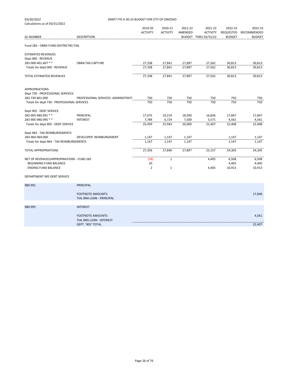| 03/30/2022<br>DRAFT FYE 6-30-23 BUDGET FOR CITY OF OWOSSO |                                     |                 |                 |         |                      |               |               |
|-----------------------------------------------------------|-------------------------------------|-----------------|-----------------|---------|----------------------|---------------|---------------|
| Calculations as of 03/31/2022                             |                                     |                 |                 |         |                      |               |               |
|                                                           |                                     | 2019-20         | 2020-21         | 2021-22 | 2021-22              | 2022-23       | 2022-23       |
|                                                           |                                     | <b>ACTIVITY</b> | <b>ACTIVITY</b> | AMENDED | <b>ACTIVITY</b>      | REQUESTED     | RECOMMENDED   |
| <b>GL NUMBER</b>                                          | <b>DESCRIPTION</b>                  |                 |                 |         | BUDGET THRU 03/31/22 | <b>BUDGET</b> | <b>BUDGET</b> |
|                                                           |                                     |                 |                 |         |                      |               |               |
| Fund 283 - OBRA FUND-DISTRICT#3-TIAL                      |                                     |                 |                 |         |                      |               |               |
| <b>ESTIMATED REVENUES</b>                                 |                                     |                 |                 |         |                      |               |               |
| Dept 000 - REVENUE                                        |                                     |                 |                 |         |                      |               |               |
| 283-000-401.407 **                                        | <b>OBRA:TAX CAPTURE</b>             | 27,338          | 27,841          | 27,897  | 27,562               | 30,813        | 30,813        |
| Totals for dept 000 - REVENUE                             |                                     | 27,338          | 27,841          | 27,897  | 27,562               | 30,813        | 30,813        |
|                                                           |                                     |                 |                 |         |                      |               |               |
| TOTAL ESTIMATED REVENUES                                  |                                     | 27,338          | 27,841          | 27,897  | 27,562               | 30,813        | 30,813        |
| APPROPRIATIONS                                            |                                     |                 |                 |         |                      |               |               |
| Dept 730 - PROFESSIONAL SERVICES                          |                                     |                 |                 |         |                      |               |               |
| 283-730-801.000                                           | PROFESSIONAL SERVICES: ADMINISTRATI | 750             | 750             | 750     | 750                  | 750           | 750           |
| Totals for dept 730 - PROFESSIONAL SERVICES               |                                     | 750             | 750             | 750     | 750                  | 750           | 750           |
|                                                           |                                     |                 |                 |         |                      |               |               |
| Dept 905 - DEBT SERVICE                                   |                                     |                 |                 |         |                      |               |               |
| 283-905-980.991 **                                        | PRINCIPAL                           | 17,675          | 19,219          | 18,500  | 16,836               | 17,847        | 17,847        |
| 283-905-980.995 **                                        | <b>INTEREST</b>                     | 7,784           | 6,724           | 7,500   | 5,571                | 4,561         | 4,561         |
| Totals for dept 905 - DEBT SERVICE                        |                                     | 25,459          | 25,943          | 26,000  | 22,407               | 22,408        | 22,408        |
|                                                           |                                     |                 |                 |         |                      |               |               |
| Dept 964 - TAX REIMBURSEMENTS                             |                                     |                 |                 |         |                      |               |               |
| 283-964-969.000                                           | DEVELOPER REIMBURSEMENT             | 1,147           | 1,147           | 1,147   |                      | 1,147         | 1,147         |
| Totals for dept 964 - TAX REIMBURSEMENTS                  |                                     | 1,147           | 1,147           | 1,147   |                      | 1,147         | 1,147         |
|                                                           |                                     |                 |                 |         |                      |               |               |
| TOTAL APPROPRIATIONS                                      |                                     | 27,356          | 27,840          | 27,897  | 23,157               | 24,305        | 24,305        |
|                                                           |                                     |                 |                 |         |                      |               |               |
| NET OF REVENUES/APPROPRIATIONS - FUND 283                 |                                     | (18)            | $\mathbf{1}$    |         | 4,405                | 6,508         | 6,508         |
| BEGINNING FUND BALANCE                                    |                                     | 20              |                 |         |                      | 4,405         | 4,405         |
| <b>ENDING FUND BALANCE</b>                                |                                     | $\overline{2}$  | $\mathbf 1$     |         | 4,405                | 10,913        | 10,913        |
| DEPARTMENT 905 DEBT SERVICE                               |                                     |                 |                 |         |                      |               |               |
|                                                           |                                     |                 |                 |         |                      |               |               |
| 980.991                                                   | <b>PRINCIPAL</b>                    |                 |                 |         |                      |               |               |
|                                                           |                                     |                 |                 |         |                      |               |               |
|                                                           | <b>FOOTNOTE AMOUNTS:</b>            |                 |                 |         |                      |               | 17,846        |
|                                                           | TIAL BRA LOAN - PRINCIPAL           |                 |                 |         |                      |               |               |
| 980.995                                                   | <b>INTEREST</b>                     |                 |                 |         |                      |               |               |
|                                                           |                                     |                 |                 |         |                      |               |               |
|                                                           | <b>FOOTNOTE AMOUNTS:</b>            |                 |                 |         |                      |               | 4,561         |
|                                                           | TIAL BRA LOAN - INTEREST            |                 |                 |         |                      |               |               |
|                                                           | DEPT. '905' TOTAL                   |                 |                 |         |                      |               | 22,407        |
|                                                           |                                     |                 |                 |         |                      |               |               |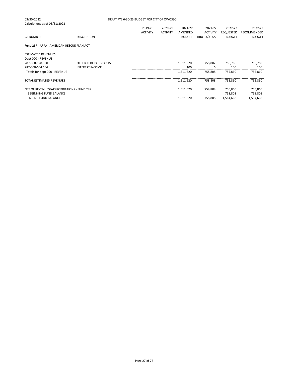| 03/30/2022                    |                    | DRAFT FYE 6-30-23 BUDGET FOR CITY OF OWOSSO |                 |               |                 |               |               |  |  |
|-------------------------------|--------------------|---------------------------------------------|-----------------|---------------|-----------------|---------------|---------------|--|--|
| Calculations as of 03/31/2022 |                    |                                             |                 |               |                 |               |               |  |  |
|                               |                    | 2019-20                                     | 2020-21         | 2021-22       | 2021-22         | 2022-23       | 2022-23       |  |  |
|                               |                    | <b>ACTIVITY</b>                             | <b>ACTIVITY</b> | AMENDED       | <b>ACTIVITY</b> | REQUESTED     | RECOMMENDED   |  |  |
| <b>GL NUMBER</b>              | <b>DESCRIPTION</b> |                                             |                 | <b>BUDGET</b> | THRU 03/31/22   | <b>BUDGET</b> | <b>BUDGET</b> |  |  |

Fund 287 - ARPA - AMERICAN RESCUE PLAN ACT

03/30/2022

| <b>ESTIMATED REVENUES</b><br>Dept 000 - REVENUE |                        |           |         |           |           |
|-------------------------------------------------|------------------------|-----------|---------|-----------|-----------|
| 287-000-528.000                                 | OTHER FEDERAL GRANTS   | 1,511,520 | 758.802 | 755.760   | 755.760   |
| 287-000-664.664                                 | <b>INTEREST INCOME</b> | 100       | h       | 100       | 100       |
| Totals for dept 000 - REVENUE                   |                        | 1,511,620 | 758.808 | 755.860   | 755,860   |
| <b>TOTAL ESTIMATED REVENUES</b>                 |                        | 1.511.620 | 758.808 | 755.860   | 755.860   |
| NET OF REVENUES/APPROPRIATIONS - FUND 287       |                        | 1.511.620 | 758.808 | 755.860   | 755,860   |
| BEGINNING FUND BALANCE                          |                        |           |         | 758.808   | 758,808   |
| <b>ENDING FUND BALANCE</b>                      |                        | 1.511.620 | 758.808 | 1.514.668 | 1.514.668 |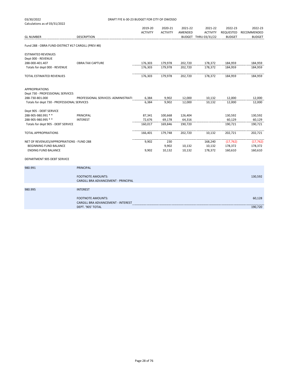| 03/30/2022                                          | DRAFT FYE 6-30-23 BUDGET FOR CITY OF OWOSSO             |                 |                 |         |                      |               |               |  |
|-----------------------------------------------------|---------------------------------------------------------|-----------------|-----------------|---------|----------------------|---------------|---------------|--|
| Calculations as of 03/31/2022                       |                                                         |                 |                 |         |                      |               |               |  |
|                                                     |                                                         | 2019-20         | 2020-21         | 2021-22 | 2021-22              | 2022-23       | 2022-23       |  |
|                                                     |                                                         | <b>ACTIVITY</b> | <b>ACTIVITY</b> | AMENDED | <b>ACTIVITY</b>      | REQUESTED     | RECOMMENDED   |  |
| <b>GL NUMBER</b>                                    | <b>DESCRIPTION</b>                                      |                 |                 |         | BUDGET THRU 03/31/22 | <b>BUDGET</b> | <b>BUDGET</b> |  |
| Fund 288 - OBRA FUND-DISTRICT #17 CARGILL (PREV #8) |                                                         |                 |                 |         |                      |               |               |  |
| <b>ESTIMATED REVENUES</b>                           |                                                         |                 |                 |         |                      |               |               |  |
| Dept 000 - REVENUE                                  |                                                         |                 |                 |         |                      |               |               |  |
| 288-000-401.407                                     | <b>OBRA:TAX CAPTURE</b>                                 | 176,303         | 179,978         | 202,720 | 178,372              | 184,959       | 184,959       |  |
| Totals for dept 000 - REVENUE                       |                                                         | 176,303         | 179,978         | 202,720 | 178,372              | 184,959       | 184,959       |  |
| TOTAL ESTIMATED REVENUES                            |                                                         | 176,303         | 179,978         | 202,720 | 178,372              | 184,959       | 184,959       |  |
|                                                     |                                                         |                 |                 |         |                      |               |               |  |
| <b>APPROPRIATIONS</b>                               |                                                         |                 |                 |         |                      |               |               |  |
| Dept 730 - PROFESSIONAL SERVICES                    |                                                         |                 |                 |         |                      |               |               |  |
| 288-730-801.000                                     | PROFESSIONAL SERVICES: ADMINISTRATI                     | 6,384           | 9,902           | 12,000  | 10,132               | 12,000        | 12,000        |  |
| Totals for dept 730 - PROFESSIONAL SERVICES         |                                                         | 6,384           | 9,902           | 12,000  | 10,132               | 12,000        | 12,000        |  |
| Dept 905 - DEBT SERVICE                             |                                                         |                 |                 |         |                      |               |               |  |
| 288-905-980.991 **                                  | PRINCIPAL                                               | 87,341          | 100,668         | 126,404 |                      | 130,592       | 130,592       |  |
| 288-905-980.995 **                                  | <b>INTEREST</b>                                         | 72,676          | 69,178          | 64,316  |                      | 60,129        | 60,129        |  |
| Totals for dept 905 - DEBT SERVICE                  |                                                         | 160,017         | 169,846         | 190,720 |                      | 190,721       | 190,721       |  |
| <b>TOTAL APPROPRIATIONS</b>                         |                                                         | 166,401         | 179,748         | 202,720 | 10,132               | 202,721       | 202,721       |  |
|                                                     |                                                         |                 |                 |         |                      |               |               |  |
| NET OF REVENUES/APPROPRIATIONS - FUND 288           |                                                         | 9,902           | 230             |         | 168,240              | (17, 762)     | (17, 762)     |  |
| BEGINNING FUND BALANCE                              |                                                         |                 | 9,902           | 10,132  | 10,132               | 178,372       | 178,372       |  |
| <b>ENDING FUND BALANCE</b>                          |                                                         | 9,902           | 10,132          | 10,132  | 178,372              | 160,610       | 160,610       |  |
| DEPARTMENT 905 DEBT SERVICE                         |                                                         |                 |                 |         |                      |               |               |  |
| 980.991                                             | <b>PRINCIPAL</b>                                        |                 |                 |         |                      |               |               |  |
|                                                     | <b>FOOTNOTE AMOUNTS:</b>                                |                 |                 |         |                      |               | 130,592       |  |
|                                                     | CARGILL BRA ADVANCEMENT - PRINCIPAL                     |                 |                 |         |                      |               |               |  |
| 980.995                                             | <b>INTEREST</b>                                         |                 |                 |         |                      |               |               |  |
|                                                     |                                                         |                 |                 |         |                      |               |               |  |
|                                                     | <b>FOOTNOTE AMOUNTS:</b>                                |                 |                 |         |                      |               | 60,128        |  |
|                                                     | CARGILL BRA ADVANCEMENT - INTEREST<br>DEPT. '905' TOTAL |                 |                 |         |                      |               |               |  |
|                                                     |                                                         |                 |                 |         |                      |               | 190,720       |  |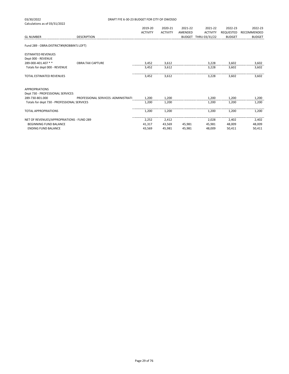| 03/30/2022                                          | DRAFT FYE 6-30-23 BUDGET FOR CITY OF OWOSSO |                 |                 |         |                      |                  |               |  |
|-----------------------------------------------------|---------------------------------------------|-----------------|-----------------|---------|----------------------|------------------|---------------|--|
| Calculations as of 03/31/2022                       |                                             |                 |                 |         |                      |                  |               |  |
|                                                     |                                             | 2019-20         | 2020-21         | 2021-22 | 2021-22              | 2022-23          | 2022-23       |  |
|                                                     |                                             | <b>ACTIVITY</b> | <b>ACTIVITY</b> | AMENDED | <b>ACTIVITY</b>      | <b>REQUESTED</b> | RECOMMENDED   |  |
| <b>GL NUMBER</b>                                    | <b>DESCRIPTION</b>                          |                 |                 |         | BUDGET THRU 03/31/22 | <b>BUDGET</b>    | <b>BUDGET</b> |  |
| Fund 289 - OBRA: DISTRICT#9(ROBBIN'S LOFT)          |                                             |                 |                 |         |                      |                  |               |  |
| <b>ESTIMATED REVENUES</b>                           |                                             |                 |                 |         |                      |                  |               |  |
| Dept 000 - REVENUE                                  |                                             |                 |                 |         |                      |                  |               |  |
| 289-000-401.407 **                                  | <b>OBRA:TAX CAPTURE</b>                     | 3,452           | 3,612           |         | 3,228                | 3,602            | 3,602         |  |
| Totals for dept 000 - REVENUE                       |                                             | 3,452           | 3,612           |         | 3,228                | 3,602            | 3,602         |  |
| <b>TOTAL ESTIMATED REVENUES</b>                     |                                             | 3,452           | 3,612           |         | 3,228                | 3,602            | 3,602         |  |
| <b>APPROPRIATIONS</b>                               |                                             |                 |                 |         |                      |                  |               |  |
| Dept 730 - PROFESSIONAL SERVICES<br>289-730-801.000 | PROFESSIONAL SERVICES: ADMINISTRATI         | 1,200           | 1,200           |         | 1,200                | 1,200            | 1,200         |  |
| Totals for dept 730 - PROFESSIONAL SERVICES         |                                             | 1,200           | 1,200           |         | 1,200                | 1,200            | 1,200         |  |
|                                                     |                                             |                 |                 |         |                      |                  |               |  |
| <b>TOTAL APPROPRIATIONS</b>                         |                                             | 1,200           | 1,200           |         | 1.200                | 1.200            | 1,200         |  |
| NET OF REVENUES/APPROPRIATIONS - FUND 289           |                                             | 2,252           | 2,412           |         | 2,028                | 2,402            | 2,402         |  |
| <b>BEGINNING FUND BALANCE</b>                       |                                             | 41,317          | 43,569          | 45,981  | 45,981               | 48,009           | 48,009        |  |
| <b>ENDING FUND BALANCE</b>                          |                                             | 43,569          | 45,981          | 45,981  | 48,009               | 50,411           | 50,411        |  |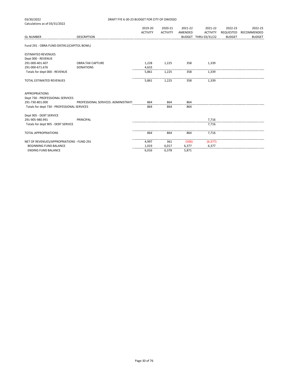| 03/30/2022                                  | DRAFT FYE 6-30-23 BUDGET FOR CITY OF OWOSSO |                 |                 |         |                      |               |               |
|---------------------------------------------|---------------------------------------------|-----------------|-----------------|---------|----------------------|---------------|---------------|
| Calculations as of 03/31/2022               |                                             |                 |                 |         |                      |               |               |
|                                             |                                             | 2019-20         | 2020-21         | 2021-22 | 2021-22              | 2022-23       | 2022-23       |
|                                             |                                             | <b>ACTIVITY</b> | <b>ACTIVITY</b> | AMENDED | <b>ACTIVITY</b>      | REQUESTED     | RECOMMENDED   |
| <b>GL NUMBER</b>                            | <b>DESCRIPTION</b>                          |                 |                 |         | BUDGET THRU 03/31/22 | <b>BUDGET</b> | <b>BUDGET</b> |
| Fund 291 - OBRA FUND-DIST#11(CAPITOL BOWL)  |                                             |                 |                 |         |                      |               |               |
| <b>ESTIMATED REVENUES</b>                   |                                             |                 |                 |         |                      |               |               |
| Dept 000 - REVENUE                          |                                             |                 |                 |         |                      |               |               |
| 291-000-401.407                             | <b>OBRA:TAX CAPTURE</b>                     | 1,228           | 1,225           | 358     | 1,339                |               |               |
| 291-000-671.676                             | <b>DONATIONS</b>                            | 4,633           |                 |         |                      |               |               |
| Totals for dept 000 - REVENUE               |                                             | 5,861           | 1,225           | 358     | 1,339                |               |               |
| <b>TOTAL ESTIMATED REVENUES</b>             |                                             | 5,861           | 1,225           | 358     | 1,339                |               |               |
| <b>APPROPRIATIONS</b>                       |                                             |                 |                 |         |                      |               |               |
| Dept 730 - PROFESSIONAL SERVICES            |                                             |                 |                 |         |                      |               |               |
| 291-730-801.000                             | PROFESSIONAL SERVICES: ADMINISTRATI         | 864             | 864             | 864     |                      |               |               |
| Totals for dept 730 - PROFESSIONAL SERVICES |                                             | 864             | 864             | 864     |                      |               |               |
| Dept 905 - DEBT SERVICE                     |                                             |                 |                 |         |                      |               |               |
| 291-905-980.991                             | PRINCIPAL                                   |                 |                 |         | 7,716                |               |               |
| Totals for dept 905 - DEBT SERVICE          |                                             |                 |                 |         | 7,716                |               |               |
| <b>TOTAL APPROPRIATIONS</b>                 |                                             | 864             | 864             | 864     | 7,716                |               |               |
| NET OF REVENUES/APPROPRIATIONS - FUND 291   |                                             | 4,997           | 361             | (506)   | (6, 377)             |               |               |
| BEGINNING FUND BALANCE                      |                                             | 1,019           | 6,017           | 6,377   | 6,377                |               |               |
| <b>ENDING FUND BALANCE</b>                  |                                             | 6,016           | 6,378           | 5,871   |                      |               |               |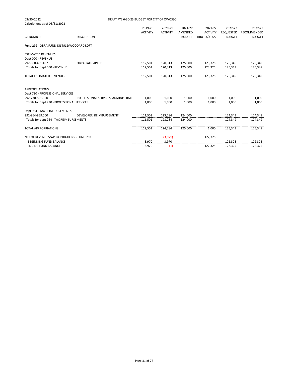| 03/30/2022                                  | DRAFT FYE 6-30-23 BUDGET FOR CITY OF OWOSSO |                 |                 |         |                      |                  |               |
|---------------------------------------------|---------------------------------------------|-----------------|-----------------|---------|----------------------|------------------|---------------|
| Calculations as of 03/31/2022               |                                             |                 |                 |         |                      |                  |               |
|                                             |                                             | 2019-20         | 2020-21         | 2021-22 | 2021-22              | 2022-23          | 2022-23       |
|                                             |                                             | <b>ACTIVITY</b> | <b>ACTIVITY</b> | AMENDED | <b>ACTIVITY</b>      | <b>REQUESTED</b> | RECOMMENDED   |
| <b>GL NUMBER</b>                            | <b>DESCRIPTION</b>                          |                 |                 |         | BUDGET THRU 03/31/22 | <b>BUDGET</b>    | <b>BUDGET</b> |
| Fund 292 - OBRA FUND-DIST#12(WOODARD LOFT   |                                             |                 |                 |         |                      |                  |               |
| <b>ESTIMATED REVENUES</b>                   |                                             |                 |                 |         |                      |                  |               |
| Dept 000 - REVENUE                          |                                             |                 |                 |         |                      |                  |               |
| 292-000-401.407                             | <b>OBRA:TAX CAPTURE</b>                     | 112,501         | 120,313         | 125,000 | 123,325              | 125,349          | 125,349       |
| Totals for dept 000 - REVENUE               |                                             | 112,501         | 120,313         | 125,000 | 123,325              | 125,349          | 125,349       |
| <b>TOTAL ESTIMATED REVENUES</b>             |                                             | 112,501         | 120,313         | 125,000 | 123,325              | 125,349          | 125,349       |
| <b>APPROPRIATIONS</b>                       |                                             |                 |                 |         |                      |                  |               |
| Dept 730 - PROFESSIONAL SERVICES            |                                             |                 |                 |         |                      |                  |               |
| 292-730-801.000                             | PROFESSIONAL SERVICES: ADMINISTRATI         | 1,000           | 1,000           | 1,000   | 1,000                | 1,000            | 1,000         |
| Totals for dept 730 - PROFESSIONAL SERVICES |                                             | 1.000           | 1.000           | 1.000   | 1,000                | 1,000            | 1,000         |
| Dept 964 - TAX REIMBURSEMENTS               |                                             |                 |                 |         |                      |                  |               |
| 292-964-969.000                             | DEVELOPER REIMBURSEMENT                     | 111,501         | 123,284         | 124,000 |                      | 124,349          | 124,349       |
| Totals for dept 964 - TAX REIMBURSEMENTS    |                                             | 111,501         | 123,284         | 124,000 |                      | 124.349          | 124,349       |
| <b>TOTAL APPROPRIATIONS</b>                 |                                             | 112,501         | 124,284         | 125,000 | 1.000                | 125,349          | 125,349       |
| NET OF REVENUES/APPROPRIATIONS - FUND 292   |                                             |                 | (3,971)         |         | 122,325              |                  |               |
| <b>BEGINNING FUND BALANCE</b>               |                                             | 3,970           | 3,970           |         |                      | 122,325          | 122,325       |
| <b>ENDING FUND BALANCE</b>                  |                                             | 3,970           | (1)             |         | 122,325              | 122,325          | 122,325       |
|                                             |                                             |                 |                 |         |                      |                  |               |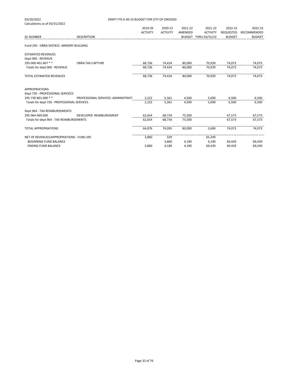| 03/30/2022                                  | DRAFT FYE 6-30-23 BUDGET FOR CITY OF OWOSSO |                 |                 |         |                      |                  |               |  |
|---------------------------------------------|---------------------------------------------|-----------------|-----------------|---------|----------------------|------------------|---------------|--|
| Calculations as of 03/31/2022               |                                             |                 |                 |         |                      |                  |               |  |
|                                             |                                             | 2019-20         | 2020-21         | 2021-22 | 2021-22              | 2022-23          | 2022-23       |  |
|                                             |                                             | <b>ACTIVITY</b> | <b>ACTIVITY</b> | AMENDED | <b>ACTIVITY</b>      | <b>REQUESTED</b> | RECOMMENDED   |  |
| <b>GL NUMBER</b>                            | <b>DESCRIPTION</b>                          |                 |                 |         | BUDGET THRU 03/31/22 | <b>BUDGET</b>    | <b>BUDGET</b> |  |
| Fund 295 - OBRA-DIST#15 - ARMORY BUILDING   |                                             |                 |                 |         |                      |                  |               |  |
| <b>ESTIMATED REVENUES</b>                   |                                             |                 |                 |         |                      |                  |               |  |
| Dept 000 - REVENUE                          |                                             |                 |                 |         |                      |                  |               |  |
| 295-000-401.407 **                          | <b>OBRA:TAX CAPTURE</b>                     | 68,736          | 74,424          | 80,000  | 70,939               | 74,073           | 74,073        |  |
| Totals for dept 000 - REVENUE               |                                             | 68,736          | 74,424          | 80,000  | 70,939               | 74,073           | 74,073        |  |
| TOTAL ESTIMATED REVENUES                    |                                             | 68,736          | 74,424          | 80,000  | 70,939               | 74,073           | 74,073        |  |
| <b>APPROPRIATIONS</b>                       |                                             |                 |                 |         |                      |                  |               |  |
| Dept 730 - PROFESSIONAL SERVICES            |                                             |                 |                 |         |                      |                  |               |  |
| 295-730-801.000 **                          | PROFESSIONAL SERVICES: ADMINISTRATI         | 2,222           | 5,361           | 4,500   | 5,690                | 6,500            | 6,500         |  |
| Totals for dept 730 - PROFESSIONAL SERVICES |                                             | 2,222           | 5,361           | 4,500   | 5,690                | 6,500            | 6,500         |  |
| Dept 964 - TAX REIMBURSEMENTS               |                                             |                 |                 |         |                      |                  |               |  |
| 295-964-969.000                             | DEVELOPER REIMBURSEMENT                     | 62,654          | 68,734          | 75,500  |                      | 67,573           | 67,573        |  |
| Totals for dept 964 - TAX REIMBURSEMENTS    |                                             | 62,654          | 68,734          | 75,500  |                      | 67,573           | 67,573        |  |
| <b>TOTAL APPROPRIATIONS</b>                 |                                             | 64,876          | 74,095          | 80,000  | 5,690                | 74,073           | 74,073        |  |
| NET OF REVENUES/APPROPRIATIONS - FUND 295   |                                             | 3,860           | 329             |         | 65,249               |                  |               |  |
| <b>BEGINNING FUND BALANCE</b>               |                                             |                 | 3,860           | 4,190   | 4,190                | 69,439           | 69,439        |  |
| <b>ENDING FUND BALANCE</b>                  |                                             | 3,860           | 4,189           | 4,190   | 69,439               | 69,439           | 69,439        |  |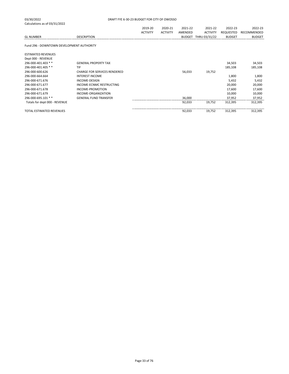| Dept 000 - REVENUE              |                              |        |        |         |         |
|---------------------------------|------------------------------|--------|--------|---------|---------|
| 296-000-401.403 **              | <b>GENERAL PROPERTY TAX</b>  |        |        | 34.503  | 34.503  |
| 296-000-401.405 **              | TIF                          |        |        | 185,108 | 185,108 |
| 296-000-600.626                 | CHARGE FOR SERVICES RENDERED | 56,033 | 19,752 |         |         |
| 296-000-664.664                 | <b>INTEREST INCOME</b>       |        |        | 1,800   | 1,800   |
| 296-000-671.676                 | INCOME-DESIGN                |        |        | 5,432   | 5,432   |
| 296-000-671.677                 | INCOME-ECNMC RESTRUCTING     |        |        | 20.000  | 20,000  |
| 296-000-671.678                 | INCOME-PROMOTION             |        |        | 17.600  | 17,600  |
| 296-000-671.679                 | INCOME-ORGANIZATION          |        |        | 10.000  | 10,000  |
| 296-000-695.101 **              | <b>GENERAL FUND TRANSFER</b> | 36,000 |        | 37.952  | 37,952  |
| Totals for dept 000 - REVENUE   |                              | 92.033 | 19.752 | 312.395 | 312.395 |
| <b>TOTAL ESTIMATED REVENUES</b> |                              | 92.033 | 19.752 | 312.395 | 312.395 |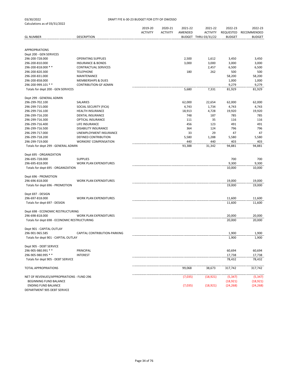|                                                                     |                                                      | 2019-20<br><b>ACTIVITY</b> | 2020-21<br><b>ACTIVITY</b> | 2021-22<br>AMENDED | 2021-22<br><b>ACTIVITY</b> | 2022-23<br><b>REQUESTED</b> | 2022-23<br>RECOMMENDED |
|---------------------------------------------------------------------|------------------------------------------------------|----------------------------|----------------------------|--------------------|----------------------------|-----------------------------|------------------------|
| <b>GL NUMBER</b>                                                    | <b>DESCRIPTION</b>                                   |                            |                            |                    | BUDGET THRU 03/31/22       | <b>BUDGET</b>               | <b>BUDGET</b>          |
|                                                                     |                                                      |                            |                            |                    |                            |                             |                        |
| <b>APPROPRIATIONS</b><br>Dept 200 - GEN SERVICES                    |                                                      |                            |                            |                    |                            |                             |                        |
| 296-200-728.000                                                     | <b>OPERATING SUPPLIES</b>                            |                            |                            | 2,500              | 1,612                      | 3,450                       | 3,450                  |
| 296-200-810.000                                                     | <b>INSURANCE &amp; BONDS</b>                         |                            |                            | 3,000              | 3,000                      | 3,000                       | 3,000                  |
| 296-200-818.000 **                                                  | CONTRACTUAL SERVICES                                 |                            |                            |                    | 2,457                      | 6,500                       | 6,500                  |
| 296-200-820.300                                                     | <b>TELEPHONE</b>                                     |                            |                            | 180                | 262                        | 500                         | 500                    |
| 296-200-831.000                                                     | MAINTENANCE                                          |                            |                            |                    |                            | 58,200                      | 58,200                 |
| 296-200-858.000                                                     | <b>MEMBERSHIPS &amp; DUES</b>                        |                            |                            |                    |                            | 1,000                       | 1,000                  |
| 296-200-999.101 **                                                  | <b>CONTRIBUTION-GF ADMIN</b>                         |                            |                            |                    |                            | 9,279                       | 9,279                  |
| Totals for dept 200 - GEN SERVICES                                  |                                                      |                            |                            | 5,680              | 7,331                      | 81,929                      | 81,929                 |
| Dept 299 - GENERAL ADMIN                                            |                                                      |                            |                            |                    |                            |                             |                        |
| 296-299-702.100                                                     | SALARIES                                             |                            |                            | 62,000             | 22,654                     | 62,000                      | 62,000                 |
| 296-299-715.000                                                     | SOCIAL SECURITY (FICA)                               |                            |                            | 4,743              | 1,734                      | 4,743                       | 4,743                  |
| 296-299-716.100                                                     | HEALTH INSURANCE                                     |                            |                            | 18,913             | 4,728                      | 19,920                      | 19,920                 |
| 296-299-716.200                                                     | <b>DENTAL INSURANCE</b>                              |                            |                            | 748                | 187                        | 785                         | 785                    |
| 296-299-716.300                                                     | OPTICAL INSURANCE                                    |                            |                            | 111                | 35                         | 116                         | 116                    |
| 296-299-716.400                                                     | LIFE INSURANCE                                       |                            |                            | 456                | 123                        | 491                         | 491                    |
| 296-299-716.500                                                     | <b>DISABILITY INSURANCE</b>                          |                            |                            | 364                | 124                        | 796                         | 796                    |
| 296-299-717.000                                                     | UNEMPLOYMENT INSURANCE                               |                            |                            | 33                 | 29                         | 47                          | 47                     |
| 296-299-718.200<br>296-299-719.000                                  | DEFINED CONTRIBUTION<br><b>WORKERS' COMPENSATION</b> |                            |                            | 5,580<br>440       | 1,288<br>440               | 5,580<br>403                | 5,580<br>403           |
| Totals for dept 299 - GENERAL ADMIN                                 |                                                      |                            |                            | 93,388             | 31,342                     | 94,881                      | 94,881                 |
|                                                                     |                                                      |                            |                            |                    |                            |                             |                        |
| Dept 695 - ORGANIZATION                                             |                                                      |                            |                            |                    |                            |                             |                        |
| 296-695-728.000                                                     | <b>SUPPLIES</b>                                      |                            |                            |                    |                            | 700                         | 700                    |
| 296-695-818.000<br>Totals for dept 695 - ORGANIZATION               | <b>WORK PLAN EXPENDITURES</b>                        |                            |                            |                    |                            | 9,300<br>10,000             | 9,300<br>10,000        |
|                                                                     |                                                      |                            |                            |                    |                            |                             |                        |
| Dept 696 - PROMOTION                                                |                                                      |                            |                            |                    |                            |                             |                        |
| 296-696-818.000                                                     | <b>WORK PLAN EXPENDITURES</b>                        |                            |                            |                    |                            | 19,000                      | 19,000                 |
| Totals for dept 696 - PROMOTION                                     |                                                      |                            |                            |                    |                            | 19,000                      | 19,000                 |
| Dept 697 - DESIGN                                                   |                                                      |                            |                            |                    |                            |                             |                        |
| 296-697-818.000                                                     | <b>WORK PLAN EXPENDITURES</b>                        |                            |                            |                    |                            | 11,600                      | 11,600                 |
| Totals for dept 697 - DESIGN                                        |                                                      |                            |                            |                    |                            | 11,600                      | 11,600                 |
| Dept 698 - ECONOMIC RESTRUCTURING                                   |                                                      |                            |                            |                    |                            |                             |                        |
| 296-698-818.000                                                     | <b>WORK PLAN EXPENDITURES</b>                        |                            |                            |                    |                            | 20,000                      | 20,000                 |
| Totals for dept 698 - ECONOMIC RESTRUCTURING                        |                                                      |                            |                            |                    |                            | 20,000                      | 20,000                 |
| Dept 901 - CAPITAL OUTLAY                                           |                                                      |                            |                            |                    |                            |                             |                        |
| 296-901-965.585                                                     | CAPITAL CONTRIBUTION-PARKING                         |                            |                            |                    |                            | 1,900                       | 1,900                  |
| Totals for dept 901 - CAPITAL OUTLAY                                |                                                      |                            |                            |                    |                            | 1,900                       | 1,900                  |
| Dept 905 - DEBT SERVICE                                             |                                                      |                            |                            |                    |                            |                             |                        |
| 296-905-980.991 **                                                  | PRINCIPAL                                            |                            |                            |                    |                            | 60,694                      | 60,694                 |
| 296-905-980.995 **                                                  | <b>INTEREST</b>                                      |                            |                            |                    |                            | 17,738                      | 17,738                 |
| Totals for dept 905 - DEBT SERVICE                                  |                                                      |                            |                            |                    |                            | 78,432                      | 78,432                 |
| <b>TOTAL APPROPRIATIONS</b>                                         |                                                      |                            |                            | 99,068             | 38,673                     | 317,742                     | 317,742                |
|                                                                     |                                                      |                            |                            |                    |                            |                             |                        |
| NET OF REVENUES/APPROPRIATIONS - FUND 296<br>BEGINNING FUND BALANCE |                                                      |                            |                            | (7,035)            | (18, 921)                  | (5, 347)<br>(18, 921)       | (5, 347)<br>(18, 921)  |
| <b>ENDING FUND BALANCE</b>                                          |                                                      |                            |                            | (7,035)            | (18, 921)                  | (24, 268)                   | (24, 268)              |
| DEPARTMENT 905 DEBT SERVICE                                         |                                                      |                            |                            |                    |                            |                             |                        |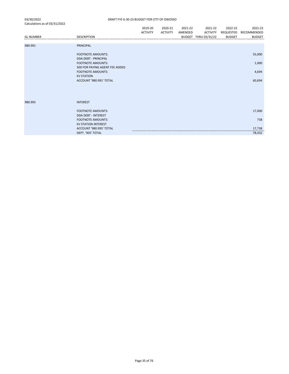|                  |                                                            | 2019-20         | 2020-21         | 2021-22 | 2021-22              | 2022-23       | 2022-23       |
|------------------|------------------------------------------------------------|-----------------|-----------------|---------|----------------------|---------------|---------------|
|                  |                                                            | <b>ACTIVITY</b> | <b>ACTIVITY</b> | AMENDED | <b>ACTIVITY</b>      | REQUESTED     | RECOMMENDED   |
| <b>GL NUMBER</b> | <b>DESCRIPTION</b>                                         |                 |                 |         | BUDGET THRU 03/31/22 | <b>BUDGET</b> | <b>BUDGET</b> |
|                  |                                                            |                 |                 |         |                      |               |               |
| 980.991          | PRINCIPAL                                                  |                 |                 |         |                      |               |               |
|                  | <b>FOOTNOTE AMOUNTS:</b>                                   |                 |                 |         |                      |               | 55,000        |
|                  | <b>DDA DEBT - PRINCIPAL</b>                                |                 |                 |         |                      |               |               |
|                  | <b>FOOTNOTE AMOUNTS:</b><br>500 FOR PAYING AGENT FEE ADDED |                 |                 |         |                      |               | 1,000         |
|                  | <b>FOOTNOTE AMOUNTS:</b>                                   |                 |                 |         |                      |               | 4,694         |
|                  | <b>EV STATION</b>                                          |                 |                 |         |                      |               |               |
|                  | ACCOUNT '980.991' TOTAL                                    |                 |                 |         |                      |               | 60,694        |
|                  |                                                            |                 |                 |         |                      |               |               |
|                  |                                                            |                 |                 |         |                      |               |               |
| 980.995          | <b>INTEREST</b>                                            |                 |                 |         |                      |               |               |
|                  | <b>FOOTNOTE AMOUNTS:</b>                                   |                 |                 |         |                      |               | 17,000        |
|                  | <b>DDA DEBT - INTEREST</b>                                 |                 |                 |         |                      |               |               |
|                  | <b>FOOTNOTE AMOUNTS:</b>                                   |                 |                 |         |                      |               | 738           |
|                  | <b>EV STATION INTEREST</b>                                 |                 |                 |         |                      |               |               |
|                  | ACCOUNT '980.995' TOTAL                                    |                 |                 |         |                      |               | 17,738        |
|                  | DEPT. '905' TOTAL                                          |                 |                 |         |                      |               | 78,432        |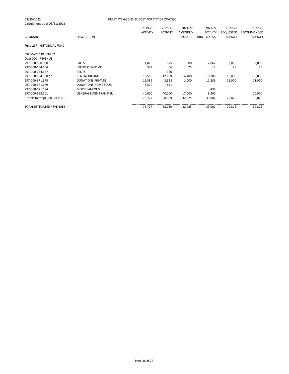| 03/30/2022<br>Calculations as of 03/31/2022 |                              | DRAFT FYE 6-30-23 BUDGET FOR CITY OF OWOSSO |                 |               |                 |                  |               |
|---------------------------------------------|------------------------------|---------------------------------------------|-----------------|---------------|-----------------|------------------|---------------|
|                                             |                              | 2019-20                                     | 2020-21         | 2021-22       | 2021-22         | 2022-23          | 2022-23       |
|                                             |                              | <b>ACTIVITY</b>                             | <b>ACTIVITY</b> | AMENDED       | <b>ACTIVITY</b> | <b>REQUESTED</b> | RECOMMENDED   |
| <b>GL NUMBER</b>                            | <b>DESCRIPTION</b>           |                                             |                 | <b>BUDGET</b> | THRU 03/31/22   | <b>BUDGET</b>    | <b>BUDGET</b> |
|                                             |                              |                                             |                 |               |                 |                  |               |
| Fund 297 - HISTORICAL FUND                  |                              |                                             |                 |               |                 |                  |               |
| <b>ESTIMATED REVENUES</b>                   |                              |                                             |                 |               |                 |                  |               |
| Dept 000 - REVENUE                          |                              |                                             |                 |               |                 |                  |               |
| 297-000-600.600                             | <b>SALES</b>                 | 1,875                                       | 825             | 500           | 2,067           | 2,000            | 2,000         |
| 297-000-664.664                             | <b>INTEREST INCOME</b>       | 343                                         | 66              | 25            | 12              | 25               | 25            |
| 297-000-664.667                             | <b>RENTS</b>                 |                                             | 350             |               |                 |                  |               |
| 297-000-664.668 **                          | <b>RENTAL INCOME</b>         | 13,550                                      | 12,689          | 14,400        | 10,700          | 16,800           | 16,800        |
| 297-000-671.675                             | DONATIONS-PRIVATE            | 11,389                                      | 3,328           | 1,000         | 11,289          | 11,000           | 11,000        |
| 297-000-671.679                             | <b>DONATIONS: HOME TOUR</b>  | 8,570                                       | 831             |               |                 |                  |               |
| 297-000-671.694                             | <b>MISCELLANEOUS</b>         |                                             |                 |               | 434             |                  |               |
| 297-000-695.101                             | <b>GENERAL FUND TRANSFER</b> | 40,000                                      | 40,000          | 17,000        | 8,500           |                  | 10,000        |
| Totals for dept 000 - REVENUE               |                              | 75,727                                      | 58,089          | 32,925        | 33,002          | 29,825           | 39,825        |
| <b>TOTAL ESTIMATED REVENUES</b>             |                              | 75,727                                      | 58,089          | 32,925        | 33,002          | 29,825           | 39,825        |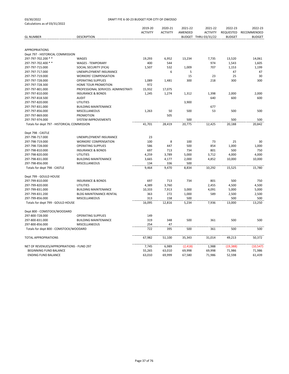| 03/30/2022                    |
|-------------------------------|
| Calculations as of 03/31/2022 |

|                                                         |                                     | 2019-20<br><b>ACTIVITY</b> | 2020-21<br><b>ACTIVITY</b> | 2021-22<br>AMENDED | 2021-22<br><b>ACTIVITY</b> | 2022-23<br>REQUESTED | 2022-23<br>RECOMMENDED |
|---------------------------------------------------------|-------------------------------------|----------------------------|----------------------------|--------------------|----------------------------|----------------------|------------------------|
| <b>GL NUMBER</b>                                        | <b>DESCRIPTION</b>                  |                            |                            |                    | BUDGET THRU 03/31/22       | <b>BUDGET</b>        | <b>BUDGET</b>          |
|                                                         |                                     |                            |                            |                    |                            |                      |                        |
| <b>APPROPRIATIONS</b>                                   |                                     |                            |                            |                    |                            |                      |                        |
| Dept 797 - HISTORICAL COMMISSION<br>297-797-702.200 * * | WAGES                               |                            |                            |                    |                            |                      |                        |
| 297-797-702.400 **                                      | <b>WAGES - TEMPORARY</b>            | 19,293<br>400              | 6,952<br>544               | 13,234             | 7,735<br>974               | 13,520               | 14,061<br>1,605        |
| 297-797-715.000                                         | SOCIAL SECURITY (FICA)              | 1,507                      | 532                        | 1,009              | 707                        | 1,543<br>1,153       | 1,199                  |
| 297-797-717.000                                         | UNEMPLOYMENT INSURANCE              |                            | 6                          | 5                  |                            | 47                   | 47                     |
| 297-797-719.000                                         | <b>WORKERS' COMPENSATION</b>        |                            |                            | 15                 | 23                         | 25                   | 30                     |
| 297-797-728.000                                         | <b>OPERATING SUPPLIES</b>           | 1,089                      | 1,481                      | 300                | 218                        | 300                  | 300                    |
| 297-797-728.300                                         | HOME TOUR PROMOTION                 | 972                        |                            |                    |                            |                      |                        |
| 297-797-801.000                                         | PROFESSIONAL SERVICES: ADMINISTRATI | 15,932                     | 17,075                     |                    |                            |                      |                        |
| 297-797-810.000                                         | <b>INSURANCE &amp; BONDS</b>        | 1,245                      | 1,274                      | 1,312              | 1,398                      | 2,000                | 2,000                  |
| 297-797-818.500                                         | <b>AUDIT</b>                        |                            |                            |                    | 640                        | 600                  | 600                    |
| 297-797-820.000                                         | <b>UTILITIES</b>                    |                            |                            | 3,900              |                            |                      |                        |
| 297-797-831.000                                         | <b>BUILDING MAINTENANCE</b>         |                            |                            |                    | 677                        |                      |                        |
| 297-797-856.000                                         | MISCELLANEOUS                       | 1,263                      | 50                         | 500                | 53                         | 500                  | 500                    |
| 297-797-869.000                                         | <b>PROMOTION</b>                    |                            | 505                        |                    |                            |                      |                        |
| 297-797-974.000                                         | SYSTEM IMPROVEMENTS                 |                            |                            | 500                |                            | 500                  | 500                    |
| Totals for dept 797 - HISTORICAL COMMISSION             |                                     | 41,701                     | 28,419                     | 20,775             | 12,425                     | 20,188               | 20,842                 |
|                                                         |                                     |                            |                            |                    |                            |                      |                        |
| Dept 798 - CASTLE                                       |                                     |                            |                            |                    |                            |                      |                        |
| 297-798-717.000                                         | UNEMPLOYMENT INSURANCE              | 23                         |                            |                    |                            |                      |                        |
| 297-798-719.000                                         | <b>WORKERS' COMPENSATION</b>        | 100                        | 8                          | 100                | 73                         | 25                   | 30                     |
| 297-798-728.000                                         | <b>OPERATING SUPPLIES</b>           | 586                        | 447                        | 500                | 854                        | 1,000                | 1,000                  |
| 297-798-810.000                                         | <b>INSURANCE &amp; BONDS</b>        | 697                        | 713                        | 734                | 801                        | 500                  | 750                    |
| 297-798-820.000                                         | <b>UTILITIES</b>                    | 4,259                      | 3,789                      | 5,000              | 3,712                      | 4,000                | 4,000                  |
| 297-798-831.000                                         | <b>BUILDING MAINTENANCE</b>         | 3,665                      | 4,177                      | 2,000              | 4,852                      | 10,000               | 10,000                 |
| 297-798-856.000                                         | MISCELLANEOUS                       | 134                        | 336                        | 500                |                            |                      |                        |
| Totals for dept 798 - CASTLE                            |                                     | 9,464                      | 9,470                      | 8,834              | 10,292                     | 15,525               | 15,780                 |
| Dept 799 - GOULD HOUSE                                  |                                     |                            |                            |                    |                            |                      |                        |
| 297-799-810.000                                         | <b>INSURANCE &amp; BONDS</b>        | 697                        | 713                        | 734                | 801                        | 500                  | 750                    |
| 297-799-820.000                                         | <b>UTILITIES</b>                    | 4,389                      | 3,760                      |                    | 2,455                      | 4,500                | 4,500                  |
| 297-799-831.000                                         | <b>BUILDING MAINTENANCE</b>         | 10,333                     | 7,913                      | 3,000              | 4,091                      | 5,000                | 5,000                  |
| 297-799-831.200                                         | <b>BLDG MAINTENANCE-RENTAL</b>      | 363                        | 272                        | 1,000              | 589                        | 2,500                | 2,500                  |
| 297-799-856.000                                         | MISCELLANEOUS                       | 313                        | 158                        | 500                |                            | 500                  | 500                    |
| Totals for dept 799 - GOULD HOUSE                       |                                     | 16,095                     | 12,816                     | 5,234              | 7,936                      | 13,000               | 13,250                 |
| Dept 800 - COMSTOCK/WOODARD                             |                                     |                            |                            |                    |                            |                      |                        |
| 297-800-728.000                                         | <b>OPERATING SUPPLIES</b>           | 149                        |                            |                    |                            |                      |                        |
| 297-800-831.000                                         | <b>BUILDING MAINTENANCE</b>         | 319                        | 348                        | 500                | 361                        | 500                  | 500                    |
| 297-800-856.000                                         | <b>MISCELLANEOUS</b>                | 254                        | 47                         |                    |                            |                      |                        |
| Totals for dept 800 - COMSTOCK/WOODARD                  |                                     | 722                        | 395                        | 500                | 361                        | 500                  | 500                    |
| TOTAL APPROPRIATIONS                                    |                                     | 67,982                     | 51,100                     | 35,343             | 31,014                     | 49,213               | 50,372                 |
| NET OF REVENUES/APPROPRIATIONS - FUND 297               |                                     | 7,745                      | 6,989                      | (2, 418)           | 1,988                      | (19, 388)            | (10, 547)              |
| BEGINNING FUND BALANCE                                  |                                     | 55,265                     | 63,010                     | 69,998             | 69,998                     | 71,986               | 71,986                 |
| <b>ENDING FUND BALANCE</b>                              |                                     | 63,010                     | 69,999                     | 67,580             | 71,986                     | 52,598               | 61,439                 |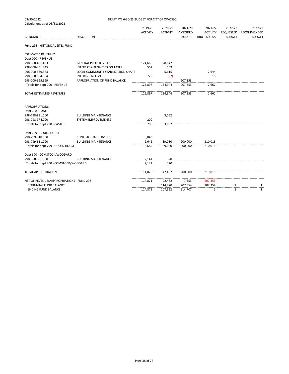| 03/30/2022                                | DRAFT FYE 6-30-23 BUDGET FOR CITY OF OWOSSO |                 |                 |         |                      |               |               |
|-------------------------------------------|---------------------------------------------|-----------------|-----------------|---------|----------------------|---------------|---------------|
| Calculations as of 03/31/2022             |                                             |                 |                 |         |                      |               |               |
|                                           |                                             | 2019-20         | 2020-21         | 2021-22 | 2021-22              | 2022-23       | 2022-23       |
|                                           |                                             | <b>ACTIVITY</b> | <b>ACTIVITY</b> | AMENDED | <b>ACTIVITY</b>      | REQUESTED     | RECOMMENDED   |
| <b>GL NUMBER</b>                          | <b>DESCRIPTION</b>                          |                 |                 |         | BUDGET THRU 03/31/22 | <b>BUDGET</b> | <b>BUDGET</b> |
| Fund 298 - HISTORICAL SITES FUND          |                                             |                 |                 |         |                      |               |               |
| <b>ESTIMATED REVENUES</b>                 |                                             |                 |                 |         |                      |               |               |
| Dept 000 - REVENUE                        |                                             |                 |                 |         |                      |               |               |
| 298-000-401.403                           | <b>GENERAL PROPERTY TAX</b>                 | 124,666         | 128,842         |         |                      |               |               |
| 298-000-401.445                           | <b>INTEREST &amp; PENALTIES ON TAXES</b>    | 502             | 509             |         |                      |               |               |
| 298-000-539.573                           | LOCAL COMMUNITY STABILIZATION SHARE         |                 | 5,615           |         | 2,644                |               |               |
| 298-000-664.664                           | <b>INTEREST INCOME</b>                      | 729             | (22)            |         | 18                   |               |               |
| 298-000-695.699                           | APPROPRIATION OF FUND BALANCE               |                 |                 | 207,353 |                      |               |               |
| Totals for dept 000 - REVENUE             |                                             | 125,897         | 134,944         | 207,353 | 2,662                |               |               |
| TOTAL ESTIMATED REVENUES                  |                                             | 125,897         | 134,944         | 207,353 | 2,662                |               |               |
| <b>APPROPRIATIONS</b>                     |                                             |                 |                 |         |                      |               |               |
| Dept 798 - CASTLE                         |                                             |                 |                 |         |                      |               |               |
| 298-798-831.000                           | <b>BUILDING MAINTENANCE</b>                 |                 | 3,062           |         |                      |               |               |
| 298-798-974.000                           | <b>SYSTEM IMPROVEMENTS</b>                  | 200             |                 |         |                      |               |               |
| Totals for dept 798 - CASTLE              |                                             | 200             | 3,062           |         |                      |               |               |
| Dept 799 - GOULD HOUSE                    |                                             |                 |                 |         |                      |               |               |
| 298-799-818.000                           | <b>CONTRACTUAL SERVICES</b>                 | 6,043           |                 |         |                      |               |               |
| 298-799-831.000                           | <b>BUILDING MAINTENANCE</b>                 | 2,642           | 39,080          | 200.000 | 210,015              |               |               |
| Totals for dept 799 - GOULD HOUSE         |                                             | 8,685           | 39,080          | 200,000 | 210,015              |               |               |
| Dept 800 - COMSTOCK/WOODARD               |                                             |                 |                 |         |                      |               |               |
| 298-800-831.000                           | <b>BUILDING MAINTENANCE</b>                 | 2,141           | 320             |         |                      |               |               |
| Totals for dept 800 - COMSTOCK/WOODARD    |                                             | 2,141           | 320             |         |                      |               |               |
| TOTAL APPROPRIATIONS                      |                                             | 11,026          | 42,462          | 200,000 | 210,015              |               |               |
| NET OF REVENUES/APPROPRIATIONS - FUND 298 |                                             | 114,871         | 92,482          | 7,353   | (207, 353)           |               |               |
| BEGINNING FUND BALANCE                    |                                             |                 | 114,870         | 207,354 | 207,354              | $\mathbf{1}$  | 1             |

ENDING FUND BALANCE 114,871 207,352 214,707 1 1 1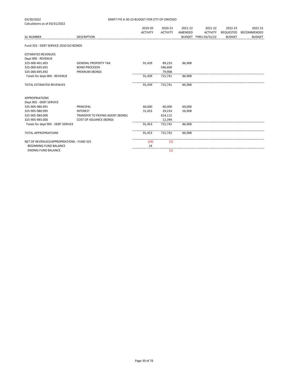| 03/30/2022                                | DRAFT FYE 6-30-23 BUDGET FOR CITY OF OWOSSO |                 |                 |         |                      |                  |               |
|-------------------------------------------|---------------------------------------------|-----------------|-----------------|---------|----------------------|------------------|---------------|
| Calculations as of 03/31/2022             |                                             |                 |                 |         |                      |                  |               |
|                                           |                                             | 2019-20         | 2020-21         | 2021-22 | 2021-22              | 2022-23          | 2022-23       |
|                                           |                                             | <b>ACTIVITY</b> | <b>ACTIVITY</b> | AMENDED | <b>ACTIVITY</b>      | <b>REQUESTED</b> | RECOMMENDED   |
| <b>GL NUMBER</b>                          | <b>DESCRIPTION</b>                          |                 |                 |         | BUDGET THRU 03/31/22 | <b>BUDGET</b>    | <b>BUDGET</b> |
| Fund 325 - DEBT SERVICE-2010 GO BONDS     |                                             |                 |                 |         |                      |                  |               |
| <b>ESTIMATED REVENUES</b>                 |                                             |                 |                 |         |                      |                  |               |
| Dept 000 - REVENUE                        |                                             |                 |                 |         |                      |                  |               |
| 325-000-401.403                           | <b>GENERAL PROPERTY TAX</b>                 | 91,439          | 89,233          | 86,908  |                      |                  |               |
| 325-000-695.691                           | <b>BOND PROCEEDS</b>                        |                 | 546,600         |         |                      |                  |               |
| 325-000-695.692                           | PREMIUM (BOND)                              |                 | 79,908          |         |                      |                  |               |
| Totals for dept 000 - REVENUE             |                                             | 91,439          | 715,741         | 86,908  |                      |                  |               |
| <b>TOTAL ESTIMATED REVENUES</b>           |                                             | 91,439          | 715,741         | 86,908  |                      |                  |               |
| <b>APPROPRIATIONS</b>                     |                                             |                 |                 |         |                      |                  |               |
| Dept 905 - DEBT SERVICE                   |                                             |                 |                 |         |                      |                  |               |
| 325-905-980.991                           | <b>PRINCIPAL</b>                            | 60,000          | 60,000          | 60,000  |                      |                  |               |
| 325-905-980.995                           | <b>INTEREST</b>                             | 31,453          | 29,233          | 26,908  |                      |                  |               |
| 325-905-984.000                           | TRANSFER TO PAYING AGENT (BOND)             |                 | 614,115         |         |                      |                  |               |
| 325-905-985.000                           | <b>COST OF ISSUANCE (BOND)</b>              |                 | 12.394          |         |                      |                  |               |
| Totals for dept 905 - DEBT SERVICE        |                                             | 91,453          | 715,742         | 86,908  |                      |                  |               |
| <b>TOTAL APPROPRIATIONS</b>               |                                             | 91,453          | 715,742         | 86,908  |                      |                  |               |
| NET OF REVENUES/APPROPRIATIONS - FUND 325 |                                             | (14)            | (1)             |         |                      |                  |               |
| <b>BEGINNING FUND BALANCE</b>             |                                             | 14              |                 |         |                      |                  |               |
| <b>ENDING FUND BALANCE</b>                |                                             |                 | (1)             |         |                      |                  |               |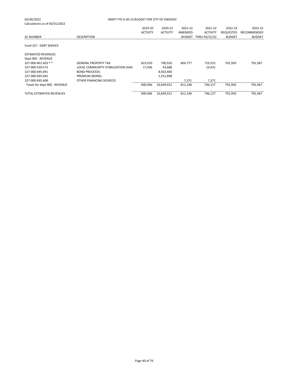| 03/30/2022                      | DRAFT FYE 6-30-23 BUDGET FOR CITY OF OWOSSO |                 |                 |               |                 |                  |               |  |
|---------------------------------|---------------------------------------------|-----------------|-----------------|---------------|-----------------|------------------|---------------|--|
| Calculations as of 03/31/2022   |                                             |                 |                 |               | 2021-22         |                  |               |  |
|                                 |                                             | 2019-20         | 2020-21         | 2021-22       |                 | 2022-23          | 2022-23       |  |
|                                 |                                             | <b>ACTIVITY</b> | <b>ACTIVITY</b> | AMENDED       | <b>ACTIVITY</b> | <b>REQUESTED</b> | RECOMMENDED   |  |
| <b>GL NUMBER</b>                | <b>DESCRIPTION</b>                          |                 |                 | <b>BUDGET</b> | THRU 03/31/22   | <b>BUDGET</b>    | <b>BUDGET</b> |  |
| Fund 327 - DEBT SERVICE         |                                             |                 |                 |               |                 |                  |               |  |
| <b>ESTIMATED REVENUES</b>       |                                             |                 |                 |               |                 |                  |               |  |
| Dept 000 - REVENUE              |                                             |                 |                 |               |                 |                  |               |  |
| 327-000-401.403 **              | <b>GENERAL PROPERTY TAX</b>                 | 823,010         | 790,926         | 804,777       | 719,325         | 791,950          | 791,967       |  |
| 327-000-539.573                 | <b>LOCAL COMMUNITY STABILIZATION SHAI</b>   | 17,936          | 43,688          |               | 19,431          |                  |               |  |
| 327-000-695.691                 | <b>BOND PROCEEDS</b>                        |                 | 8,563,400       |               |                 |                  |               |  |
| 327-000-695.692                 | PREMIUM (BOND)                              |                 | 1,251,898       |               |                 |                  |               |  |
| 327-000-695.698                 | OTHER FINANCING SOURCES                     |                 |                 | 7,371         | 7,371           |                  |               |  |
| Totals for dept 000 - REVENUE   |                                             | 840.946         | 10,649,912      | 812,148       | 746.127         | 791.950          | 791.967       |  |
| <b>TOTAL ESTIMATED REVENUES</b> |                                             | 840,946         | 10,649,912      | 812,148       | 746,127         | 791,950          | 791,967       |  |
|                                 |                                             |                 |                 |               |                 |                  |               |  |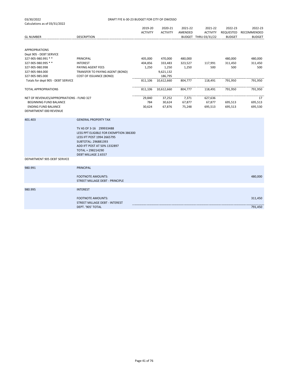|                                           |                                                                                                                                                                                                   | 2019-20<br><b>ACTIVITY</b> | 2020-21<br><b>ACTIVITY</b> | 2021-22<br>AMENDED | 2021-22<br><b>ACTIVITY</b> | 2022-23<br>REQUESTED | 2022-23<br>RECOMMENDED |
|-------------------------------------------|---------------------------------------------------------------------------------------------------------------------------------------------------------------------------------------------------|----------------------------|----------------------------|--------------------|----------------------------|----------------------|------------------------|
| <b>GL NUMBER</b>                          | <b>DESCRIPTION</b>                                                                                                                                                                                |                            |                            |                    | BUDGET THRU 03/31/22       | <b>BUDGET</b>        | <b>BUDGET</b>          |
| <b>APPROPRIATIONS</b>                     |                                                                                                                                                                                                   |                            |                            |                    |                            |                      |                        |
| Dept 905 - DEBT SERVICE                   |                                                                                                                                                                                                   |                            |                            |                    |                            |                      |                        |
| 327-905-980.991 **                        | PRINCIPAL                                                                                                                                                                                         | 405,000                    | 470,000                    | 480,000            |                            | 480,000              | 480,000                |
| 327-905-980.995 **                        | <b>INTEREST</b>                                                                                                                                                                                   | 404,856                    | 333,483                    | 323,527            | 117,991                    | 311,450              | 311,450                |
| 327-905-980.998                           | PAYING AGENT FEES                                                                                                                                                                                 | 1,250                      | 1,250                      | 1,250              | 500                        | 500                  | 500                    |
| 327-905-984.000                           | TRANSFER TO PAYING AGENT (BOND)                                                                                                                                                                   |                            | 9,621,132                  |                    |                            |                      |                        |
| 327-905-985.000                           | COST OF ISSUANCE (BOND)                                                                                                                                                                           |                            | 186,795                    |                    |                            |                      |                        |
| Totals for dept 905 - DEBT SERVICE        |                                                                                                                                                                                                   | 811,106                    | 10,612,660                 | 804,777            | 118,491                    | 791,950              | 791,950                |
| <b>TOTAL APPROPRIATIONS</b>               |                                                                                                                                                                                                   | 811,106                    | 10,612,660                 | 804,777            | 118,491                    | 791,950              | 791,950                |
| NET OF REVENUES/APPROPRIATIONS - FUND 327 |                                                                                                                                                                                                   | 29,840                     | 37,252                     | 7,371              | 627,636                    |                      | 17                     |
| BEGINNING FUND BALANCE                    |                                                                                                                                                                                                   | 784                        | 30,624                     | 67,877             | 67,877                     | 695,513              | 695,513                |
| <b>ENDING FUND BALANCE</b>                |                                                                                                                                                                                                   | 30,624                     | 67,876                     | 75,248             | 695,513                    | 695,513              | 695,530                |
| DEPARTMENT 000 REVENUE                    |                                                                                                                                                                                                   |                            |                            |                    |                            |                      |                        |
| 401.403                                   | <b>GENERAL PROPERTY TAX</b>                                                                                                                                                                       |                            |                            |                    |                            |                      |                        |
|                                           | TV AS OF 3-16 299933488<br>LESS PPT ELIGIBLE FOR EXEMPTION 386300<br>LESS IFT POST 1994 2665795<br>SUBTOTAL: 296881393<br>ADD IFT POST AT 50% 1332897<br>TOTAL = 298214290<br>DEBT MILLAGE 2.6557 |                            |                            |                    |                            |                      |                        |
| DEPARTMENT 905 DEBT SERVICE               |                                                                                                                                                                                                   |                            |                            |                    |                            |                      |                        |
| 980.991                                   | <b>PRINCIPAL</b>                                                                                                                                                                                  |                            |                            |                    |                            |                      |                        |
|                                           | <b>FOOTNOTE AMOUNTS:</b><br>STREET MILLAGE DEBT - PRINCIPLE                                                                                                                                       |                            |                            |                    |                            |                      | 480,000                |
| 980.995                                   | <b>INTEREST</b>                                                                                                                                                                                   |                            |                            |                    |                            |                      |                        |
|                                           | <b>FOOTNOTE AMOUNTS:</b><br><b>STREET MILLAGE DEBT - INTEREST</b><br>DEPT. '905' TOTAL                                                                                                            |                            |                            |                    |                            |                      | 311,450<br>791,450     |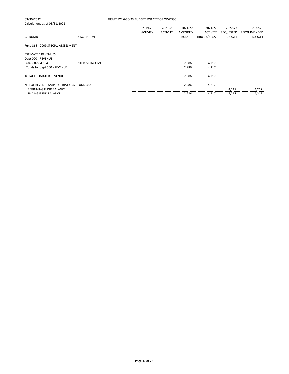03/30/2022 DRAFT FYE 6-30-23 BUDGET FOR CITY OF OWOSSO Calculations as of 03/31/2022 2019-20 2020-21 2021-22 2021-22 2022-23 2022-23 ACTIVITY ACTIVITY AMENDED ACTIVITY REQUESTED RECOMMENDED<br>BUDGET THRU 03/31/22 BUDGET BUDGET GL NUMBER DESCRIPTION BUDGET THRU 03/31/22 BUDGET BUDGET Fund 368 - 2009 SPECIAL ASSESSMENT ESTIMATED REVENUES Dept 000 - REVENUE 368-000-664.664 INTEREST INCOME 2,986 4,217 Totals for dept 000 - REVENUE TOTAL ESTIMATED REVENUES 2,986 4,217 NET OF REVENUES/APPROPRIATIONS - FUND 368 2,986 4,217 BEGINNING FUND BALANCE 4,217 4,217 4,217 4,217 4,217 4,217 4,217 4,217 4,217 4,217 4,217 4,217 4,217 4,217 4,217 ENDING FUND BALANCE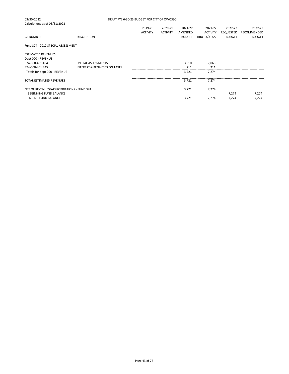| 03/30/2022                                | DRAFT FYE 6-30-23 BUDGET FOR CITY OF OWOSSO |                 |                 |         |                      |               |               |  |
|-------------------------------------------|---------------------------------------------|-----------------|-----------------|---------|----------------------|---------------|---------------|--|
| Calculations as of 03/31/2022             |                                             |                 |                 |         |                      |               |               |  |
|                                           |                                             | 2019-20         | 2020-21         | 2021-22 | 2021-22              | 2022-23       | 2022-23       |  |
|                                           |                                             | <b>ACTIVITY</b> | <b>ACTIVITY</b> | AMENDED | <b>ACTIVITY</b>      | REQUESTED     | RECOMMENDED   |  |
| <b>GL NUMBER</b>                          | <b>DESCRIPTION</b>                          |                 |                 |         | BUDGET THRU 03/31/22 | <b>BUDGET</b> | <b>BUDGET</b> |  |
| Fund 374 - 2012 SPECIAL ASSESSMENT        |                                             |                 |                 |         |                      |               |               |  |
| <b>ESTIMATED REVENUES</b>                 |                                             |                 |                 |         |                      |               |               |  |
| Dept 000 - REVENUE                        |                                             |                 |                 |         |                      |               |               |  |
| 374-000-401.404                           | SPECIAL ASSESSMENTS                         |                 |                 | 3,510   | 7,063                |               |               |  |
| 374-000-401.445                           | <b>INTEREST &amp; PENALTIES ON TAXES</b>    |                 |                 | 211     | 211                  |               |               |  |
| Totals for dept 000 - REVENUE             |                                             |                 |                 | 3,721   | 7,274                |               |               |  |
| TOTAL ESTIMATED REVENUES                  |                                             |                 |                 | 3,721   | 7,274                |               |               |  |
| NET OF REVENUES/APPROPRIATIONS - FUND 374 |                                             |                 |                 | 3.721   | 7.274                |               |               |  |
| <b>BEGINNING FUND BALANCE</b>             |                                             |                 |                 |         |                      | 7,274         | 7,274         |  |
| <b>ENDING FUND BALANCE</b>                |                                             |                 |                 | 3,721   | 7,274                | 7,274         | 7,274         |  |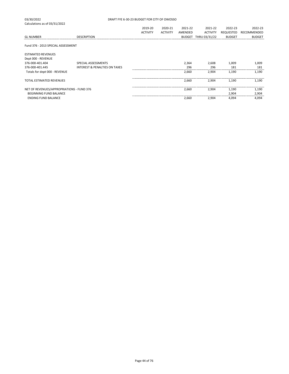| DRAFT FYE 6-30-23 BUDGET FOR CITY OF OWOSSO |                 |                 |         |                 |                      |               |  |
|---------------------------------------------|-----------------|-----------------|---------|-----------------|----------------------|---------------|--|
|                                             |                 |                 |         |                 |                      |               |  |
|                                             | 2019-20         | 2020-21         | 2021-22 | 2021-22         | 2022-23              | 2022-23       |  |
|                                             | <b>ACTIVITY</b> | <b>ACTIVITY</b> | AMENDED | <b>ACTIVITY</b> | REQUESTED            | RECOMMENDED   |  |
| <b>DESCRIPTION</b>                          |                 |                 |         |                 | <b>BUDGET</b>        | <b>BUDGET</b> |  |
| Fund 376 - 2013 SPECIAL ASSESSMENT          |                 |                 |         |                 |                      |               |  |
|                                             |                 |                 |         |                 |                      |               |  |
| SPECIAL ASSESSMENTS                         |                 |                 | 2,364   | 2,608           | 1,009                | 1,009         |  |
| <b>INTEREST &amp; PENALTIES ON TAXES</b>    |                 |                 | 296     | 296             | 181                  | 181           |  |
|                                             |                 |                 | 2,660   | 2,904           | 1,190                | 1,190         |  |
|                                             |                 |                 | 2,660   | 2,904           | 1,190                | 1,190         |  |
| NET OF REVENUES/APPROPRIATIONS - FUND 376   |                 |                 | 2,660   | 2.904           | 1,190                | 1,190         |  |
|                                             |                 |                 |         |                 |                      | 2,904         |  |
|                                             |                 |                 | 2,660   | 2,904           | 4,094                | 4,094         |  |
|                                             |                 |                 |         |                 | BUDGET THRU 03/31/22 | 2,904         |  |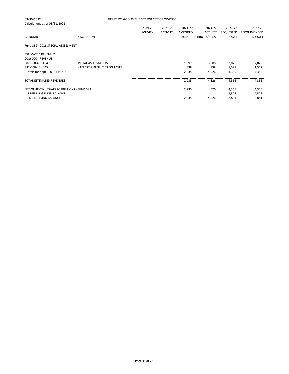| 03/30/2022                                | DRAFT FYE 6-30-23 BUDGET FOR CITY OF OWOSSO |                 |                 |         |                      |               |               |  |
|-------------------------------------------|---------------------------------------------|-----------------|-----------------|---------|----------------------|---------------|---------------|--|
| Calculations as of 03/31/2022             |                                             |                 |                 |         |                      |               |               |  |
|                                           |                                             | 2019-20         | 2020-21         | 2021-22 | 2021-22              | 2022-23       | 2022-23       |  |
|                                           |                                             | <b>ACTIVITY</b> | <b>ACTIVITY</b> | AMENDED | <b>ACTIVITY</b>      | REQUESTED     | RECOMMENDED   |  |
| <b>GL NUMBER</b>                          | <b>DESCRIPTION</b>                          |                 |                 |         | BUDGET THRU 03/31/22 | <b>BUDGET</b> | <b>BUDGET</b> |  |
|                                           |                                             |                 |                 |         |                      |               |               |  |
| Fund 382 - 2016 SPECIAL ASSESSMENT        |                                             |                 |                 |         |                      |               |               |  |
| <b>ESTIMATED REVENUES</b>                 |                                             |                 |                 |         |                      |               |               |  |
| Dept 000 - REVENUE                        |                                             |                 |                 |         |                      |               |               |  |
| 382-000-401.404                           | SPECIAL ASSESSMENTS                         |                 |                 | 1,397   | 3,688                | 2,828         | 2,828         |  |
| 382-000-401.445                           | <b>INTEREST &amp; PENALTIES ON TAXES</b>    |                 |                 | 838     | 838                  | 1,527         | 1,527         |  |
| Totals for dept 000 - REVENUE             |                                             |                 |                 | 2,235   | 4,526                | 4,355         | 4,355         |  |
|                                           |                                             |                 |                 |         |                      |               |               |  |
| <b>TOTAL ESTIMATED REVENUES</b>           |                                             |                 |                 | 2,235   | 4,526                | 4,355         | 4,355         |  |
|                                           |                                             |                 |                 |         |                      |               |               |  |
| NET OF REVENUES/APPROPRIATIONS - FUND 382 |                                             |                 |                 | 2,235   | 4,526                | 4,355         | 4,355         |  |
| <b>BEGINNING FUND BALANCE</b>             |                                             |                 |                 |         |                      | 4,526         | 4,526         |  |
| <b>ENDING FUND BALANCE</b>                |                                             |                 |                 | 2,235   | 4,526                | 8,881         | 8,881         |  |
|                                           |                                             |                 |                 |         |                      |               |               |  |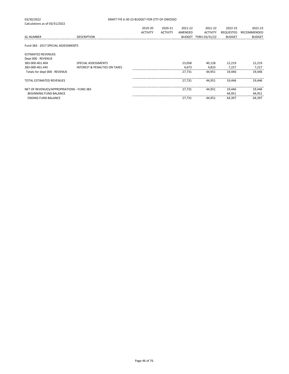| 03/30/2022                                | DRAFT FYE 6-30-23 BUDGET FOR CITY OF OWOSSO |                 |                 |               |                 |                            |               |
|-------------------------------------------|---------------------------------------------|-----------------|-----------------|---------------|-----------------|----------------------------|---------------|
| Calculations as of 03/31/2022             |                                             | 2019-20         | 2020-21         | 2021-22       | 2021-22         | 2022-23                    | 2022-23       |
|                                           |                                             | <b>ACTIVITY</b> | <b>ACTIVITY</b> | AMENDED       | <b>ACTIVITY</b> |                            | RECOMMENDED   |
| <b>GL NUMBER</b>                          | <b>DESCRIPTION</b>                          |                 |                 | <b>BUDGET</b> | THRU 03/31/22   | REQUESTED<br><b>BUDGET</b> | <b>BUDGET</b> |
|                                           |                                             |                 |                 |               |                 |                            |               |
| Fund 383 - 2017 SPECIAL ASSESSMENTS       |                                             |                 |                 |               |                 |                            |               |
| <b>ESTIMATED REVENUES</b>                 |                                             |                 |                 |               |                 |                            |               |
| Dept 000 - REVENUE                        |                                             |                 |                 |               |                 |                            |               |
| 383-000-401.404                           | SPECIAL ASSESSMENTS                         |                 |                 | 23,058        | 40,128          | 12,219                     | 12,219        |
| 383-000-401.445                           | <b>INTEREST &amp; PENALTIES ON TAXES</b>    |                 |                 | 4,673         | 4,823           | 7,227                      | 7,227         |
| Totals for dept 000 - REVENUE             |                                             |                 |                 | 27,731        | 44.951          | 19,446                     | 19,446        |
| <b>TOTAL ESTIMATED REVENUES</b>           |                                             |                 |                 | 27.731        | 44.951          | 19.446                     | 19,446        |
| NET OF REVENUES/APPROPRIATIONS - FUND 383 |                                             |                 |                 | 27.731        | 44.951          | 19,446                     | 19,446        |
| <b>BEGINNING FUND BALANCE</b>             |                                             |                 |                 |               |                 | 44,951                     | 44,951        |
| <b>ENDING FUND BALANCE</b>                |                                             |                 |                 | 27,731        | 44,951          | 64,397                     | 64,397        |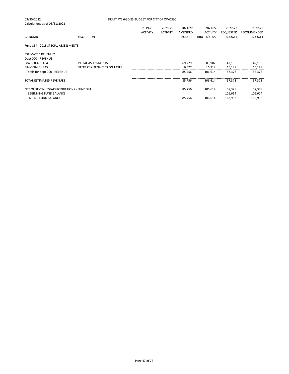| 03/30/2022                                |                                          | DRAFT FYE 6-30-23 BUDGET FOR CITY OF OWOSSO |                 |               |                 |               |               |
|-------------------------------------------|------------------------------------------|---------------------------------------------|-----------------|---------------|-----------------|---------------|---------------|
| Calculations as of 03/31/2022             |                                          |                                             |                 |               |                 |               |               |
|                                           |                                          | 2019-20                                     | 2020-21         | 2021-22       | 2021-22         | 2022-23       | 2022-23       |
|                                           |                                          | <b>ACTIVITY</b>                             | <b>ACTIVITY</b> | AMENDED       | <b>ACTIVITY</b> | REQUESTED     | RECOMMENDED   |
| <b>GL NUMBER</b>                          | <b>DESCRIPTION</b>                       |                                             |                 | <b>BUDGET</b> | THRU 03/31/22   | <b>BUDGET</b> | <b>BUDGET</b> |
| Fund 384 - 2018 SPECIAL ASSESSMENTS       |                                          |                                             |                 |               |                 |               |               |
| <b>ESTIMATED REVENUES</b>                 |                                          |                                             |                 |               |                 |               |               |
| Dept 000 - REVENUE                        |                                          |                                             |                 |               |                 |               |               |
| 384-000-401.404                           | SPECIAL ASSESSMENTS                      |                                             |                 | 69,229        | 89,902          | 42,190        | 42,190        |
| 384-000-401.445                           | <b>INTEREST &amp; PENALTIES ON TAXES</b> |                                             |                 | 16,527        | 16,712          | 15,188        | 15,188        |
| Totals for dept 000 - REVENUE             |                                          |                                             |                 | 85,756        | 106.614         | 57,378        | 57,378        |
| <b>TOTAL ESTIMATED REVENUES</b>           |                                          |                                             |                 | 85,756        | 106.614         | 57,378        | 57,378        |
| NET OF REVENUES/APPROPRIATIONS - FUND 384 |                                          |                                             |                 | 85,756        | 106.614         | 57,378        | 57,378        |
| <b>BEGINNING FUND BALANCE</b>             |                                          |                                             |                 |               |                 | 106,614       | 106,614       |
| <b>ENDING FUND BALANCE</b>                |                                          |                                             |                 | 85,756        | 106,614         | 163,992       | 163,992       |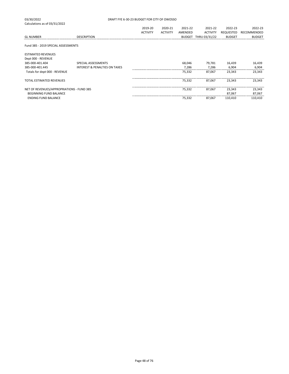| 03/30/2022                                | DRAFT FYE 6-30-23 BUDGET FOR CITY OF OWOSSO |                 |                 |               |                 |               |               |
|-------------------------------------------|---------------------------------------------|-----------------|-----------------|---------------|-----------------|---------------|---------------|
| Calculations as of 03/31/2022             |                                             |                 |                 |               |                 |               |               |
|                                           |                                             | 2019-20         | 2020-21         | 2021-22       | 2021-22         | 2022-23       | 2022-23       |
|                                           |                                             | <b>ACTIVITY</b> | <b>ACTIVITY</b> | AMENDED       | <b>ACTIVITY</b> | REQUESTED     | RECOMMENDED   |
| <b>GL NUMBER</b>                          | <b>DESCRIPTION</b>                          |                 |                 | <b>BUDGET</b> | THRU 03/31/22   | <b>BUDGET</b> | <b>BUDGET</b> |
|                                           |                                             |                 |                 |               |                 |               |               |
| Fund 385 - 2019 SPECIAL ASSESSMENTS       |                                             |                 |                 |               |                 |               |               |
|                                           |                                             |                 |                 |               |                 |               |               |
| <b>ESTIMATED REVENUES</b>                 |                                             |                 |                 |               |                 |               |               |
| Dept 000 - REVENUE                        |                                             |                 |                 |               |                 |               |               |
| 385-000-401.404                           | SPECIAL ASSESSMENTS                         |                 |                 | 68,046        | 79,781          | 16,439        | 16,439        |
| 385-000-401.445                           | <b>INTEREST &amp; PENALTIES ON TAXES</b>    |                 |                 | 7,286         | 7,286           | 6,904         | 6,904         |
| Totals for dept 000 - REVENUE             |                                             |                 |                 | 75,332        | 87,067          | 23,343        | 23,343        |
|                                           |                                             |                 |                 |               |                 |               |               |
| <b>TOTAL ESTIMATED REVENUES</b>           |                                             |                 |                 | 75,332        | 87,067          | 23,343        | 23,343        |
| NET OF REVENUES/APPROPRIATIONS - FUND 385 |                                             |                 |                 | 75,332        | 87,067          | 23,343        | 23,343        |
| <b>BEGINNING FUND BALANCE</b>             |                                             |                 |                 |               |                 | 87,067        | 87,067        |
| <b>ENDING FUND BALANCE</b>                |                                             |                 |                 | 75,332        | 87,067          | 110,410       | 110,410       |
|                                           |                                             |                 |                 |               |                 |               |               |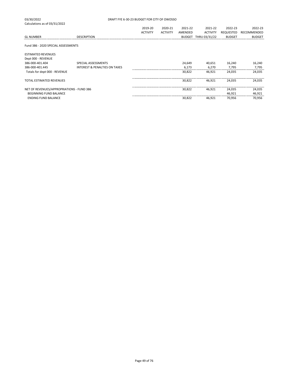| 03/30/2022                                      | DRAFT FYE 6-30-23 BUDGET FOR CITY OF OWOSSO |                 |                 |               |                 |               |               |
|-------------------------------------------------|---------------------------------------------|-----------------|-----------------|---------------|-----------------|---------------|---------------|
| Calculations as of 03/31/2022                   |                                             |                 |                 |               |                 |               |               |
|                                                 |                                             | 2019-20         | 2020-21         | 2021-22       | 2021-22         | 2022-23       | 2022-23       |
|                                                 |                                             | <b>ACTIVITY</b> | <b>ACTIVITY</b> | AMENDED       | <b>ACTIVITY</b> | REQUESTED     | RECOMMENDED   |
| <b>GL NUMBER</b>                                | <b>DESCRIPTION</b>                          |                 |                 | <b>BUDGET</b> | THRU 03/31/22   | <b>BUDGET</b> | <b>BUDGET</b> |
| Fund 386 - 2020 SPECIAL ASSESSMENTS             |                                             |                 |                 |               |                 |               |               |
| <b>ESTIMATED REVENUES</b><br>Dept 000 - REVENUE |                                             |                 |                 |               |                 |               |               |
| 386-000-401.404                                 | SPECIAL ASSESSMENTS                         |                 |                 | 24,649        | 40,651          | 16,240        | 16,240        |
| 386-000-401.445                                 | <b>INTEREST &amp; PENALTIES ON TAXES</b>    |                 |                 | 6,173         | 6,270           | 7,795         | 7,795         |
| Totals for dept 000 - REVENUE                   |                                             |                 |                 | 30,822        | 46,921          | 24,035        | 24,035        |
| <b>TOTAL ESTIMATED REVENUES</b>                 |                                             |                 |                 | 30.822        | 46.921          | 24.035        | 24,035        |
| NET OF REVENUES/APPROPRIATIONS - FUND 386       |                                             |                 |                 | 30,822        | 46,921          | 24,035        | 24,035        |
| <b>BEGINNING FUND BALANCE</b>                   |                                             |                 |                 |               |                 | 46,921        | 46,921        |
| <b>ENDING FUND BALANCE</b>                      |                                             |                 |                 | 30,822        | 46,921          | 70,956        | 70,956        |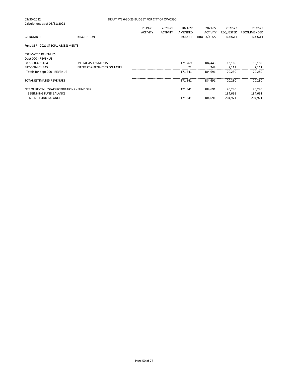| 03/30/2022                                      | DRAFT FYE 6-30-23 BUDGET FOR CITY OF OWOSSO |                 |                 |         |                      |               |               |
|-------------------------------------------------|---------------------------------------------|-----------------|-----------------|---------|----------------------|---------------|---------------|
| Calculations as of 03/31/2022                   |                                             | 2019-20         | 2020-21         | 2021-22 | 2021-22              | 2022-23       | 2022-23       |
|                                                 |                                             | <b>ACTIVITY</b> | <b>ACTIVITY</b> | AMENDED | <b>ACTIVITY</b>      | REQUESTED     | RECOMMENDED   |
| <b>GL NUMBER</b>                                | <b>DESCRIPTION</b>                          |                 |                 |         | BUDGET THRU 03/31/22 | <b>BUDGET</b> | <b>BUDGET</b> |
| Fund 387 - 2021 SPECIAL ASSESSMENTS             |                                             |                 |                 |         |                      |               |               |
| <b>ESTIMATED REVENUES</b><br>Dept 000 - REVENUE |                                             |                 |                 |         |                      |               |               |
| 387-000-401.404                                 | SPECIAL ASSESSMENTS                         |                 |                 | 171,269 | 184,443              | 13,169        | 13,169        |
| 387-000-401.445                                 | <b>INTEREST &amp; PENALTIES ON TAXES</b>    |                 |                 | 72      | 248                  | 7,111         | 7,111         |
| Totals for dept 000 - REVENUE                   |                                             |                 |                 | 171,341 | 184.691              | 20,280        | 20,280        |
| <b>TOTAL ESTIMATED REVENUES</b>                 |                                             |                 |                 | 171,341 | 184.691              | 20,280        | 20,280        |
| NET OF REVENUES/APPROPRIATIONS - FUND 387       |                                             |                 |                 | 171,341 | 184,691              | 20,280        | 20,280        |
| <b>BEGINNING FUND BALANCE</b>                   |                                             |                 |                 |         |                      | 184,691       | 184,691       |
| <b>ENDING FUND BALANCE</b>                      |                                             |                 |                 | 171,341 | 184.691              | 204,971       | 204,971       |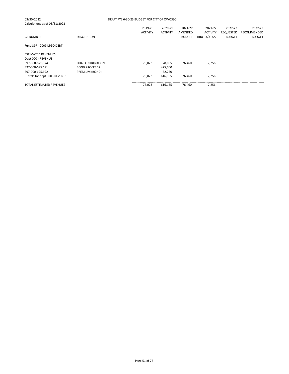| 03/30/2022<br>Calculations as of 03/31/2022 | DRAFT FYE 6-30-23 BUDGET FOR CITY OF OWOSSO |                 |                 |               |                 |                  |               |
|---------------------------------------------|---------------------------------------------|-----------------|-----------------|---------------|-----------------|------------------|---------------|
|                                             |                                             | 2019-20         | 2020-21         | 2021-22       | 2021-22         | 2022-23          | 2022-23       |
|                                             |                                             | <b>ACTIVITY</b> | <b>ACTIVITY</b> | AMENDED       | <b>ACTIVITY</b> | <b>REQUESTED</b> | RECOMMENDED   |
| <b>GL NUMBER</b>                            | <b>DESCRIPTION</b>                          |                 |                 | <b>BUDGET</b> | THRU 03/31/22   | <b>BUDGET</b>    | <b>BUDGET</b> |
| Fund 397 - 2009 LTGO DEBT                   |                                             |                 |                 |               |                 |                  |               |
| <b>ESTIMATED REVENUES</b>                   |                                             |                 |                 |               |                 |                  |               |
| Dept 000 - REVENUE                          |                                             |                 |                 |               |                 |                  |               |
| 397-000-671.674                             | <b>DDA CONTRIBUTION</b>                     | 76.023          | 78.885          | 76.460        | 7.256           |                  |               |
| 397-000-695.691                             | <b>BOND PROCEEDS</b>                        |                 | 475,000         |               |                 |                  |               |
| 397-000-695.692                             | PREMIUM (BOND)                              |                 | 62,250          |               |                 |                  |               |
| Totals for dept 000 - REVENUE               |                                             | 76,023          | 616,135         | 76.460        | 7,256           |                  |               |
| <b>TOTAL ESTIMATED REVENUES</b>             |                                             | 76,023          | 616,135         | 76,460        | 7,256           |                  |               |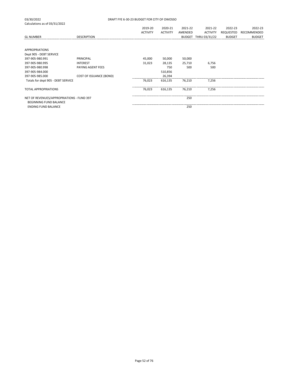| <b>GL NUMBER</b>                                                           | <b>DESCRIPTION</b>      | 2019-20<br><b>ACTIVITY</b> | 2020-21<br><b>ACTIVITY</b> | 2021-22<br>AMENDED | 2021-22<br><b>ACTIVITY</b><br>BUDGET THRU 03/31/22 | 2022-23<br>REQUESTED<br><b>BUDGET</b> | 2022-23<br>RECOMMENDED<br><b>BUDGET</b> |
|----------------------------------------------------------------------------|-------------------------|----------------------------|----------------------------|--------------------|----------------------------------------------------|---------------------------------------|-----------------------------------------|
| <b>APPROPRIATIONS</b><br>Dept 905 - DEBT SERVICE                           |                         |                            |                            |                    |                                                    |                                       |                                         |
| 397-905-980.991                                                            | PRINCIPAL               | 45,000                     | 50,000                     | 50,000             |                                                    |                                       |                                         |
| 397-905-980.995                                                            | <b>INTEREST</b>         | 31,023                     | 28,135                     | 25,710             | 6,756                                              |                                       |                                         |
| 397-905-980.998                                                            | PAYING AGENT FEES       |                            | 750                        | 500                | 500                                                |                                       |                                         |
| 397-905-984.000                                                            |                         |                            | 510,856                    |                    |                                                    |                                       |                                         |
| 397-905-985.000                                                            | COST OF ISSUANCE (BOND) |                            | 26,394                     |                    |                                                    |                                       |                                         |
| Totals for dept 905 - DEBT SERVICE                                         |                         | 76,023                     | 616,135                    | 76,210             | 7,256                                              |                                       |                                         |
| <b>TOTAL APPROPRIATIONS</b>                                                |                         | 76,023                     | 616,135                    | 76,210             | 7,256                                              |                                       |                                         |
| NET OF REVENUES/APPROPRIATIONS - FUND 397<br><b>BEGINNING FUND BALANCE</b> |                         |                            |                            | 250                |                                                    |                                       |                                         |
| <b>ENDING FUND BALANCE</b>                                                 |                         |                            |                            | 250                |                                                    |                                       |                                         |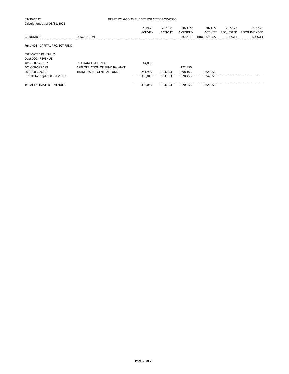| 03/30/2022                      | DRAFT FYE 6-30-23 BUDGET FOR CITY OF OWOSSO |                 |                 |         |                      |               |               |
|---------------------------------|---------------------------------------------|-----------------|-----------------|---------|----------------------|---------------|---------------|
| Calculations as of 03/31/2022   |                                             |                 |                 |         |                      |               |               |
|                                 |                                             | 2019-20         | 2020-21         | 2021-22 | 2021-22              | 2022-23       | 2022-23       |
|                                 |                                             | <b>ACTIVITY</b> | <b>ACTIVITY</b> | AMENDED | <b>ACTIVITY</b>      | REQUESTED     | RECOMMENDED   |
| <b>GL NUMBER</b>                | <b>DESCRIPTION</b>                          |                 |                 |         | BUDGET THRU 03/31/22 | <b>BUDGET</b> | <b>BUDGET</b> |
| Fund 401 - CAPITAL PROJECT FUND |                                             |                 |                 |         |                      |               |               |
| <b>ESTIMATED REVENUES</b>       |                                             |                 |                 |         |                      |               |               |
| Dept 000 - REVENUE              |                                             |                 |                 |         |                      |               |               |
| 401-000-671.687                 | <b>INSURANCE REFUNDS</b>                    | 84.056          |                 |         |                      |               |               |
| 401-000-695.699                 | APPROPRIATION OF FUND BALANCE               |                 |                 | 122,350 |                      |               |               |
| 401-000-699.101                 | TRANFERS IN - GENERAL FUND                  | 291,989         | 103,093         | 698,103 | 354,051              |               |               |
| Totals for dept 000 - REVENUE   |                                             | 376,045         | 103,093         | 820,453 | 354,051              |               |               |
| <b>TOTAL ESTIMATED REVENUES</b> |                                             | 376.045         | 103.093         | 820.453 | 354,051              |               |               |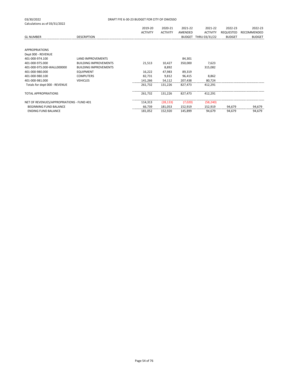|                                           |                              | 2019-20         | 2020-21         | 2021-22       | 2021-22         | 2022-23       | 2022-23       |
|-------------------------------------------|------------------------------|-----------------|-----------------|---------------|-----------------|---------------|---------------|
|                                           |                              | <b>ACTIVITY</b> | <b>ACTIVITY</b> | AMENDED       | <b>ACTIVITY</b> | REQUESTED     | RECOMMENDED   |
| <b>GL NUMBER</b>                          | <b>DESCRIPTION</b>           |                 |                 | <b>BUDGET</b> | THRU 03/31/22   | <b>BUDGET</b> | <b>BUDGET</b> |
|                                           |                              |                 |                 |               |                 |               |               |
|                                           |                              |                 |                 |               |                 |               |               |
| <b>APPROPRIATIONS</b>                     |                              |                 |                 |               |                 |               |               |
| Dept 000 - REVENUE                        |                              |                 |                 |               |                 |               |               |
| 401-000-974.100                           | <b>LAND IMPROVEMENTS</b>     |                 |                 | 84,301        |                 |               |               |
| 401-000-975.000                           | <b>BUILDING IMPROVEMENTS</b> | 21,513          | 10,427          | 350,000       | 7,623           |               |               |
| 401-000-975.000-WALL000000                | <b>BUILDING IMPROVEMENTS</b> |                 | 8,892           |               | 315,082         |               |               |
| 401-000-980.000                           | <b>EQUIPMENT</b>             | 16,222          | 47,983          | 89,319        |                 |               |               |
| 401-000-980.100                           | <b>COMPUTERS</b>             | 82,731          | 9,812           | 96,415        | 8,862           |               |               |
| 401-000-981.000                           | <b>VEHICLES</b>              | 141,266         | 54,112          | 207,438       | 80,724          |               |               |
| Totals for dept 000 - REVENUE             |                              | 261,732         | 131,226         | 827,473       | 412,291         |               |               |
| <b>TOTAL APPROPRIATIONS</b>               |                              |                 |                 | 827.473       | 412.291         |               |               |
|                                           |                              | 261,732         | 131,226         |               |                 |               |               |
| NET OF REVENUES/APPROPRIATIONS - FUND 401 |                              | 114,313         | (28, 133)       | (7,020)       | (58, 240)       |               |               |
| <b>BEGINNING FUND BALANCE</b>             |                              | 66,739          | 181,053         | 152,919       | 152,919         | 94,679        | 94,679        |
| <b>ENDING FUND BALANCE</b>                |                              | 181,052         | 152,920         | 145,899       | 94,679          | 94,679        | 94,679        |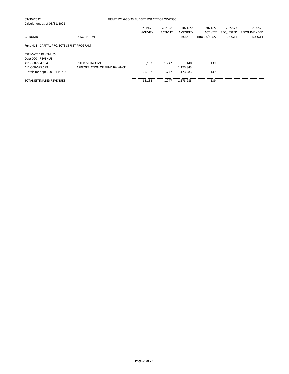| 03/30/2022                                 | DRAFT FYE 6-30-23 BUDGET FOR CITY OF OWOSSO |                 |                 |               |                 |               |               |
|--------------------------------------------|---------------------------------------------|-----------------|-----------------|---------------|-----------------|---------------|---------------|
| Calculations as of 03/31/2022              |                                             |                 |                 |               |                 |               |               |
|                                            |                                             | 2019-20         | 2020-21         | 2021-22       | 2021-22         | 2022-23       | 2022-23       |
|                                            |                                             | <b>ACTIVITY</b> | <b>ACTIVITY</b> | AMENDED       | <b>ACTIVITY</b> | REQUESTED     | RECOMMENDED   |
| <b>GL NUMBER</b>                           | <b>DESCRIPTION</b>                          |                 |                 | <b>BUDGET</b> | THRU 03/31/22   | <b>BUDGET</b> | <b>BUDGET</b> |
| Fund 411 - CAPITAL PROJECTS-STREET PROGRAM |                                             |                 |                 |               |                 |               |               |
| <b>ESTIMATED REVENUES</b>                  |                                             |                 |                 |               |                 |               |               |
| Dept 000 - REVENUE                         |                                             |                 |                 |               |                 |               |               |
| 411-000-664.664                            | <b>INTEREST INCOME</b>                      | 35.132          | 1.747           | 140           | 139             |               |               |
| 411-000-695.699                            | APPROPRIATION OF FUND BALANCE               |                 |                 | 1,173,843     |                 |               |               |
| Totals for dept 000 - REVENUE              |                                             | 35,132          | 1,747           | 1,173,983     | 139             |               |               |
| <b>TOTAL ESTIMATED REVENUES</b>            |                                             | 35,132          | 1,747           | 1,173,983     | 139             |               |               |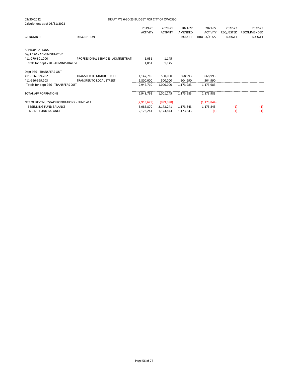| 03/30/2022                                | DRAFT FYE 6-30-23 BUDGET FOR CITY OF OWOSSO |                 |                 |           |                      |               |               |
|-------------------------------------------|---------------------------------------------|-----------------|-----------------|-----------|----------------------|---------------|---------------|
| Calculations as of 03/31/2022             |                                             |                 |                 |           |                      |               |               |
|                                           |                                             | 2019-20         | 2020-21         | 2021-22   | 2021-22              | 2022-23       | 2022-23       |
|                                           |                                             | <b>ACTIVITY</b> | <b>ACTIVITY</b> | AMENDED   | <b>ACTIVITY</b>      | REQUESTED     | RECOMMENDED   |
| <b>GL NUMBER</b>                          | <b>DESCRIPTION</b>                          |                 |                 |           | BUDGET THRU 03/31/22 | <b>BUDGET</b> | <b>BUDGET</b> |
| <b>APPROPRIATIONS</b>                     |                                             |                 |                 |           |                      |               |               |
| Dept 270 - ADMINISTRATIVE                 |                                             |                 |                 |           |                      |               |               |
| 411-270-801.000                           | PROFESSIONAL SERVICES: ADMINISTRATI         | 1,051           | 1,145           |           |                      |               |               |
| Totals for dept 270 - ADMINISTRATIVE      |                                             | 1,051           | 1,145           |           |                      |               |               |
| Dept 966 - TRANSFERS OUT                  |                                             |                 |                 |           |                      |               |               |
| 411-966-999.202                           | <b>TRANSFER TO MAJOR STREET</b>             | 1,147,710       | 500,000         | 668,993   | 668,993              |               |               |
| 411-966-999.203                           | TRANSFER TO LOCAL STREET                    | 1,800,000       | 500,000         | 504,990   | 504,990              |               |               |
| Totals for dept 966 - TRANSFERS OUT       |                                             | 2,947,710       | 1,000,000       | 1.173.983 | 1,173,983            |               |               |
| <b>TOTAL APPROPRIATIONS</b>               |                                             | 2,948,761       | 1,001,145       | 1,173,983 | 1,173,983            |               |               |
| NET OF REVENUES/APPROPRIATIONS - FUND 411 |                                             | (2,913,629)     | (999, 398)      |           | (1, 173, 844)        |               |               |
| <b>BEGINNING FUND BALANCE</b>             |                                             | 5,086,870       | 2,173,241       | 1,173,843 | 1,173,843            | (1)           | (1)           |
| <b>ENDING FUND BALANCE</b>                |                                             | 2,173,241       | 1,173,843       | 1,173,843 | (1)                  | (1)           | (1)           |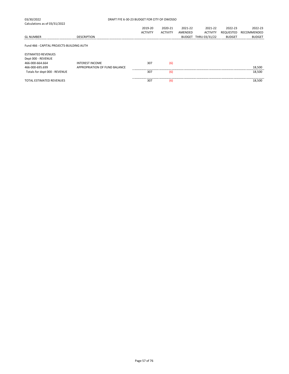| 03/30/2022                                |                               | DRAFT FYE 6-30-23 BUDGET FOR CITY OF OWOSSO |                 |         |                 |               |               |
|-------------------------------------------|-------------------------------|---------------------------------------------|-----------------|---------|-----------------|---------------|---------------|
| Calculations as of 03/31/2022             |                               |                                             |                 |         |                 |               |               |
|                                           |                               | 2019-20                                     | 2020-21         | 2021-22 | 2021-22         | 2022-23       | 2022-23       |
|                                           |                               | <b>ACTIVITY</b>                             | <b>ACTIVITY</b> | AMENDED | <b>ACTIVITY</b> | REQUESTED     | RECOMMENDED   |
| <b>GL NUMBER</b>                          | <b>DESCRIPTION</b>            |                                             |                 | BUDGET  | THRU 03/31/22   | <b>BUDGET</b> | <b>BUDGET</b> |
|                                           |                               |                                             |                 |         |                 |               |               |
| Fund 466 - CAPITAL PROJECTS-BUILDING AUTH |                               |                                             |                 |         |                 |               |               |
|                                           |                               |                                             |                 |         |                 |               |               |
| <b>ESTIMATED REVENUES</b>                 |                               |                                             |                 |         |                 |               |               |
| Dept 000 - REVENUE                        |                               |                                             |                 |         |                 |               |               |
| 466-000-664.664                           | <b>INTEREST INCOME</b>        | 307                                         | (6)             |         |                 |               |               |
| 466-000-695.699                           | APPROPRIATION OF FUND BALANCE |                                             |                 |         |                 |               | 18,500        |
| Totals for dept 000 - REVENUE             |                               | 307                                         | (6)             |         |                 |               | 18,500        |
| <b>TOTAL ESTIMATED REVENUES</b>           |                               | 307                                         | (6)             |         |                 |               | 18,500        |
|                                           |                               |                                             |                 |         |                 |               |               |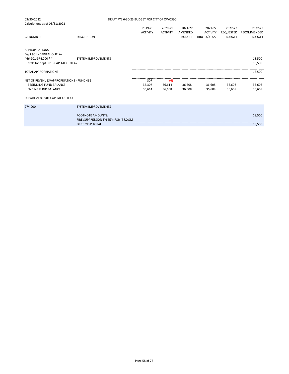| 03/30/2022                                         | DRAFT FYE 6-30-23 BUDGET FOR CITY OF OWOSSO                     |                 |                 |         |                      |                  |               |  |
|----------------------------------------------------|-----------------------------------------------------------------|-----------------|-----------------|---------|----------------------|------------------|---------------|--|
| Calculations as of 03/31/2022                      |                                                                 |                 |                 |         |                      |                  |               |  |
|                                                    |                                                                 | 2019-20         | 2020-21         | 2021-22 | 2021-22              | 2022-23          | 2022-23       |  |
|                                                    |                                                                 | <b>ACTIVITY</b> | <b>ACTIVITY</b> | AMENDED | <b>ACTIVITY</b>      | <b>REQUESTED</b> | RECOMMENDED   |  |
| <b>GL NUMBER</b>                                   | <b>DESCRIPTION</b>                                              |                 |                 |         | BUDGET THRU 03/31/22 | <b>BUDGET</b>    | <b>BUDGET</b> |  |
| <b>APPROPRIATIONS</b><br>Dept 901 - CAPITAL OUTLAY |                                                                 |                 |                 |         |                      |                  |               |  |
| 466-901-974.000 **                                 | <b>SYSTEM IMPROVEMENTS</b>                                      |                 |                 |         |                      |                  | 18,500        |  |
| Totals for dept 901 - CAPITAL OUTLAY               |                                                                 |                 |                 |         |                      |                  | 18,500        |  |
| <b>TOTAL APPROPRIATIONS</b>                        |                                                                 |                 |                 |         |                      |                  | 18,500        |  |
| NET OF REVENUES/APPROPRIATIONS - FUND 466          |                                                                 | 307             | (6)             |         |                      |                  |               |  |
| <b>BEGINNING FUND BALANCE</b>                      |                                                                 | 36,307          | 36,614          | 36,608  | 36,608               | 36,608           | 36,608        |  |
| <b>ENDING FUND BALANCE</b>                         |                                                                 | 36,614          | 36,608          | 36,608  | 36,608               | 36.608           | 36,608        |  |
| DEPARTMENT 901 CAPITAL OUTLAY                      |                                                                 |                 |                 |         |                      |                  |               |  |
| 974.000                                            | <b>SYSTEM IMPROVEMENTS</b>                                      |                 |                 |         |                      |                  |               |  |
|                                                    | <b>FOOTNOTE AMOUNTS:</b><br>FIRE SUPPRESSION SYSTEM FOR IT ROOM |                 |                 |         |                      |                  | 18,500        |  |
|                                                    | DEPT. '901' TOTAL                                               |                 |                 |         |                      |                  | 18,500        |  |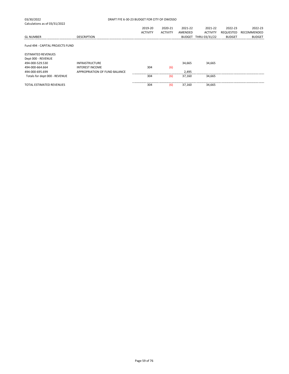| 03/30/2022                       | DRAFT FYE 6-30-23 BUDGET FOR CITY OF OWOSSO |                 |                 |               |                 |               |               |  |  |  |
|----------------------------------|---------------------------------------------|-----------------|-----------------|---------------|-----------------|---------------|---------------|--|--|--|
| Calculations as of 03/31/2022    |                                             |                 |                 |               |                 |               |               |  |  |  |
|                                  |                                             | 2019-20         | 2020-21         | 2021-22       | 2021-22         | 2022-23       | 2022-23       |  |  |  |
|                                  |                                             | <b>ACTIVITY</b> | <b>ACTIVITY</b> | AMENDED       | <b>ACTIVITY</b> | REQUESTED     | RECOMMENDED   |  |  |  |
| <b>GL NUMBER</b>                 | <b>DESCRIPTION</b>                          |                 |                 | <b>BUDGET</b> | THRU 03/31/22   | <b>BUDGET</b> | <b>BUDGET</b> |  |  |  |
| Fund 494 - CAPITAL PROJECTS FUND |                                             |                 |                 |               |                 |               |               |  |  |  |
| <b>ESTIMATED REVENUES</b>        |                                             |                 |                 |               |                 |               |               |  |  |  |
| Dept 000 - REVENUE               |                                             |                 |                 |               |                 |               |               |  |  |  |
| 494-000-529.530                  | <b>INFRASTRUCTURE</b>                       |                 |                 | 34,665        | 34,665          |               |               |  |  |  |
| 494-000-664.664                  | <b>INTEREST INCOME</b>                      | 304             | (6)             |               |                 |               |               |  |  |  |
| 494-000-695.699                  | APPROPRIATION OF FUND BALANCE               |                 |                 | 2.495         |                 |               |               |  |  |  |
| Totals for dept 000 - REVENUE    |                                             | 304             | (6)             | 37,160        | 34.665          |               |               |  |  |  |
| <b>TOTAL ESTIMATED REVENUES</b>  |                                             | 304             | (6)             | 37,160        | 34,665          |               |               |  |  |  |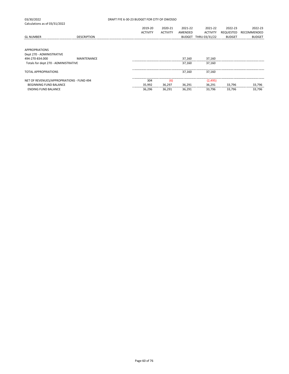| 03/30/2022                                         | DRAFT FYE 6-30-23 BUDGET FOR CITY OF OWOSSO |  |                 |                 |               |                 |               |               |  |
|----------------------------------------------------|---------------------------------------------|--|-----------------|-----------------|---------------|-----------------|---------------|---------------|--|
| Calculations as of 03/31/2022                      |                                             |  |                 |                 |               |                 |               |               |  |
|                                                    |                                             |  | 2019-20         | 2020-21         | 2021-22       | 2021-22         | 2022-23       | 2022-23       |  |
|                                                    |                                             |  | <b>ACTIVITY</b> | <b>ACTIVITY</b> | AMENDED       | <b>ACTIVITY</b> | REQUESTED     | RECOMMENDED   |  |
| <b>GL NUMBER</b>                                   | <b>DESCRIPTION</b>                          |  |                 |                 | <b>BUDGET</b> | THRU 03/31/22   | <b>BUDGET</b> | <b>BUDGET</b> |  |
|                                                    |                                             |  |                 |                 |               |                 |               |               |  |
| <b>APPROPRIATIONS</b><br>Dept 270 - ADMINISTRATIVE |                                             |  |                 |                 |               |                 |               |               |  |
| 494-270-834.000                                    | <b>MAINTENANCE</b>                          |  |                 |                 | 37,160        | 37,160          |               |               |  |
| Totals for dept 270 - ADMINISTRATIVE               |                                             |  |                 |                 | 37.160        | 37,160          |               |               |  |
| <b>TOTAL APPROPRIATIONS</b>                        |                                             |  |                 |                 | 37.160        | 37.160          |               |               |  |
| NET OF REVENUES/APPROPRIATIONS - FUND 494          |                                             |  | 304             | (6)             |               | (2, 495)        |               |               |  |
| <b>BEGINNING FUND BALANCE</b>                      |                                             |  | 35,992          | 36,297          | 36,291        | 36,291          | 33,796        | 33,796        |  |
| <b>ENDING FUND BALANCE</b>                         |                                             |  | 36,296          | 36.291          | 36,291        | 33.796          | 33,796        | 33,796        |  |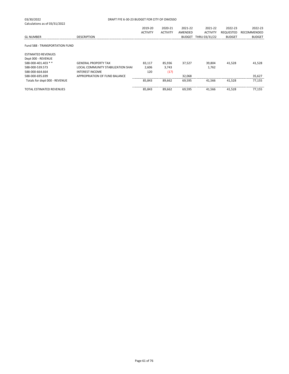|                                           | 2019-20         | 2020-21         | 2021-22       | 2021-22                                     | 2022-23          | 2022-23       |
|-------------------------------------------|-----------------|-----------------|---------------|---------------------------------------------|------------------|---------------|
|                                           | <b>ACTIVITY</b> | <b>ACTIVITY</b> | AMENDED       | <b>ACTIVITY</b>                             | <b>REQUESTED</b> | RECOMMENDED   |
| <b>DESCRIPTION</b>                        |                 |                 | <b>BUDGET</b> | THRU 03/31/22                               | <b>BUDGET</b>    | <b>BUDGET</b> |
|                                           |                 |                 |               |                                             |                  |               |
|                                           |                 |                 |               |                                             |                  |               |
|                                           |                 |                 |               |                                             |                  |               |
|                                           |                 |                 |               |                                             |                  |               |
| <b>GENERAL PROPERTY TAX</b>               | 83,117          | 85,936          | 37,527        | 39,804                                      | 41,528           | 41,528        |
| <b>LOCAL COMMUNITY STABILIZATION SHAI</b> | 2,606           | 3,743           |               | 1,762                                       |                  |               |
| <b>INTEREST INCOME</b>                    | 120             | (17)            |               |                                             |                  |               |
| APPROPRIATION OF FUND BALANCE             |                 |                 | 32,068        |                                             |                  | 35,627        |
|                                           | 85,843          | 89,662          | 69,595        | 41.566                                      | 41.528           | 77,155        |
|                                           | 85,843          | 89,662          | 69,595        | 41.566                                      | 41,528           | 77,155        |
|                                           |                 |                 |               | DRAFT FYE 6-30-23 BUDGET FOR CITY OF OWOSSO |                  |               |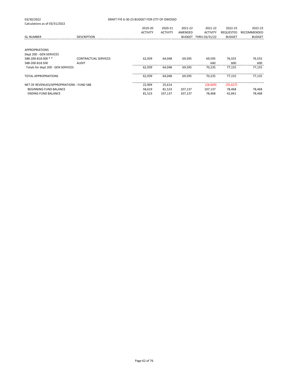| 03/30/2022                                | DRAFT FYE 6-30-23 BUDGET FOR CITY OF OWOSSO |                 |                 |               |                 |               |               |  |
|-------------------------------------------|---------------------------------------------|-----------------|-----------------|---------------|-----------------|---------------|---------------|--|
| Calculations as of 03/31/2022             |                                             |                 |                 |               |                 |               |               |  |
|                                           |                                             | 2019-20         | 2020-21         | 2021-22       | 2021-22         | 2022-23       | 2022-23       |  |
|                                           |                                             | <b>ACTIVITY</b> | <b>ACTIVITY</b> | AMENDED       | <b>ACTIVITY</b> | REQUESTED     | RECOMMENDED   |  |
| <b>GL NUMBER</b>                          | <b>DESCRIPTION</b>                          |                 |                 | <b>BUDGET</b> | THRU 03/31/22   | <b>BUDGET</b> | <b>BUDGET</b> |  |
|                                           |                                             |                 |                 |               |                 |               |               |  |
|                                           |                                             |                 |                 |               |                 |               |               |  |
| <b>APPROPRIATIONS</b>                     |                                             |                 |                 |               |                 |               |               |  |
| Dept 200 - GEN SERVICES                   |                                             |                 |                 |               |                 |               |               |  |
| 588-200-818.000 **                        | <b>CONTRACTUAL SERVICES</b>                 | 62,939          | 64,048          | 69,595        | 69,595          | 76,555        | 76,555        |  |
| 588-200-818.500                           | <b>AUDIT</b>                                |                 |                 |               | 640             | 600           | 600           |  |
| Totals for dept 200 - GEN SERVICES        |                                             | 62,939          | 64.048          | 69,595        | 70.235          | 77,155        | 77,155        |  |
|                                           |                                             |                 |                 |               |                 |               |               |  |
| <b>TOTAL APPROPRIATIONS</b>               |                                             | 62,939          | 64.048          | 69,595        | 70.235          | 77,155        | 77,155        |  |
|                                           |                                             |                 |                 |               |                 |               |               |  |
| NET OF REVENUES/APPROPRIATIONS - FUND 588 |                                             | 22,904          | 25,614          |               | (28, 669)       | (35, 627)     |               |  |
| <b>BEGINNING FUND BALANCE</b>             |                                             | 58,619          | 81,523          | 107,137       | 107,137         | 78,468        | 78,468        |  |
| <b>ENDING FUND BALANCE</b>                |                                             | 81,523          | 107,137         | 107,137       | 78.468          | 42,841        | 78,468        |  |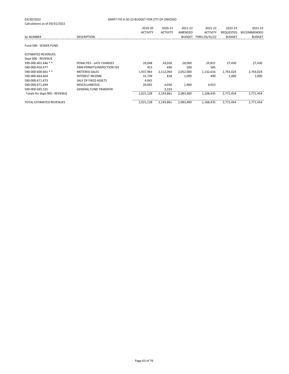| 03/30/2022<br>Calculations as of 03/31/2022 | DRAFT FYE 6-30-23 BUDGET FOR CITY OF OWOSSO |                 |                 |               |                 |               |               |  |  |
|---------------------------------------------|---------------------------------------------|-----------------|-----------------|---------------|-----------------|---------------|---------------|--|--|
|                                             |                                             | 2019-20         | 2020-21         | 2021-22       | 2021-22         | 2022-23       | 2022-23       |  |  |
|                                             |                                             | <b>ACTIVITY</b> | <b>ACTIVITY</b> | AMENDED       | <b>ACTIVITY</b> | REQUESTED     | RECOMMENDED   |  |  |
| <b>GL NUMBER</b>                            | <b>DESCRIPTION</b>                          |                 |                 | <b>BUDGET</b> | THRU 03/31/22   | <b>BUDGET</b> | <b>BUDGET</b> |  |  |
| Fund 590 - SEWER FUND                       |                                             |                 |                 |               |                 |               |               |  |  |
| <b>ESTIMATED REVENUES</b>                   |                                             |                 |                 |               |                 |               |               |  |  |
| Dept 000 - REVENUE                          |                                             |                 |                 |               |                 |               |               |  |  |
| 590-000-401.446 **                          | PENALTIES - LATE CHARGES                    | 26,048          | 24,026          | 28,000        | 29,821          | 27,430        | 27,430        |  |  |
| 590-000-450.477                             | SWR:PERMITS/INSPECTION FEE                  | 415             | 690             | 500           | 585             |               |               |  |  |
| 590-000-600.601 **                          | <b>METERED SALES</b>                        | 1,937,983       | 2,112,064       | 2,052,000     | 1,132,616       | 2,743,024     | 2,743,024     |  |  |
| 590-000-664.664                             | <b>INTEREST INCOME</b>                      | 31,739          | 818             | 1,000         | 490             | 1,000         | 1,000         |  |  |
| 590-000-671.673                             | SALE OF FIXED ASSETS                        | 4,941           |                 |               |                 |               |               |  |  |
| 590-000-671.694                             | <b>MISCELLANEOUS</b>                        | 20,002          | 4,030           | 1,900         | 4,923           |               |               |  |  |
| 590-000-695.101                             | <b>GENERAL FUND TRANSFER</b>                |                 | 2,233           |               |                 |               |               |  |  |
| Totals for dept 000 - REVENUE               |                                             | 2,021,128       | 2,143,861       | 2,083,400     | 1,168,435       | 2.771.454     | 2,771,454     |  |  |
| <b>TOTAL ESTIMATED REVENUES</b>             |                                             | 2,021,128       | 2,143,861       | 2,083,400     | 1,168,435       | 2,771,454     | 2,771,454     |  |  |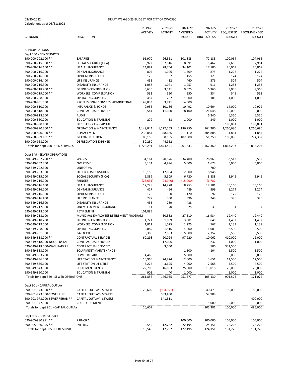| Calculations as 01 03/31/2022          |                                                     |                 |                 |           |                      |               |                 |
|----------------------------------------|-----------------------------------------------------|-----------------|-----------------|-----------|----------------------|---------------|-----------------|
|                                        |                                                     | 2019-20         | 2020-21         | 2021-22   | 2021-22              | 2022-23       | 2022-23         |
|                                        |                                                     | <b>ACTIVITY</b> | <b>ACTIVITY</b> | AMENDED   | <b>ACTIVITY</b>      | REQUESTED     | RECOMMENDED     |
| <b>GL NUMBER</b>                       | <b>DESCRIPTION</b>                                  |                 |                 |           | BUDGET THRU 03/31/22 | <b>BUDGET</b> | <b>BUDGET</b>   |
|                                        |                                                     |                 |                 |           |                      |               |                 |
|                                        |                                                     |                 |                 |           |                      |               |                 |
| <b>APPROPRIATIONS</b>                  |                                                     |                 |                 |           |                      |               |                 |
| Dept 200 - GEN SERVICES                |                                                     |                 |                 |           |                      |               |                 |
| 590-200-702.100 **                     | SALARIES                                            | 91,970          | 96,561          | 101,883   | 72,135               | 100,064       | 104,066         |
| 590-200-715.000 **                     | SOCIAL SECURITY (FICA)                              | 6,972           | 7,516           | 8,091     | 5,462                | 7,655         | 7,961           |
| 590-200-716.100 **                     | <b>HEALTH INSURANCE</b>                             | 24,082          | 28,764          | 34,101    | 17,100               | 26,069        | 26,069          |
| 590-200-716.200                        | <b>DENTAL INSURANCE</b>                             | 805             | 1,006           | 1,309     | 875                  | 1,222         | 1,222           |
| 590-200-716.300                        | <b>OPTICAL INSURANCE</b>                            | 120             | 137             | 155       | 123                  | 174           | 174             |
| 590-200-716.400                        | LIFE INSURANCE                                      | 455             | 432             | 460       | 376                  | 504           | 504             |
| 590-200-716.500                        | <b>DISABILITY INSURANCE</b>                         | 1,088           | 1,071           | 1,057     | 911                  | 1,253         | 1,253           |
| 590-200-718.200 **                     | <b>DEFINED CONTRIBUTION</b>                         | 3,635           | 3,541           | 9,075     | 6,360                | 9,006         | 9,366           |
| 590-200-719.000 **                     | <b>WORKERS' COMPENSATION</b>                        | 532             | 550             | 550       | 334                  | 541           | 563             |
| 590-200-728.000                        | <b>OPERATING SUPPLIES</b>                           | 457             | 782             | 1,000     | 185                  | 1,000         | 1,000           |
| 590-200-801.000                        | PROFESSIONAL SERVICES: ADMINISTRATI                 | 49,033          | 3,841           | 14,000    |                      |               |                 |
| 590-200-810.000                        | <b>INSURANCE &amp; BONDS</b>                        | 9,956           | 10,186          | 10,492    | 10,604               | 14,000        | 10,922          |
| 590-200-818.000                        | <b>CONTRACTUAL SERVICES</b>                         | 10,544          | 11,020          | 18,100    | 21,048               | 15,000        | 15,000          |
| 590-200-818.500                        | <b>AUDIT</b>                                        |                 |                 |           | 6,240                | 6,350         | 6,350           |
| 590-200-860.000                        | <b>EDUCATION &amp; TRAINING</b>                     | 279             | 38              | 1,000     | 349                  | 1,000         | 1,000           |
| 590-200-890.100                        | <b>DEBT SERVICE &amp; CAPITAL</b>                   |                 |                 |           |                      |               | 185,891         |
|                                        |                                                     |                 | 1,227,263       |           |                      | 185,891       |                 |
| 590-200-890.200 **                     | <b>OPERATION &amp; MAINTENANCE</b>                  | 1,149,044       |                 | 1,186,750 | 964,200              | 1,260,680     | 1,260,680       |
| 590-200-890.300 **                     | REPLACEMENT                                         | 238,884         | 348,666         | 411,110   | 304,808              | 131,884       | 131,884         |
| 590-200-899.101 **                     | <b>GF CONTRIBUTION</b>                              | 88,155          | 88,155          | 102,500   | 51,250               | 105,000       | 274,302         |
| 590-200-968.000                        | <b>DEPRECIATION EXPENSE</b>                         | 50,280          | 44,962          |           |                      |               |                 |
| Totals for dept 200 - GEN SERVICES     |                                                     | 1,726,291       | 1,874,491       | 1,901,633 | 1,462,360            | 1,867,293     | 2,038,207       |
|                                        |                                                     |                 |                 |           |                      |               |                 |
| Dept 549 - SEWER OPERATIONS            |                                                     |                 |                 |           |                      |               |                 |
| 590-549-702.200 **                     | WAGES                                               | 34,161          | 20,576          | 34,400    | 26,963               | 33,512        | 33,512          |
| 590-549-702.300                        | OVERTIME                                            | 3,134           | 4,996           | 5,000     | 1,674                | 5,000         | 5,000           |
| 590-549-702.600                        | <b>UNIFORMS</b>                                     |                 |                 |           | 700                  |               |                 |
| 590-549-703.000                        | OTHER COMPENSATION                                  | 15,150          | 12,094          | 12,000    | 8,948                |               |                 |
| 590-549-715.000                        | SOCIAL SECURITY (FICA)                              | 6,889           | 5,909           | 6,720     | 3,838                | 2,946         | 2,946           |
| 590-549-716.000                        | <b>FRINGES</b>                                      | (28, 631)       | (24, 940)       | (15,000)  | (6, 782)             |               |                 |
| 590-549-716.100                        | <b>HEALTH INSURANCE</b>                             | 17,228          | 14,278          | 18,253    | 17,181               | 35,160        | 35,160          |
| 590-549-716.200                        | <b>DENTAL INSURANCE</b>                             | 427             | 466             | 489       | 599                  | 1,274         | 1,274           |
| 590-549-716.300                        | OPTICAL INSURANCE                                   | 120             | 100             | 120       | 92                   | 179           | 179             |
| 590-549-716.400                        | LIFE INSURANCE                                      | 277             | 330             | 396       | 248                  | 396           | 396             |
| 590-549-716.500                        | <b>DISABILITY INSURANCE</b>                         | 433             | 289             | 438       |                      |               |                 |
| 590-549-717.000                        | UNEMPLOYMENT INSURANCE                              | 11              | 70              | 25        | 33                   | 94            | 94              |
| 590-549-718.000                        | RETIREMENT                                          | 101,885         |                 |           |                      |               |                 |
| 590-549-718.100                        | MUNICIPAL EMPLOYEES RETIREMENT PROGRAM              |                 | 50,582          | 27,510    | 16,934               | 19,440        | 19,440          |
| 590-549-718.200                        | <b>DEFINED CONTRIBUTION</b>                         | 1,721           | 1,099           | 3,681     | 645                  | 1,432         | 1,432           |
| 590-549-719.000                        | <b>WORKERS' COMPENSATION</b>                        | 1,012           | 1,025           | 1,225     | 567                  | 1,139         | 1,139           |
| 590-549-728.000                        | <b>OPERATING SUPPLIES</b>                           | 2,089           | 1,516           | 4,500     | 1,003                | 2,500         | 2,500           |
| 590-549-751.000                        | GAS & OIL                                           | 3,388           | 2,553           | 5,500     | 2,352                | 5,500         | 5,500           |
|                                        |                                                     |                 |                 |           |                      |               |                 |
| 590-549-818.000 **                     | CONTRACTUAL SERVICES<br><b>CONTRACTUAL SERVICES</b> | 60,298          | 20,024          | 97,920    | 10,062               | 410,000       | 12,000<br>1,000 |
| 590-549-818.000-NGOULDST21             |                                                     |                 | 17,026          |           | 232                  | 1,000         |                 |
| 590-549-818.000-WASHPARK21             | <b>CONTRACTUAL SERVICES</b>                         |                 | 3,550           |           | 500                  | 332,500       |                 |
| 590-549-833.000                        | <b>EQUIPMENT MAINTENANCE</b>                        |                 |                 | 1,500     | 104                  | 1,500         | 1,500           |
| 590-549-833.200                        | <b>SEWER REPAIR</b>                                 | 4,465           |                 | 5,000     |                      | 5,000         | 5,000           |
| 590-549-836.000                        | LIFT STATION MAINTENANCE                            | 10,966          | 24,824          | 12,000    | 3,651                | 12,500        | 12,500          |
| 590-549-836.100                        | LIFT STATION UTILITIES                              | 3,222           | 3,695           | 4,000     | 2,568                | 4,500         | 4,500           |
| 590-549-843.000                        | <b>EQUIPMENT RENTAL</b>                             | 22,706          | 16,833          | 25,000    | 13,018               | 25,000        | 25,000          |
| 590-549-860.000                        | <b>EDUCATION &amp; TRAINING</b>                     | 905             | 40              | 1,000     |                      | 1,000         | 1,000           |
| Totals for dept 549 - SEWER OPERATIONS |                                                     | 261,856         | 176,935         | 251,677   | 105,130              | 901,572       | 171,072         |
|                                        |                                                     |                 |                 |           |                      |               |                 |
| Dept 901 - CAPITAL OUTLAY              |                                                     |                 |                 |           |                      |               |                 |
| 590-901-973.000 **                     | CAPITAL OUTLAY - SEWERS                             | 20,609          | (904, 971)      |           | 40,473               | 95,000        | 80,000          |
| 590-901-973.000-SEWER LINE             | CAPITAL OUTLAY - SEWERS                             |                 | 563,460         |           | 59,908               |               |                 |
| 590-901-973.000-SEWERREHAB **          | CAPITAL OUTLAY - SEWERS                             |                 | 341,511         |           |                      |               | 400,000         |
| 590-901-977.000                        | <b>COL - EQUIPMENT</b>                              |                 |                 |           | 5,000                | 5,000         | 5,000           |
| Totals for dept 901 - CAPITAL OUTLAY   |                                                     | 20,609          |                 |           | 105,381              | 100,000       | 485,000         |
|                                        |                                                     |                 |                 |           |                      |               |                 |
| Dept 905 - DEBT SERVICE                |                                                     |                 |                 |           |                      |               |                 |
| 590-905-980.991 **                     | PRINCIPAL                                           |                 |                 | 100,000   | 100,000              | 105,000       | 105,000         |
| 590-905-980.995 **                     | <b>INTEREST</b>                                     | 10,545          | 12,732          | 22,195    | 24,151               | 26,228        | 26,228          |
| Totals for dept 905 - DEBT SERVICE     |                                                     | 10,545          | 12,732          | 122,195   | 124,151              | 131,228       | 131,228         |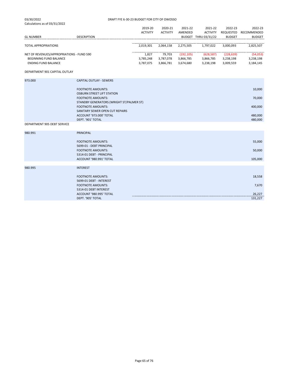| 03/30/2022<br>Calculations as of 03/31/2022                                                       | DRAFT FYE 6-30-23 BUDGET FOR CITY OF OWOSSO                          |                                 |                                  |                                      |                                      |                                      |                                    |
|---------------------------------------------------------------------------------------------------|----------------------------------------------------------------------|---------------------------------|----------------------------------|--------------------------------------|--------------------------------------|--------------------------------------|------------------------------------|
|                                                                                                   |                                                                      | 2019-20<br><b>ACTIVITY</b>      | 2020-21<br><b>ACTIVITY</b>       | 2021-22<br>AMENDED                   | 2021-22<br><b>ACTIVITY</b>           | 2022-23<br>REQUESTED                 | 2022-23<br>RECOMMENDED             |
| <b>GL NUMBER</b>                                                                                  | <b>DESCRIPTION</b>                                                   |                                 |                                  |                                      | BUDGET THRU 03/31/22                 | <b>BUDGET</b>                        | <b>BUDGET</b>                      |
| <b>TOTAL APPROPRIATIONS</b>                                                                       |                                                                      | 2,019,301                       | 2,064,158                        | 2,275,505                            | 1,797,022                            | 3,000,093                            | 2,825,507                          |
| NET OF REVENUES/APPROPRIATIONS - FUND 590<br>BEGINNING FUND BALANCE<br><b>ENDING FUND BALANCE</b> |                                                                      | 1,827<br>3,785,248<br>3,787,075 | 79,703<br>3,787,078<br>3,866,781 | (192, 105)<br>3,866,785<br>3,674,680 | (628, 587)<br>3,866,785<br>3,238,198 | (228, 639)<br>3,238,198<br>3,009,559 | (54,053)<br>3,238,198<br>3,184,145 |
| DEPARTMENT 901 CAPITAL OUTLAY                                                                     |                                                                      |                                 |                                  |                                      |                                      |                                      |                                    |
| 973.000                                                                                           | <b>CAPITAL OUTLAY - SEWERS</b>                                       |                                 |                                  |                                      |                                      |                                      |                                    |
|                                                                                                   | <b>FOOTNOTE AMOUNTS:</b><br><b>OSBURN STREET LIFT STATION</b>        |                                 |                                  |                                      |                                      |                                      | 10,000                             |
|                                                                                                   | <b>FOOTNOTE AMOUNTS:</b><br>STANDBY GENERATORS (WRIGHT ST/PALMER ST) |                                 |                                  |                                      |                                      |                                      | 70,000                             |
|                                                                                                   | <b>FOOTNOTE AMOUNTS:</b><br>SANITARY SEWER OPEN CUT REPAIRS          |                                 |                                  |                                      |                                      |                                      | 400,000                            |
|                                                                                                   | ACCOUNT '973.000' TOTAL<br>DEPT. '901' TOTAL                         |                                 |                                  |                                      |                                      |                                      | 480,000<br>480,000                 |
| DEPARTMENT 905 DEBT SERVICE                                                                       |                                                                      |                                 |                                  |                                      |                                      |                                      |                                    |
| 980.991                                                                                           | <b>PRINCIPAL</b>                                                     |                                 |                                  |                                      |                                      |                                      |                                    |
|                                                                                                   | <b>FOOTNOTE AMOUNTS:</b><br>5699-01 - DEBT PRINCIPAL                 |                                 |                                  |                                      |                                      |                                      | 55,000                             |
|                                                                                                   | <b>FOOTNOTE AMOUNTS:</b><br>5314-01 DEBT - PRINCIPAL                 |                                 |                                  |                                      |                                      |                                      | 50,000                             |
|                                                                                                   | ACCOUNT '980.991' TOTAL                                              |                                 |                                  |                                      |                                      |                                      | 105,000                            |
| 980.995                                                                                           | <b>INTEREST</b>                                                      |                                 |                                  |                                      |                                      |                                      |                                    |
|                                                                                                   | <b>FOOTNOTE AMOUNTS:</b><br>5699-01 DEBT - INTEREST                  |                                 |                                  |                                      |                                      |                                      | 18,558                             |
|                                                                                                   | <b>FOOTNOTE AMOUNTS:</b><br>5314-01 DEBT INTEREST                    |                                 |                                  |                                      |                                      |                                      | 7,670                              |
|                                                                                                   | ACCOUNT '980.995' TOTAL                                              |                                 |                                  |                                      |                                      |                                      | 26,227                             |
|                                                                                                   | DEPT. '905' TOTAL                                                    |                                 |                                  |                                      |                                      |                                      | 131,227                            |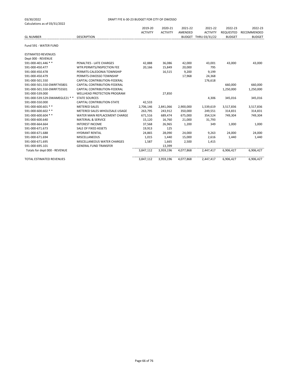| calculations as of 03, 31, 2022 |                                    | 2019-20<br><b>ACTIVITY</b> | 2020-21<br><b>ACTIVITY</b> | 2021-22<br>AMENDED | 2021-22<br><b>ACTIVITY</b> | 2022-23<br><b>REQUESTED</b> | 2022-23<br>RECOMMENDED |
|---------------------------------|------------------------------------|----------------------------|----------------------------|--------------------|----------------------------|-----------------------------|------------------------|
| <b>GL NUMBER</b>                | <b>DESCRIPTION</b>                 |                            |                            |                    | BUDGET THRU 03/31/22       | <b>BUDGET</b>               | <b>BUDGET</b>          |
| Fund 591 - WATER FUND           |                                    |                            |                            |                    |                            |                             |                        |
| <b>ESTIMATED REVENUES</b>       |                                    |                            |                            |                    |                            |                             |                        |
| Dept 000 - REVENUE              |                                    |                            |                            |                    |                            |                             |                        |
| 591-000-401.446 **              | PENALTIES - LATE CHARGES           | 42,888                     | 36,086                     | 42,000             | 43,001                     | 43,000                      | 43,000                 |
| 591-000-450.477                 | WTR:PERMITS/INSPECTION FEE         | 20,166                     | 15,849                     | 20,000             | 795                        |                             |                        |
| 591-000-450.478                 | PERMITS-CALEDONIA TOWNSHIP         |                            | 16,515                     | 9,200              | 9,199                      |                             |                        |
| 591-000-450.479                 | PERMITS-OWOSSO TOWNSHIP            |                            |                            | 17,968             | 24,368                     |                             |                        |
| 591-000-501.550                 | CAPITAL CONTRIBUTION-FEDERAL       |                            |                            |                    | 176,618                    |                             |                        |
| 591-000-501.550-DWRF745801      | CAPITAL CONTRIBUTION-FEDERAL       |                            |                            |                    |                            | 660,000                     | 660,000                |
| 591-000-501.550-DWRF755501      | CAPITAL CONTRIBUTION-FEDERAL       |                            |                            |                    |                            | 1,250,000                   | 1,250,000              |
| 591-000-539.000                 | <b>WELLHEAD PROTECTION PROGRAM</b> |                            | 27,850                     |                    |                            |                             |                        |
| 591-000-539.529-DWAMEGLE21 **   | <b>STATE SOURCES</b>               |                            |                            |                    | 4,306                      | 345,016                     | 345,016                |
| 591-000-550.000                 | CAPITAL CONTRIBUTION-STATE         | 42,533                     |                            |                    |                            |                             |                        |
| 591-000-600.601 **              | <b>METERED SALES</b>               | 2,706,146                  | 2,841,066                  | 2,900,000          | 1,539,619                  | 3,517,836                   | 3,517,836              |
| 591-000-600.602 **              | METERED SALES-WHOLESALE-USAGE      | 263,795                    | 243,912                    | 350,000            | 249,551                    | 314,831                     | 314,831                |
| 591-000-600.604 **              | WATER MAIN REPLACEMENT CHARGE      | 671,516                    | 689,474                    | 675,000            | 354,524                    | 749,304                     | 749,304                |
| 591-000-600.640                 | <b>MATERIAL &amp; SERVICE</b>      | 15,120                     | 16,760                     | 21,000             | 31,793                     |                             |                        |
| 591-000-664.664                 | <b>INTEREST INCOME</b>             | 37,568                     | 26,965                     | 1,200              | 349                        | 1,000                       | 1,000                  |
| 591-000-671.673                 | SALE OF FIXED ASSETS               | 19,913                     | 125                        |                    |                            |                             |                        |
| 591-000-671.688                 | <b>HYDRANT RENTAL</b>              | 24,865                     | 28,090                     | 24,000             | 9,263                      | 24,000                      | 24,000                 |
| 591-000-671.694                 | <b>MISCELLANEOUS</b>               | 1,015                      | 1,440                      | 15,000             | 2,616                      | 1,440                       | 1,440                  |
| 591-000-671.695                 | MISCELLANEOUS WATER CHARGES        | 1,587                      | 1,665                      | 2,500              | 1,415                      |                             |                        |
| 591-000-695.101                 | <b>GENERAL FUND TRANSFER</b>       |                            | 13.399                     |                    |                            |                             |                        |
| Totals for dept 000 - REVENUE   |                                    | 3,847,112                  | 3,959,196                  | 4,077,868          | 2,447,417                  | 6,906,427                   | 6,906,427              |
| <b>TOTAL ESTIMATED REVENUES</b> |                                    | 3,847,112                  | 3,959,196                  | 4,077,868          | 2,447,417                  | 6,906,427                   | 6,906,427              |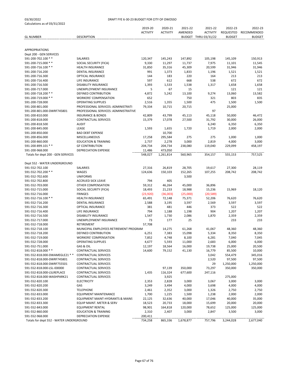| Calculations as 01 03/31/2022           |                                        | 2019-20         | 2020-21         | 2021-22   | 2021-22              | 2022-23       | 2022-23       |
|-----------------------------------------|----------------------------------------|-----------------|-----------------|-----------|----------------------|---------------|---------------|
|                                         |                                        | <b>ACTIVITY</b> | <b>ACTIVITY</b> | AMENDED   | <b>ACTIVITY</b>      | REQUESTED     | RECOMMENDED   |
| <b>GL NUMBER</b>                        | <b>DESCRIPTION</b>                     |                 |                 |           | BUDGET THRU 03/31/22 | <b>BUDGET</b> | <b>BUDGET</b> |
|                                         |                                        |                 |                 |           |                      |               |               |
|                                         |                                        |                 |                 |           |                      |               |               |
| <b>APPROPRIATIONS</b>                   |                                        |                 |                 |           |                      |               |               |
| Dept 200 - GEN SERVICES                 |                                        |                 |                 |           |                      |               |               |
| 591-200-702.100 **                      | SALARIES                               | 120,347         | 145,243         | 147,892   | 105,198              | 145,109       | 150,913       |
| 591-200-715.000 **                      | SOCIAL SECURITY (FICA)                 | 9,330           | 11,297          | 11,737    | 7,975                | 11,101        | 11,545        |
| 591-200-716.100 **                      | <b>HEALTH INSURANCE</b>                | 31,850          | 35,316          | 45,309    | 20,599               | 31,946        | 31,946        |
| 591-200-716.200                         | <b>DENTAL INSURANCE</b>                | 991             | 1,373           | 1,833     | 1,196                | 1,521         | 1,521         |
| 591-200-716.300                         | OPTICAL INSURANCE                      | 144             | 183             | 220       | 164                  | 213           | 213           |
| 591-200-716.400                         | LIFE INSURANCE                         | 597             | 612             | 668       | 538                  | 672           | 672           |
| 591-200-716.500                         | <b>DISABILITY INSURANCE</b>            | 1,393           | 1,533           | 1,538     | 1,317                | 1,658         | 1,658         |
| 591-200-717.000                         | UNEMPLOYMENT INSURANCE                 | 5               | 67              | 15        |                      | 121           | 121           |
| 591-200-718.200 **                      | DEFINED CONTRIBUTION                   | 4,872           | 5,242           | 13,100    | 9,274                | 13,060        | 13,582        |
| 591-200-719.000 **                      | <b>WORKERS' COMPENSATION</b>           | 652             |                 | 750       | 321                  | 803           | 835           |
| 591-200-728.000                         | <b>OPERATING SUPPLIES</b>              | 2,516           | 1,355           | 1,500     | 475                  | 1,500         | 1,500         |
| 591-200-801.000                         | PROFESSIONAL SERVICES: ADMINISTRATI    | 79,334          | 10,715          | 20,715    |                      | 25,000        |               |
| 591-200-801.000-DWRF745801              | PROFESSIONAL SERVICES: ADMINISTRATIVE  |                 |                 |           | 97                   |               |               |
| 591-200-810.000                         | <b>INSURANCE &amp; BONDS</b>           | 42,809          | 43,799          | 45,113    | 45,118               | 50,000        | 46,472        |
| 591-200-818.000                         | <b>CONTRACTUAL SERVICES</b>            | 15,379          | 17,078          | 27,500    | 31,792               | 30,000        | 26,000        |
| 591-200-818.500                         | <b>AUDIT</b>                           |                 |                 |           | 6,240                | 6,350         | 6,350         |
| 591-200-845.000                         | LEASE                                  | 1,593           | 1,655           | 1,720     | 1,719                | 2,000         | 2,000         |
| 591-200-850.000                         | <b>BAD DEBT EXPENSE</b>                |                 | 10,700          |           |                      |               |               |
|                                         |                                        |                 |                 |           |                      |               |               |
| 591-200-856.000                         | <b>MISCELLANEOUS</b>                   | 17,258          | 295,584         | 275       | 275                  | 1,000         | 1,000         |
| 591-200-860.000                         | <b>EDUCATION &amp; TRAINING</b>        | 2,737           | 2,278           | 3,000     | 2,819                | 4,000         | 3,000         |
| 591-200-899.101 **                      | <b>GF CONTRIBUTION</b>                 | 204,734         | 204,734         | 238,080   | 119,040              | 229,099       | 458,197       |
| 591-200-968.000                         | <b>DEPRECIATION EXPENSE</b>            | 11,486          | 473,050         |           |                      |               |               |
| Totals for dept 200 - GEN SERVICES      |                                        | 548,027         | 1,261,814       | 560,965   | 354,157              | 555,153       | 757,525       |
|                                         |                                        |                 |                 |           |                      |               |               |
| Dept 552 - WATER UNDERGROUND            |                                        |                 |                 |           |                      |               |               |
| 591-552-702.100                         | SALARIES                               | 27,316          | 26,819          | 28,705    | 19,617               | 27,300        | 28,119        |
| 591-552-702.200 **                      | WAGES                                  | 124,636         | 150,103         | 152,265   | 107,255              | 208,742       | 208,742       |
| 591-552-702.600                         | <b>UNIFORMS</b>                        |                 |                 | 3,500     |                      |               |               |
| 591-552-702.800                         | <b>ACCRUED SICK LEAVE</b>              | 794             | 405             |           |                      |               |               |
| 591-552-703.000                         | OTHER COMPENSATION                     | 59,312          | 46,264          | 45,000    | 36,896               |               |               |
| 591-552-715.000                         | SOCIAL SECURITY (FICA)                 | 18,493          | 21,233          | 18,988    | 15,236               | 15,969        | 18,120        |
| 591-552-716.000                         | <b>FRINGES</b>                         | (23, 920)       | (36,003)        | (25,000)  | (20, 589)            |               |               |
| 591-552-716.100 **                      | <b>HEALTH INSURANCE</b>                | 65,491          | 72,148          | 75,371    | 52,206               | 76,620        | 76,620        |
| 591-552-716.200                         | <b>DENTAL INSURANCE</b>                | 2,588           | 3,195           | 3,597     | 2,569                | 3,597         | 3,597         |
| 591-552-716.300                         | OPTICAL INSURANCE                      | 381             | 481             | 446       | 373                  | 522           | 522           |
| 591-552-716.400                         | LIFE INSURANCE                         | 794             | 1,188           | 1,198     | 904                  | 1,207         | 1,207         |
| 591-552-716.500                         | <b>DISABILITY INSURANCE</b>            | 1,547           | 1,730           | 2,086     | 1,870                | 2,359         | 2,359         |
| 591-552-717.000                         | UNEMPLOYMENT INSURANCE                 | 73              | 177             | 25        |                      | 233           | 233           |
| 591-552-718.000                         | RETIREMENT                             | 57,708          |                 |           |                      |               |               |
| 591-552-718.100                         | MUNICIPAL EMPLOYEES RETIREMENT PROGRAM |                 | 14,275          | 61,268    | 41,067               | 48,360        | 48,360        |
| 591-552-718.200                         | DEFINED CONTRIBUTION                   | 6,251           | 7,383           | 15,098    | 5,334                | 8,350         | 8,350         |
| 591-552-719.000                         | WORKERS' COMPENSATION                  | 7,852           | 4,748           | 8,100     | 6,281                | 7,040         | 7,045         |
| 591-552-728.000                         | <b>OPERATING SUPPLIES</b>              | 4,677           | 5,593           | 11,000    | 2,683                | 6,000         | 6,000         |
| 591-552-751.000                         | GAS & OIL                              | 12,197          | 18,564          | 16,000    | 19,738               | 25,000        | 20,500        |
| 591-552-818.000 **                      | CONTRACTUAL SERVICES                   | 14,600          | 79,152          | 41,130    | 16,779               | 85,500        | 10,000        |
| 591-552-818.000-DWAMEGLE21 **           | <b>CONTRACTUAL SERVICES</b>            |                 |                 |           | 3,042                | 554,479       | 345,016       |
| 591-552-818.000-DWRF745801              | CONTRACTUAL SERVICES                   |                 |                 |           | 2,520                | 97,500        | 97,500        |
| 591-552-818.000-DWRF755501              | <b>CONTRACTUAL SERVICES</b>            |                 |                 |           | 29                   | 1,250,000     | 1,250,000     |
| 591-552-818.000-LSL-ID0000              | <b>CONTRACTUAL SERVICES</b>            |                 | 97,139          | 350,000   | 73,297               | 350,000       | 350,000       |
| 591-552-818.000-LSLREPLACE              | CONTRACTUAL SERVICES                   | 1,435           | 116,324         | 677,600   | 247,116              |               |               |
| 591-552-818.000-WASHPARK21              | <b>CONTRACTUAL SERVICES</b>            |                 | 3,925           |           |                      | 275,000       |               |
| 591-552-820.100                         | <b>ELECTRICITY</b>                     | 2,353           | 2,828           | 3,000     | 3,067                | 3,000         | 3,000         |
| 591-552-820.200                         | GAS                                    | 3,249           | 3,494           | 4,000     | 3,698                | 4,000         | 4,000         |
| 591-552-820.300                         | <b>TELEPHONE</b>                       | 2,461           | 2,352           | 3,000     | 1,326                | 2,750         | 2,750         |
| 591-552-833.000                         | <b>EQUIPMENT MAINTENANCE</b>           | 1,700           | 1,225           | 1,500     | 1,238                | 2,000         | 2,000         |
| 591-552-833.200                         | EQUIPMENT MAINT-HYDRANTS & MAINS       | 22,125          | 32,636          | 40,000    | 17,046               | 40,000        | 35,000        |
| 591-552-833.300                         | EQUIP MAINT. METER & SERV              | 18,523          | 20,733          | 18,000    | 15,699               | 20,000        | 20,000        |
| 591-552-843.000                         | <b>EQUIPMENT RENTAL</b>                | 98,901          | 164,818         | 120,000   | 78,652               | 125,000       | 125,000       |
| 591-552-860.000                         | <b>EDUCATION &amp; TRAINING</b>        | 2,310           | 2,407           | 3,000     | 2,847                | 3,500         | 3,000         |
| 591-552-968.000                         | DEPRECIATION EXPENSE                   | 200,411         |                 |           |                      |               |               |
| Totals for dept 552 - WATER UNDERGROUND |                                        | 734,258         | 865,336         | 1,678,877 | 757,796              | 3,244,028     | 2,677,040     |
|                                         |                                        |                 |                 |           |                      |               |               |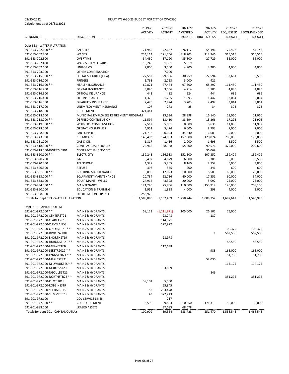|                                        |                                                      | 2019-20         | 2020-21         | 2021-22   | 2021-22              | 2022-23       | 2022-23       |
|----------------------------------------|------------------------------------------------------|-----------------|-----------------|-----------|----------------------|---------------|---------------|
|                                        |                                                      | <b>ACTIVITY</b> | <b>ACTIVITY</b> | AMENDED   | <b>ACTIVITY</b>      | REQUESTED     | RECOMMENDED   |
| <b>GL NUMBER</b>                       | DESCRIPTION                                          |                 |                 |           | BUDGET THRU 03/31/22 | <b>BUDGET</b> | <b>BUDGET</b> |
|                                        |                                                      |                 |                 |           |                      |               |               |
| Dept 553 - WATER FILTRATION            |                                                      |                 |                 |           |                      |               |               |
| 591-553-702.100 **                     | <b>SALARIES</b>                                      | 71,985          | 72,667          | 76,112    | 54,196               | 75,422        | 87,146        |
| 591-553-702.200                        | WAGES                                                | 234,114         | 271,756         | 318,703   | 212,946              | 315,515       | 315,515       |
| 591-553-702.300                        | OVERTIME                                             | 34,480          | 37,190          | 35,800    | 27,729               | 36,000        | 36,000        |
| 591-553-702.400                        | <b>WAGES - TEMPORARY</b>                             | 16,248          | 1,351           | 5,019     |                      |               |               |
| 591-553-702.600                        | <b>UNIFORMS</b>                                      | 2,800           | 3,500           | 4,900     | 4,200                | 4,000         | 4,000         |
| 591-553-703.000                        | OTHER COMPENSATION                                   |                 | 7,000           |           |                      |               |               |
| 591-553-715.000 **                     | SOCIAL SECURITY (FICA)                               | 27,552          | 29,536          | 30,259    | 22,594               | 32,661        | 33,558        |
| 591-553-716.000                        | <b>FRINGES</b>                                       | 1,768           | 2,753           | 3,000     | 421                  |               |               |
| 591-553-716.100 **                     | <b>HEALTH INSURANCE</b>                              | 69,821          | 77,474          | 97,500    | 68,297               | 111,450       | 111,450       |
| 591-553-716.200                        | DENTAL INSURANCE                                     | 3,045           | 3,556           | 4,214     | 3,105                | 4,885         | 4,885         |
| 591-553-716.300                        | OPTICAL INSURANCE                                    | 443             | 482             | 524       | 444                  | 686           | 686           |
| 591-553-716.400                        | LIFE INSURANCE                                       | 1,326           | 1,765           | 1,993     | 1,442                | 2,064         | 2,064         |
| 591-553-716.500                        | <b>DISABILITY INSURANCE</b>                          | 2,470           | 2,924           | 3,703     | 2,497                | 3,814         | 3,814         |
| 591-553-717.000                        | UNEMPLOYMENT INSURANCE                               | 107             | 273             | 25        | 34                   | 373           | 373           |
| 591-553-718.000                        | RETIREMENT                                           | 321,441         |                 |           |                      |               |               |
| 591-553-718.100                        | MUNICIPAL EMPLOYEES RETIREMENT PROGRAM               |                 |                 |           |                      |               | 21,060        |
|                                        |                                                      |                 | 23,534          | 28,398    | 16,140               | 21,060        |               |
| 591-553-718.200 **                     | DEFINED CONTRIBUTION<br><b>WORKERS' COMPENSATION</b> | 11,594          | 13,410          | 33,594    | 13,266               | 17,293        | 21,903        |
| 591-553-719.000 **                     |                                                      | 7,512           | 5,051           | 8,000     | 8,635                | 11,890        | 11,992        |
| 591-553-728.000                        | <b>OPERATING SUPPLIES</b>                            | 4,952           | 5,474           | 6,000     | 8,793                | 7,000         | 7,000         |
| 591-553-728.100                        | <b>LAB SUPPLIES</b>                                  | 21,732          | 20,093          | 34,640    | 16,683               | 35,000        | 35,000        |
| 591-553-743.000                        | <b>CHEMICALS</b>                                     | 149,493         | 174,883         | 157,000   | 120,074              | 200,000       | 175,000       |
| 591-553-751.000                        | GAS & OIL                                            | 1,817           | 1,456           | 2,000     | 1,698                | 3,500         | 3,500         |
| 591-553-818.000 **                     | <b>CONTRACTUAL SERVICES</b>                          | 22,966          | 68,188          | 55,500    | 90,576               | 375,000       | 209,600       |
| 591-553-818.000-DWRF745801             | <b>CONTRACTUAL SERVICES</b>                          |                 |                 |           | 36,069               |               |               |
| 591-553-820.100 **                     | <b>ELECTRICITY</b>                                   | 139,243         | 166,933         | 152,500   | 107,352              | 159,429       | 159,429       |
| 591-553-820.200                        | GAS                                                  | 5,497           | 4,679           | 6,000     | 3,305                | 6,000         | 5,500         |
| 591-553-820.300                        | <b>TELEPHONE</b>                                     | 4,327           | 5,205           | 8,160     | 2,752                | 5,000         | 3,800         |
| 591-553-820.500                        | <b>REFUSE</b>                                        | 397             | 535             | 700       | 341                  | 600           | 600           |
| 591-553-831.000 **                     | <b>BUILDING MAINTENANCE</b>                          | 8,095           | 12,023          | 10,000    | 8,503                | 60,000        | 23,000        |
| 591-553-833.000 **                     | <b>EQUIPMENT MAINTENANCE</b>                         | 20,784          | 22,736          | 40,000    | 17,351               | 60,000        | 34,000        |
| 591-553-833.100                        | <b>EQUIP MAINT - WELLS</b>                           | 24,914          | 43,398          | 20,000    | 5,092                | 25,000        | 25,000        |
| 591-553-834.000 **                     | MAINTENANCE                                          | 121,240         | 75,806          | 110,000   | 153,919              | 120,000       | 208,100       |
| 591-553-860.000                        | <b>EDUCATION &amp; TRAINING</b>                      | 1,952           | 1,838           | 4,000     | 298                  | 4,000         | 3,000         |
| 591-553-968.000                        | <b>DEPRECIATION EXPENSE</b>                          | 253,970         |                 |           |                      |               |               |
| Totals for dept 553 - WATER FILTRATION |                                                      | 1,588,085       | 1,157,469       | 1,258,244 | 1,008,752            | 1,697,642     | 1,546,975     |
|                                        |                                                      |                 |                 |           |                      |               |               |
| Dept 901 - CAPITAL OUTLAY              |                                                      |                 |                 |           |                      |               |               |
| 591-901-972.000 **                     | <b>MAINS &amp; HYDRANTS</b>                          | 58,123          | (1, 211, 871)   | 105,000   | 26,105               | 75,000        |               |
| 591-901-972.000-CENTERST21             | <b>MAINS &amp; HYDRANTS</b>                          |                 | 23,748          |           | 187                  |               |               |
| 591-901-972.000-CLARKAVE19             | <b>MAINS &amp; HYDRANTS</b>                          |                 | 114,371         |           |                      |               |               |
| 591-901-972.000-CLEVELANDS             | <b>MAINS &amp; HYDRANTS</b>                          |                 | 177,972         |           |                      |               |               |
| 591-901-972.000-CLYDESTR21 **          | <b>MAINS &amp; HYDRANTS</b>                          |                 |                 |           |                      | 100,375       | 100,375       |
| 591-901-972.000-DWRF745801             | <b>MAINS &amp; HYDRANTS</b>                          |                 |                 |           | 1                    | 562,500       | 562,500       |
| 591-901-972.000-ENORTHST19             | <b>MAINS &amp; HYDRANTS</b>                          |                 | 28,978          |           |                      |               |               |
| 591-901-972.000-HURONSTR21 **          | <b>MAINS &amp; HYDRANTS</b>                          |                 |                 |           |                      | 88,550        | 88,550        |
| 591-901-972.000-LAFAYETTEB             | <b>MAINS &amp; HYDRANTS</b>                          |                 | 117,638         |           |                      |               |               |
| 591-901-972.000-LEESTR2022 **          | <b>MAINS &amp; HYDRANTS</b>                          |                 |                 |           | 988                  | 165,000       | 165,000       |
| 591-901-972.000-LYNNST2021 **          | <b>MAINS &amp; HYDRANTS</b>                          |                 |                 |           |                      | 51,700        | 51,700        |
| 591-901-972.000-MAPLESTR21             | <b>MAINS &amp; HYDRANTS</b>                          |                 |                 |           | 52,030               |               |               |
|                                        |                                                      |                 |                 |           |                      |               |               |
| 591-901-972.000-MILWAUKEES **          | <b>MAINS &amp; HYDRANTS</b>                          |                 |                 |           |                      | 114,125       | 114,125       |
| 591-901-972.000-MORRISST20             | <b>MAINS &amp; HYDRANTS</b>                          |                 | 53,859          |           |                      |               |               |
| 591-901-972.000-NGOULDST21             | <b>MAINS &amp; HYDRANTS</b>                          |                 |                 |           | 846                  |               |               |
| 591-901-972.000-NORTHSTR23 **          | <b>MAINS &amp; HYDRANTS</b>                          |                 |                 |           |                      | 351,295       | 351,295       |
| 591-901-972.000-PILOT 2018             | <b>MAINS &amp; HYDRANTS</b>                          | 39,101          | 5,500           |           |                      |               |               |
| 591-901-972.000-ROBBINSSTR             | <b>MAINS &amp; HYDRANTS</b>                          |                 | 65,845          |           |                      |               |               |
| 591-901-972.000-SCEDARST19             | <b>MAINS &amp; HYDRANTS</b>                          | 52              | 263,478         |           |                      |               |               |
| 591-901-972.000-SUMMITST19             | <b>MAINS &amp; HYDRANTS</b>                          | 43              | 372,243         |           |                      |               |               |
| 591-901-972.100                        | <b>COL-SERVICE LINES</b>                             |                 | 717             |           |                      |               |               |
| 591-901-977.000 **                     | <b>COL - EQUIPMENT</b>                               | 3,590           | 9,803           | 510,650   | 171,313              | 50,000        | 35,000        |
| 591-901-983.000                        | <b>LEASED ASSETS</b>                                 |                 | 37,083          | 68,078    |                      |               |               |
| Totals for dept 901 - CAPITAL OUTLAY   |                                                      | 100,909         | 59,364          | 683,728   | 251,470              | 1,558,545     | 1,468,545     |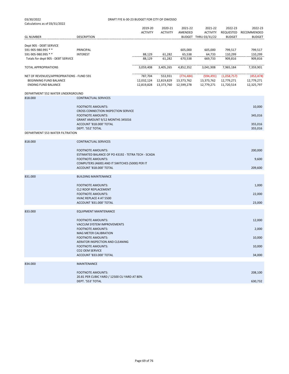| 03/30/2022<br>Calculations as of 03/31/2022 | DRAFT FYE 6-30-23 BUDGET FOR CITY OF OWOSSO                                    |                 |                                    |            |                      |               |               |
|---------------------------------------------|--------------------------------------------------------------------------------|-----------------|------------------------------------|------------|----------------------|---------------|---------------|
|                                             |                                                                                | 2019-20         | 2020-21                            | 2021-22    | 2021-22              | 2022-23       | 2022-23       |
|                                             |                                                                                | <b>ACTIVITY</b> | <b>ACTIVITY</b>                    | AMENDED    | <b>ACTIVITY</b>      | REQUESTED     | RECOMMENDED   |
| <b>GL NUMBER</b>                            | <b>DESCRIPTION</b>                                                             |                 |                                    |            | BUDGET THRU 03/31/22 | <b>BUDGET</b> | <b>BUDGET</b> |
| Dept 905 - DEBT SERVICE                     |                                                                                |                 |                                    |            |                      |               |               |
| 591-905-980.991 **                          | PRINCIPAL                                                                      |                 |                                    | 605,000    | 605,000              | 799,517       | 799,517       |
| 591-905-980.995 **                          | <b>INTEREST</b>                                                                | 88,129          | 61,282                             | 65,538     | 64,733               | 110,299       | 110,299       |
| Totals for dept 905 - DEBT SERVICE          |                                                                                | 88,129          | 61,282                             | 670,538    | 669,733              | 909,816       | 909,816       |
| <b>TOTAL APPROPRIATIONS</b>                 |                                                                                | 3,059,408       | 3,405,265                          | 4,852,352  | 3,041,908            | 7,965,184     | 7,359,901     |
| NET OF REVENUES/APPROPRIATIONS - FUND 591   |                                                                                | 787,704         | 553,931                            | (774, 484) | (594,491)            | (1,058,757)   | (453, 474)    |
| BEGINNING FUND BALANCE                      |                                                                                |                 | 12,032,124  12,819,829  13,373,762 |            | 13,373,762           | 12,779,271    | 12,779,271    |
| <b>ENDING FUND BALANCE</b>                  |                                                                                |                 | 12,819,828  13,373,760  12,599,278 |            | 12,779,271           | 11,720,514    | 12,325,797    |
| DEPARTMENT 552 WATER UNDERGROUND            |                                                                                |                 |                                    |            |                      |               |               |
| 818.000                                     | <b>CONTRACTUAL SERVICES</b>                                                    |                 |                                    |            |                      |               |               |
|                                             |                                                                                |                 |                                    |            |                      |               |               |
|                                             | <b>FOOTNOTE AMOUNTS:</b><br>CROSS CONNECTION INSPECTION SERVICE                |                 |                                    |            |                      |               | 10,000        |
|                                             | <b>FOOTNOTE AMOUNTS:</b>                                                       |                 |                                    |            |                      |               | 345,016       |
|                                             | GRANT AMOUNT 9/12 MONTHS 345016                                                |                 |                                    |            |                      |               |               |
|                                             | ACCOUNT '818,000' TOTAL                                                        |                 |                                    |            |                      |               | 355,016       |
|                                             | DEPT. '552' TOTAL                                                              |                 |                                    |            |                      |               | 355,016       |
| DEPARTMENT 553 WATER FILTRATION             |                                                                                |                 |                                    |            |                      |               |               |
| 818.000                                     | <b>CONTRACTUAL SERVICES</b>                                                    |                 |                                    |            |                      |               |               |
|                                             |                                                                                |                 |                                    |            |                      |               |               |
|                                             | <b>FOOTNOTE AMOUNTS:</b><br>ESTIMATED BALANCE OF PO 43192 - TETRA TECH - SCADA |                 |                                    |            |                      |               | 200,000       |
|                                             | <b>FOOTNOTE AMOUNTS:</b>                                                       |                 |                                    |            |                      |               | 9,600         |
|                                             | COMPUTERS (4600) AND IT SWITCHES (5000) PER IT                                 |                 |                                    |            |                      |               |               |
|                                             | ACCOUNT '818.000' TOTAL                                                        |                 |                                    |            |                      |               | 209,600       |
| 831.000                                     | <b>BUILDING MAINTENANCE</b>                                                    |                 |                                    |            |                      |               |               |
|                                             |                                                                                |                 |                                    |            |                      |               |               |
|                                             | <b>FOOTNOTE AMOUNTS:</b>                                                       |                 |                                    |            |                      |               | 1,000         |
|                                             | <b>CL2 ROOF REPLACEMENT</b>                                                    |                 |                                    |            |                      |               |               |
|                                             | <b>FOOTNOTE AMOUNTS:</b><br>HVAC REPLACE 4 AT 5500                             |                 |                                    |            |                      |               | 22,000        |
|                                             | ACCOUNT '831.000' TOTAL                                                        |                 |                                    |            |                      |               | 23,000        |
|                                             |                                                                                |                 |                                    |            |                      |               |               |
| 833.000                                     | <b>EQUIPMENT MAINTENANCE</b>                                                   |                 |                                    |            |                      |               |               |
|                                             | <b>FOOTNOTE AMOUNTS:</b>                                                       |                 |                                    |            |                      |               | 12,000        |
|                                             | VACCUM SYSTEM IMPROVEMENTS                                                     |                 |                                    |            |                      |               |               |
|                                             | <b>FOOTNOTE AMOUNTS:</b>                                                       |                 |                                    |            |                      |               | 2,000         |
|                                             | MAG METER CALIBRATION<br><b>FOOTNOTE AMOUNTS:</b>                              |                 |                                    |            |                      |               | 10,000        |
|                                             | AERATOR INSPECTION AND CLEANING                                                |                 |                                    |            |                      |               |               |
|                                             | <b>FOOTNOTE AMOUNTS:</b>                                                       |                 |                                    |            |                      |               | 10,000        |
|                                             | CO2 OEM SERVICE                                                                |                 |                                    |            |                      |               |               |
|                                             | ACCOUNT '833.000' TOTAL                                                        |                 |                                    |            |                      |               | 34,000        |
| 834.000                                     | <b>MAINTENANCE</b>                                                             |                 |                                    |            |                      |               |               |
|                                             |                                                                                |                 |                                    |            |                      |               |               |
|                                             | <b>FOOTNOTE AMOUNTS:</b><br>20.81 PER CUBIC YARD / 12500 CU YARD AT 80%        |                 |                                    |            |                      |               | 208,100       |
|                                             | DEPT. '553' TOTAL                                                              |                 |                                    |            |                      |               | 630,732       |
|                                             |                                                                                |                 |                                    |            |                      |               |               |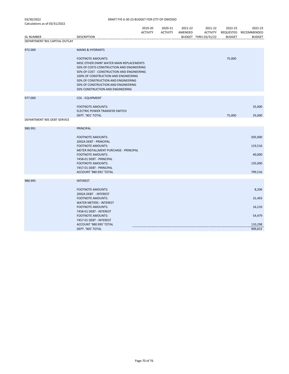|                               |                                                    | 2019-20         | 2020-21         | 2021-22 | 2021-22              | 2022-23       | 2022-23               |
|-------------------------------|----------------------------------------------------|-----------------|-----------------|---------|----------------------|---------------|-----------------------|
|                               |                                                    | <b>ACTIVITY</b> | <b>ACTIVITY</b> | AMENDED | <b>ACTIVITY</b>      |               | REQUESTED RECOMMENDED |
| <b>GL NUMBER</b>              | <b>DESCRIPTION</b>                                 |                 |                 |         | BUDGET THRU 03/31/22 | <b>BUDGET</b> | <b>BUDGET</b>         |
| DEPARTMENT 901 CAPITAL OUTLAY |                                                    |                 |                 |         |                      |               |                       |
| 972.000                       | <b>MAINS &amp; HYDRANTS</b>                        |                 |                 |         |                      |               |                       |
|                               |                                                    |                 |                 |         |                      |               |                       |
|                               | <b>FOOTNOTE AMOUNTS:</b>                           |                 |                 |         |                      | 75,000        |                       |
|                               | MISC OTHER DWRF WATER MAIN REPLACEMENTS            |                 |                 |         |                      |               |                       |
|                               | 50% OF COSTS CONSTRUCTION AND ENGINEERING          |                 |                 |         |                      |               |                       |
|                               | 50% OF COST - CONSTRUCTION AND ENGINEERING         |                 |                 |         |                      |               |                       |
|                               | 100% OF CONSTRUCTION AND ENGINEERING               |                 |                 |         |                      |               |                       |
|                               | 50% OF CONSTRUCTION AND ENGINEERING                |                 |                 |         |                      |               |                       |
|                               | 50% OF CONSTRUCTION AND ENGINEERING                |                 |                 |         |                      |               |                       |
|                               | 50% CONSTRUCTION AND ENGINEERING                   |                 |                 |         |                      |               |                       |
|                               |                                                    |                 |                 |         |                      |               |                       |
| 977.000                       | <b>COL - EQUIPMENT</b>                             |                 |                 |         |                      |               |                       |
|                               | <b>FOOTNOTE AMOUNTS:</b>                           |                 |                 |         |                      |               | 35,000                |
|                               | ELECTRIC POWER TRANSFER SWITCH                     |                 |                 |         |                      |               |                       |
|                               | DEPT. '901' TOTAL                                  |                 |                 |         |                      | 75,000        | 35,000                |
| DEPARTMENT 905 DEBT SERVICE   |                                                    |                 |                 |         |                      |               |                       |
|                               |                                                    |                 |                 |         |                      |               |                       |
| 980.991                       | <b>PRINCIPAL</b>                                   |                 |                 |         |                      |               |                       |
|                               | <b>FOOTNOTE AMOUNTS:</b>                           |                 |                 |         |                      |               | 505,000               |
|                               | 2002A DEBT - PRINCIPAL                             |                 |                 |         |                      |               |                       |
|                               | <b>FOOTNOTE AMOUNTS:</b>                           |                 |                 |         |                      |               | 119,516               |
|                               | METER INSTALLMENT PURCHASE - PRINCIPAL             |                 |                 |         |                      |               |                       |
|                               | <b>FOOTNOTE AMOUNTS:</b>                           |                 |                 |         |                      |               | 40,000                |
|                               | 7458-01 DEBT - PRINCIPAL                           |                 |                 |         |                      |               |                       |
|                               | <b>FOOTNOTE AMOUNTS:</b>                           |                 |                 |         |                      |               | 135,000               |
|                               | 7457-01 DEBT - PRINCIPAL                           |                 |                 |         |                      |               |                       |
|                               | ACCOUNT '980.991' TOTAL                            |                 |                 |         |                      |               | 799,516               |
| 980.995                       | <b>INTEREST</b>                                    |                 |                 |         |                      |               |                       |
|                               |                                                    |                 |                 |         |                      |               |                       |
|                               | <b>FOOTNOTE AMOUNTS:</b>                           |                 |                 |         |                      |               | 8,206                 |
|                               | 2002A DEBT - INTEREST                              |                 |                 |         |                      |               |                       |
|                               | <b>FOOTNOTE AMOUNTS:</b>                           |                 |                 |         |                      |               | 31,403                |
|                               | <b>WATER METERS - INTEREST</b>                     |                 |                 |         |                      |               |                       |
|                               | <b>FOOTNOTE AMOUNTS:</b>                           |                 |                 |         |                      |               | 16,210                |
|                               | 7458-01 DEBT - INTEREST                            |                 |                 |         |                      |               |                       |
|                               | <b>FOOTNOTE AMOUNTS:</b>                           |                 |                 |         |                      |               | 54,479                |
|                               | 7457-01 DEBT - INTEREST<br>ACCOUNT '980.995' TOTAL |                 |                 |         |                      |               |                       |
|                               | DEPT. '905' TOTAL                                  |                 |                 |         |                      |               | 110,298<br>909,815    |
|                               |                                                    |                 |                 |         |                      |               |                       |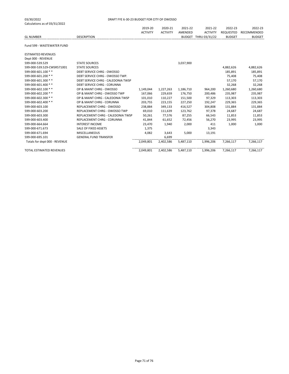|                            |                    | 2019-20         | 2020-21         | 2021-22 | 2021-22              | 2022-23       | 2022-23               |
|----------------------------|--------------------|-----------------|-----------------|---------|----------------------|---------------|-----------------------|
|                            |                    | <b>ACTIVITY</b> | <b>ACTIVITY</b> | AMENDED | <b>ACTIVITY</b>      |               | REQUESTED RECOMMENDED |
| <b>GL NUMBER</b>           | <b>DESCRIPTION</b> |                 |                 |         | BUDGET THRU 03/31/22 | <b>BUDGET</b> | <b>BUDGET</b>         |
|                            |                    |                 |                 |         |                      |               |                       |
| Fund 599 - WASTEWATER FUND |                    |                 |                 |         |                      |               |                       |

| ESTIMATED REVENUES              |                                    |           |           |           |           |           |           |
|---------------------------------|------------------------------------|-----------|-----------|-----------|-----------|-----------|-----------|
| Dept 000 - REVENUE              |                                    |           |           |           |           |           |           |
| 599-000-539.529                 | <b>STATE SOURCES</b>               |           |           | 3,037,900 |           |           |           |
| 599-000-539.529-CWSR571001      | <b>STATE SOURCES</b>               |           |           |           |           | 4,882,626 | 4,882,626 |
| 599-000-601.100 **              | DEBT SERVICE CHRG - OWOSSO         |           |           |           |           | 185,891   | 185,891   |
| 599-000-601.200 **              | DEBT SERVICE CHRG - OWOSSO TWP.    |           |           |           |           | 75,408    | 75,408    |
| 599-000-601.300 **              | DEBT SERVICE CHRG - CALEDONIA TWSP |           |           |           |           | 57,170    | 57,170    |
| 599-000-601.400 **              | <b>DEBT SERVICE CHRG - CORUNNA</b> |           |           |           |           | 32,268    | 32,268    |
| 599-000-602.100 **              | OP & MAINT CHRG - OWOSSO           | 1,149,044 | 1,227,263 | 1,186,710 | 964,200   | 1,260,680 | 1,260,680 |
| 599-000-602.200 **              | OP & MAINT CHRG - OWOSSO TWP       | 167,066   | 229,659   | 176,750   | 200,486   | 235,987   | 235,987   |
| 599-000-602.300 **              | OP & MAINT CHRG - CALEDONIA TWSP   | 101,010   | 110,227   | 151,500   | 97,329    | 113,303   | 113,303   |
| 599-000-602.400 **              | OP & MAINT CHRG - CORUNNA          | 203,755   | 223,155   | 227,250   | 192,247   | 229,365   | 229,365   |
| 599-000-603.100                 | REPLACEMENT CHRG - OWOSSO          | 238,884   | 349,133   | 416,527   | 304,808   | 131,884   | 131,884   |
| 599-000-603.200                 | REPLACEMENT CHRG - OWOSSO TWP      | 69,010    | 111,639   | 123,762   | 97,378    | 24,687    | 24,687    |
| 599-000-603.300                 | REPLACEMENT CHRG - CALEDONIA TWSP  | 50,261    | 77,576    | 87,255    | 66,543    | 11,853    | 11,853    |
| 599-000-603.400                 | <b>REPLACEMENT CHRG - CORUNNA</b>  | 41,844    | 61,652    | 72,456    | 56,270    | 23,995    | 23,995    |
| 599-000-664.664                 | <b>INTEREST INCOME</b>             | 23,470    | 1,940     | 2,000     | 411       | 1,000     | 1,000     |
| 599-000-671.673                 | SALE OF FIXED ASSETS               | 1,375     |           |           | 3,343     |           |           |
| 599-000-671.694                 | <b>MISCELLANEOUS</b>               | 4,082     | 3,643     | 5,000     | 13,191    |           |           |
| 599-000-695.101                 | <b>GENERAL FUND TRANSFER</b>       |           | 6,699     |           |           |           |           |
| Totals for dept 000 - REVENUE   |                                    | 2.049.801 | 2,402,586 | 5,487,110 | 1.996.206 | 7.266.117 | 7,266,117 |
| <b>TOTAL ESTIMATED REVENUES</b> |                                    | 2,049,801 | 2,402,586 | 5,487,110 | 1,996,206 | 7,266,117 | 7,266,117 |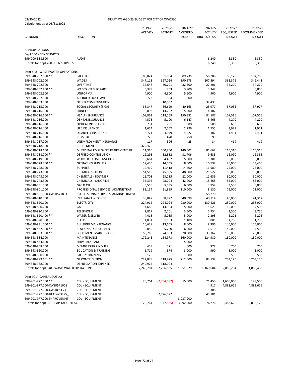| Calculations as of 03/31/2022               |                                       |                 |                 |           |                      |               |               |
|---------------------------------------------|---------------------------------------|-----------------|-----------------|-----------|----------------------|---------------|---------------|
|                                             |                                       | 2019-20         | 2020-21         | 2021-22   | 2021-22              | 2022-23       | 2022-23       |
|                                             |                                       | <b>ACTIVITY</b> | <b>ACTIVITY</b> | AMENDED   | <b>ACTIVITY</b>      | REQUESTED     | RECOMMENDED   |
| <b>GL NUMBER</b>                            | <b>DESCRIPTION</b>                    |                 |                 |           | BUDGET THRU 03/31/22 | <b>BUDGET</b> | <b>BUDGET</b> |
|                                             |                                       |                 |                 |           |                      |               |               |
|                                             |                                       |                 |                 |           |                      |               |               |
| <b>APPROPRIATIONS</b>                       |                                       |                 |                 |           |                      |               |               |
| Dept 200 - GEN SERVICES                     |                                       |                 |                 |           |                      |               |               |
| 599-200-818.500                             | <b>AUDIT</b>                          |                 |                 |           | 6,240                | 6,350         | 6,350         |
| Totals for dept 200 - GEN SERVICES          |                                       |                 |                 |           | 6,240                | 6,350         | 6,350         |
|                                             |                                       |                 |                 |           |                      |               |               |
| Dept 548 - WASTEWATER OPERATIONS            |                                       |                 |                 |           |                      |               |               |
| 599-548-702.100 **                          | SALARIES                              | 88,074          | 91,084          | 89,735    | 56,786               | 88,179        | 104,768       |
| 599-548-702.200                             | WAGES                                 | 347,113         | 367,024         | 390,673   | 207,594              | 362,376       | 349,441       |
| 599-548-702.300                             | <b>OVERTIME</b>                       | 37,648          | 30,791          | 32,500    | 27,206               | 34,220        | 34,220        |
| 599-548-702.400 **                          | <b>WAGES - TEMPORARY</b>              | 6,379           | 753             | 3,900     | 3,347                |               | 8,000         |
| 599-548-702.600                             | <b>UNIFORMS</b>                       | 4,900           | 4,900           | 5,600     | 4,900                | 4,900         | 4,900         |
| 599-548-702.800                             | <b>ACCRUED SICK LEAVE</b>             | 722             | 564             | 800       |                      |               |               |
| 599-548-703.000                             | OTHER COMPENSATION                    |                 | 10,037          |           | 37,433               |               |               |
| 599-548-715.000                             | SOCIAL SECURITY (FICA)                | 35,347          | 36,629          | 40,163    | 25,977               | 37,085        | 37,977        |
| 599-548-716.000                             | <b>FRINGES</b>                        | 15,092          | 13,202          | 15,000    | 4,187                |               |               |
| 599-548-716.100 **                          | <b>HEALTH INSURANCE</b>               | 108,863         | 118,259         | 150,332   | 84,187               | 107,516       | 107,516       |
| 599-548-716.200                             | DENTAL INSURANCE                      | 4,573           | 5,100           | 6,147     | 3,465                | 4,270         | 4,270         |
| 599-548-716.300                             | OPTICAL INSURANCE                     | 731             | 781             | 880       | 580                  | 689           | 689           |
| 599-548-716.400                             | LIFE INSURANCE                        | 1,654           | 2,062           | 2,296     | 1,555                | 1,921         | 1,921         |
| 599-548-716.500                             | <b>DISABILITY INSURANCE</b>           | 3,771           | 4,079           | 4,422     | 3,182                | 4,431         | 4,431         |
| 599-548-716.600                             | <b>PHYSICALS</b>                      | 228             | 470             | 250       | 93                   |               |               |
| 599-548-717.000                             | UNEMPLOYMENT INSURANCE                | 117             | 306             | 25        | 34                   | 419           | 419           |
| 599-548-718.000                             | RETIREMENT                            | 325,470         |                 |           |                      |               |               |
| 599-548-718.100                             | MUNICIPAL EMPLOYEES RETIREMENT PR     | 11,310          | 350,800         | 140,601   | 85,662               | 115,310       | 115,310       |
| 599-548-718.200 **                          | <b>DEFINED CONTRIBUTION</b>           | 12,293          | 12,882          | 31,706    | 9,638                | 12,090        | 12,355        |
| 599-548-719.000                             | <b>WORKERS' COMPENSATION</b>          | 5,661           | 4,432           | 5,900     | 5,301                | 6,000         | 6,006         |
| 599-548-728.000 **                          | <b>OPERATING SUPPLIES</b>             | 17,430          | 14,055          | 18,000    | 10,537               | 25,000        | 33,400        |
| 599-548-728.100                             | <b>SUPPLIES</b>                       | 12,419          | 11,418          | 14,500    | 11,589               | 25,000        | 25,000        |
| 599-548-743.100                             | <b>CHEMICALS - IRON</b>               | 51,515          | 45,955          | 48,000    | 25,522               | 55,000        | 55,000        |
| 599-548-743.200                             | <b>CHEMICALS - POLYMER</b>            | 15,708          | 23,285          | 22,000    | 11,639               | 30,000        | 30,000        |
| 599-548-743.300                             | <b>CHEMICALS - CHLORINE</b>           | 35,395          | 28,204          | 42,000    | 18,468               | 85,000        | 85,000        |
| 599-548-751.000                             | GAS & OIL                             | 6,556           | 5,535           | 6,500     | 3,959                | 3,500         | 6,000         |
| 599-548-801.000                             | PROFESSIONAL SERVICES: ADMINISTRATI   | 83,154          | 21,899          | 110,000   | 8,130                | 75,000        | 11,000        |
| 599-548-801.000-CWSR571001                  | PROFESSIONAL SERVICES: ADMINISTRATIVE |                 |                 |           | 58,770               |               |               |
| 599-548-810.000                             | <b>INSURANCE &amp; BONDS</b>          | 38,047          | 38,927          | 40,099    | 40,114               | 45,000        | 41,317        |
| 599-548-820.100                             | <b>ELECTRICITY</b>                    | 224,912         | 224,024         | 230,000   | 130,426              | 230,000       | 238,000       |
| 599-548-820.200                             | GAS                                   | 14,686          | 13,904          | 15,000    | 15,623               | 15,000        | 17,500        |
| 599-548-820.300                             | <b>TELEPHONE</b>                      | 2,817           | 2,701           | 3,500     | 2,754                | 3,500         | 3,750         |
| 599-548-820.400 **                          | WATER & SEWER                         | 4,418           | 5,035           | 5,000     | 2,393                | 6,223         | 6,223         |
| 599-548-820.500                             | <b>REFUSE</b>                         | 1,031           | 1,103           | 1,100     | 885                  | 1,200         | 1,200         |
| 599-548-831.000 **                          | <b>BUILDING MAINTENANCE</b>           | 10,628          | 13,665          | 18,000    | 8,396                | 140,000       | 125,000       |
| 599-548-832.000 **                          | <b>STATIONARY EQUIPMENT</b>           | 5,855           | 5,760           | 6,000     | 6,510                | 45,000        | 7,500         |
| 599-548-833.000 **                          | <b>EQUIPMENT MAINTENANCE</b>          | 59,766          | 74,593          | 70,000    | 33,362               | 135,000       | 20,000        |
| 599-548-834.000                             | MAINTENANCE                           | 172,243         | 164,973         | 160,000   | 124,980              | 180,000       | 180,000       |
| 599-548-834.100                             | <b>HHW PROGRAM</b>                    |                 |                 | 5,000     |                      |               |               |
| 599-548-858.000                             | <b>MEMBERSHIPS &amp; DUES</b>         | 438             | 371             | 600       | 378                  | 700           | 700           |
| 599-548-860.000                             | <b>EDUCATION &amp; TRAINING</b>       | 1,719           | 374             | 3,000     | 990                  | 3,000         | 3,000         |
| 599-548-860.100                             | SAFETY TRAINING                       | 126             |                 | 300       |                      | 500           | 500           |
| 599-548-899.101 **                          | <b>GF CONTRIBUTION</b>                | 222,048         | 218,875         | 212,000   | 84,132               | 203,175       | 203,175       |
| 599-548-968.000                             | DEPRECIATION EXPENSE                  | 249,924         | 318,024         |           |                      |               |               |
| Totals for dept 548 - WASTEWATER OPERATIONS |                                       | 2,240,781       | 2,286,835       | 1,951,529 | 1,160,684            | 2,086,204     | 1,885,488     |
|                                             |                                       |                 |                 |           |                      |               |               |
| Dept 901 - CAPITAL OUTLAY                   |                                       |                 |                 |           |                      |               |               |
| 599-901-977.000 **                          | <b>COL - EQUIPMENT</b>                | 20,764          | (2,734,092)     | 55,000    | 21,450               | 1,600,000     | 129,500       |
| 599-901-977.000-CWSR571001                  | <b>COL - EQUIPMENT</b>                |                 |                 |           | 4,917                | 4,882,626     | 4,882,626     |
| 599-901-977.000-CWSRF23-24                  | <b>COL - EQUIPMENT</b>                |                 |                 |           | 5,308                |               |               |
| 599-901-977.000-HEADWORKS                   | <b>COL - EQUIPMENT</b>                |                 | 2,726,527       |           | 45,101               |               |               |
| 599-901-977.000-IMPROVEMNT                  | COL - EQUIPMENT                       |                 |                 | 3,037,900 |                      |               |               |
| Totals for dept 901 - CAPITAL OUTLAY        |                                       | 20,764          | (7, 565)        | 3,092,900 | 76,776               | 6,482,626     | 5,012,126     |
|                                             |                                       |                 |                 |           |                      |               |               |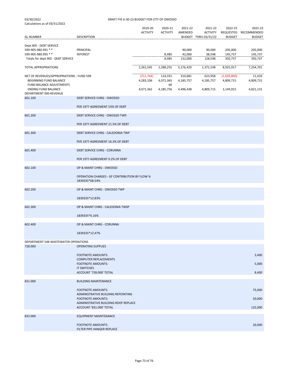| calculations as of $0.5$ , $0.4$ $0.2$                                                                                        |                                                                 | 2019-20<br><b>ACTIVITY</b>          | 2020-21<br><b>ACTIVITY</b>              | 2021-22<br>AMENDED                | 2021-22<br><b>ACTIVITY</b>        | 2022-23                               | 2022-23<br>REQUESTED RECOMMENDED |
|-------------------------------------------------------------------------------------------------------------------------------|-----------------------------------------------------------------|-------------------------------------|-----------------------------------------|-----------------------------------|-----------------------------------|---------------------------------------|----------------------------------|
| <b>GL NUMBER</b>                                                                                                              | <b>DESCRIPTION</b>                                              |                                     |                                         |                                   | BUDGET THRU 03/31/22              | <b>BUDGET</b>                         | <b>BUDGET</b>                    |
| Dept 905 - DEBT SERVICE<br>599-905-980.991 **<br>599-905-980.995 **<br>Totals for dept 905 - DEBT SERVICE                     | PRINCIPAL<br><b>INTEREST</b>                                    |                                     | 8,985<br>8,985                          | 90,000<br>42,000<br>132,000       | 90,000<br>38,548<br>128,548       | 205,000<br>145,737<br>350,737         | 205,000<br>145,737<br>350,737    |
| <b>TOTAL APPROPRIATIONS</b>                                                                                                   |                                                                 | 2,261,545                           | 2,288,255                               | 5,176,429                         | 1,372,248                         | 8,925,917                             | 7,254,701                        |
| NET OF REVENUES/APPROPRIATIONS - FUND 599<br>BEGINNING FUND BALANCE<br>FUND BALANCE ADJUSTMENTS<br><b>ENDING FUND BALANCE</b> |                                                                 | (211,744)<br>4,283,106<br>4,071,362 | 114,331<br>4,071,365<br>60<br>4,185,756 | 310,681<br>4,185,757<br>4,496,438 | 623,958<br>4,185,757<br>4,809,715 | (1,659,800)<br>4,809,715<br>3,149,915 | 11,416<br>4,809,715<br>4,821,131 |
| DEPARTMENT 000 REVENUE                                                                                                        |                                                                 |                                     |                                         |                                   |                                   |                                       |                                  |
| 601.100                                                                                                                       | <b>DEBT SERVICE CHRG - OWOSSO</b>                               |                                     |                                         |                                   |                                   |                                       |                                  |
|                                                                                                                               | PER 1977 AGREEMENT 53% OF DEBT                                  |                                     |                                         |                                   |                                   |                                       |                                  |
| 601.200                                                                                                                       | DEBT SERVICE CHRG - OWOSSO TWP.                                 |                                     |                                         |                                   |                                   |                                       |                                  |
|                                                                                                                               | PER 1977 AGREEMENT 21.5% OF DEBT                                |                                     |                                         |                                   |                                   |                                       |                                  |
| 601.300                                                                                                                       | DEBT SERVICE CHRG - CALEDONIA TWP                               |                                     |                                         |                                   |                                   |                                       |                                  |
|                                                                                                                               | PER 1977 AGREEMENT 16.3% OF DEBT                                |                                     |                                         |                                   |                                   |                                       |                                  |
| 601.400                                                                                                                       | <b>DEBT SERVICE CHRG - CORUNNA</b>                              |                                     |                                         |                                   |                                   |                                       |                                  |
|                                                                                                                               | PER 1977 AGREEMENT 9.2% OF DEBT                                 |                                     |                                         |                                   |                                   |                                       |                                  |
| 602.100                                                                                                                       | OP & MAINT CHRG - OWOSSO                                        |                                     |                                         |                                   |                                   |                                       |                                  |
|                                                                                                                               | OPERATION CHARGES - GF CONTRIBUTION BY FLOW %<br>1839335*68.54% |                                     |                                         |                                   |                                   |                                       |                                  |
| 602.200                                                                                                                       | OP & MAINT CHRG - OWOSSO TWP                                    |                                     |                                         |                                   |                                   |                                       |                                  |
|                                                                                                                               | 1839335*12.83%                                                  |                                     |                                         |                                   |                                   |                                       |                                  |
| 602.300                                                                                                                       | OP & MAINT CHRG - CALEDONIA TWSP                                |                                     |                                         |                                   |                                   |                                       |                                  |
|                                                                                                                               | 1839335*6.16%                                                   |                                     |                                         |                                   |                                   |                                       |                                  |
| 602.400                                                                                                                       | OP & MAINT CHRG - CORUNNA                                       |                                     |                                         |                                   |                                   |                                       |                                  |
|                                                                                                                               | 1839335*12.47%                                                  |                                     |                                         |                                   |                                   |                                       |                                  |
| DEPARTMENT 548 WASTEWATER OPERATIONS                                                                                          |                                                                 |                                     |                                         |                                   |                                   |                                       |                                  |
| 728.000                                                                                                                       | <b>OPERATING SUPPLIES</b>                                       |                                     |                                         |                                   |                                   |                                       |                                  |
|                                                                                                                               | <b>FOOTNOTE AMOUNTS:</b>                                        |                                     |                                         |                                   |                                   |                                       | 3,400                            |
|                                                                                                                               | <b>COMPUTER REPLACEMENTS</b><br><b>FOOTNOTE AMOUNTS:</b>        |                                     |                                         |                                   |                                   |                                       | 5,000                            |
|                                                                                                                               | <b>IT SWITCHES</b>                                              |                                     |                                         |                                   |                                   |                                       |                                  |
|                                                                                                                               | ACCOUNT '728.000' TOTAL                                         |                                     |                                         |                                   |                                   |                                       | 8,400                            |
| 831.000                                                                                                                       | <b>BUILDING MAINTENANCE</b>                                     |                                     |                                         |                                   |                                   |                                       |                                  |
|                                                                                                                               | <b>FOOTNOTE AMOUNTS:</b><br>ADMINISTRATIVE BUILDING REPOINTING  |                                     |                                         |                                   |                                   |                                       | 75,000                           |
|                                                                                                                               | <b>FOOTNOTE AMOUNTS:</b>                                        |                                     |                                         |                                   |                                   |                                       | 50,000                           |
|                                                                                                                               | ADMINISTRATIVE BUILDING ROOF REPLACE<br>ACCOUNT '831.000' TOTAL |                                     |                                         |                                   |                                   |                                       | 125,000                          |
| 833.000                                                                                                                       | <b>EQUIPMENT MAINTENANCE</b>                                    |                                     |                                         |                                   |                                   |                                       |                                  |
|                                                                                                                               | <b>FOOTNOTE AMOUNTS:</b><br>FILTER PIPE HANGER REPLACE          |                                     |                                         |                                   |                                   |                                       | 20,000                           |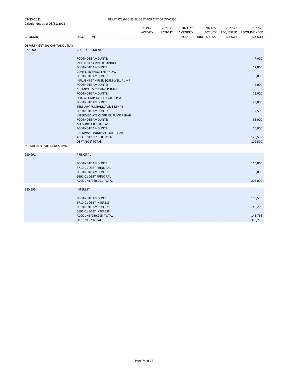|                               |                                                                    | 2019-20         | 2020-21         | 2021-22 | 2021-22              | 2022-23       | 2022-23            |
|-------------------------------|--------------------------------------------------------------------|-----------------|-----------------|---------|----------------------|---------------|--------------------|
|                               |                                                                    | <b>ACTIVITY</b> | <b>ACTIVITY</b> | AMENDED | <b>ACTIVITY</b>      | REQUESTED     | RECOMMENDED        |
| <b>GL NUMBER</b>              | <b>DESCRIPTION</b>                                                 |                 |                 |         | BUDGET THRU 03/31/22 | <b>BUDGET</b> | <b>BUDGET</b>      |
| DEPARTMENT 901 CAPITAL OUTLAY |                                                                    |                 |                 |         |                      |               |                    |
| 977.000                       | <b>COL - EQUIPMENT</b>                                             |                 |                 |         |                      |               |                    |
|                               | <b>FOOTNOTE AMOUNTS:</b>                                           |                 |                 |         |                      |               | 7,000              |
|                               | <b>INFLUENT SAMPLER CABINET</b><br><b>FOOTNOTE AMOUNTS:</b>        |                 |                 |         |                      |               | 12,000             |
|                               | <b>CONFINED SPACE ENTRY DAVIT</b><br><b>FOOTNOTE AMOUNTS:</b>      |                 |                 |         |                      |               | 5,000              |
|                               | <b>INFLUENT SAMPLER SCUM WELL PUMP</b><br><b>FOOTNOTE AMOUNTS:</b> |                 |                 |         |                      |               | 5,000              |
|                               | <b>CHEMICAL METERING PUMPS</b><br><b>FOOTNOTE AMOUNTS:</b>         |                 |                 |         |                      |               | 25,000             |
|                               | SCREWPUMP #4 DEFLECTOR PLATE                                       |                 |                 |         |                      |               |                    |
|                               | <b>FOOTNOTE AMOUNTS:</b><br>TERTIARY PUMP/MOTOR 1 REHAB            |                 |                 |         |                      |               | 23,000             |
|                               | <b>FOOTNOTE AMOUNTS:</b><br>INTERMEDIATE CLARIFIER PUMP REHAB      |                 |                 |         |                      |               | 7,500              |
|                               | <b>FOOTNOTE AMOUNTS:</b><br><b>MAIN BREAKER REPLACE</b>            |                 |                 |         |                      |               | 35,000             |
|                               | <b>FOOTNOTE AMOUNTS:</b><br><b>BACKWASH PUMP MOTOR REHAB</b>       |                 |                 |         |                      |               | 10,000             |
|                               | ACCOUNT '977.000' TOTAL                                            |                 |                 |         |                      |               | 129,500            |
| DEPARTMENT 905 DEBT SERVICE   | DEPT. '901' TOTAL                                                  |                 |                 |         |                      |               | 129,500            |
|                               |                                                                    |                 |                 |         |                      |               |                    |
| 980.991                       | <b>PRINCIPAL</b>                                                   |                 |                 |         |                      |               |                    |
|                               | <b>FOOTNOTE AMOUNTS:</b><br>5710-01 DEBT PRINCIPAL                 |                 |                 |         |                      |               | 115,000            |
|                               | <b>FOOTNOTE AMOUNTS:</b>                                           |                 |                 |         |                      |               | 90,000             |
|                               | 5691-01 DEBT PRINCIPAL<br>ACCOUNT '980.991' TOTAL                  |                 |                 |         |                      |               | 205,000            |
| 980.995                       | <b>INTEREST</b>                                                    |                 |                 |         |                      |               |                    |
|                               | <b>FOOTNOTE AMOUNTS:</b>                                           |                 |                 |         |                      |               | 105,536            |
|                               | 5710-01 DEBT INTEREST<br><b>FOOTNOTE AMOUNTS:</b>                  |                 |                 |         |                      |               | 40,200             |
|                               | 5691-01 DEBT INTEREST<br>ACCOUNT '980.995' TOTAL                   |                 |                 |         |                      |               |                    |
|                               | DEPT. '905' TOTAL                                                  |                 |                 |         |                      |               | 145,736<br>350,736 |
|                               |                                                                    |                 |                 |         |                      |               |                    |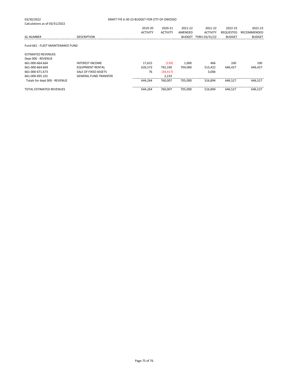| 03/30/2022                        |                              | DRAFT FYE 6-30-23 BUDGET FOR CITY OF OWOSSO |                 |               |                 |                  |               |
|-----------------------------------|------------------------------|---------------------------------------------|-----------------|---------------|-----------------|------------------|---------------|
| Calculations as of 03/31/2022     |                              |                                             |                 |               |                 |                  |               |
|                                   |                              | 2019-20                                     | 2020-21         | 2021-22       | 2021-22         | 2022-23          | 2022-23       |
|                                   |                              | <b>ACTIVITY</b>                             | <b>ACTIVITY</b> | AMENDED       | <b>ACTIVITY</b> | <b>REQUESTED</b> | RECOMMENDED   |
| <b>GL NUMBER</b>                  | <b>DESCRIPTION</b>           |                                             |                 | <b>BUDGET</b> | THRU 03/31/22   | <b>BUDGET</b>    | <b>BUDGET</b> |
| Fund 661 - FLEET MAINTENANCE FUND |                              |                                             |                 |               |                 |                  |               |
| <b>ESTIMATED REVENUES</b>         |                              |                                             |                 |               |                 |                  |               |
| Dept 000 - REVENUE                |                              |                                             |                 |               |                 |                  |               |
| 661-000-664.664                   | <b>INTEREST INCOME</b>       | 17,615                                      | (139)           | 1,000         | 466             | 100              | 100           |
| 661-000-664.669                   | <b>EQUIPMENT RENTAL</b>      | 626,573                                     | 792,330         | 704,000       | 513,422         | 646,427          | 646,427       |
| 661-000-671.673                   | SALE OF FIXED ASSETS         | 76                                          | (34, 417)       |               | 3,006           |                  |               |
| 661-000-695.101                   | <b>GENERAL FUND TRANSFER</b> |                                             | 2,233           |               |                 |                  |               |
| Totals for dept 000 - REVENUE     |                              | 644.264                                     | 760.007         | 705.000       | 516.894         | 646.527          | 646.527       |
| TOTAL ESTIMATED REVENUES          |                              | 644,264                                     | 760,007         | 705.000       | 516.894         | 646.527          | 646,527       |